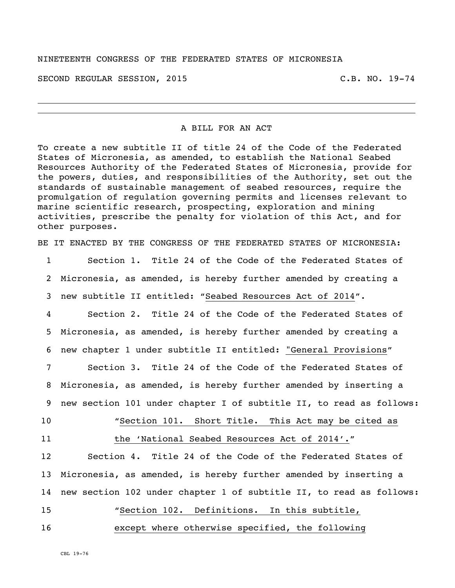#### NINETEENTH CONGRESS OF THE FEDERATED STATES OF MICRONESIA

SECOND REGULAR SESSION, 2015 C.B. NO. 19-74

#### A BILL FOR AN ACT

To create a new subtitle II of title 24 of the Code of the Federated States of Micronesia, as amended, to establish the National Seabed Resources Authority of the Federated States of Micronesia, provide for the powers, duties, and responsibilities of the Authority, set out the standards of sustainable management of seabed resources, require the promulgation of regulation governing permits and licenses relevant to marine scientific research, prospecting, exploration and mining activities, prescribe the penalty for violation of this Act, and for other purposes.

BE IT ENACTED BY THE CONGRESS OF THE FEDERATED STATES OF MICRONESIA:

1 Section 1. Title 24 of the Code of the Federated States of 2 Micronesia, as amended, is hereby further amended by creating a 3 new subtitle II entitled: "Seabed Resources Act of 2014".

4 Section 2. Title 24 of the Code of the Federated States of 5 Micronesia, as amended, is hereby further amended by creating a 6 new chapter 1 under subtitle II entitled: "General Provisions"

7 Section 3. Title 24 of the Code of the Federated States of 8 Micronesia, as amended, is hereby further amended by inserting a 9 new section 101 under chapter I of subtitle II, to read as follows:

10 "Section 101. Short Title. This Act may be cited as 11 the 'National Seabed Resources Act of 2014'."

 Section 4. Title 24 of the Code of the Federated States of Micronesia, as amended, is hereby further amended by inserting a new section 102 under chapter 1 of subtitle II, to read as follows: "Section 102. Definitions. In this subtitle, except where otherwise specified, the following

CBL 19-76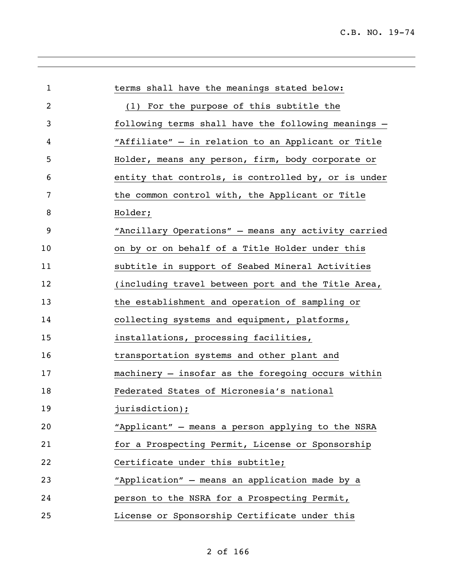| $\mathbf 1$    | terms shall have the meanings stated below:         |
|----------------|-----------------------------------------------------|
| $\overline{c}$ | (1) For the purpose of this subtitle the            |
| 3              | following terms shall have the following meanings - |
| 4              | "Affiliate" - in relation to an Applicant or Title  |
| 5              | Holder, means any person, firm, body corporate or   |
| 6              | entity that controls, is controlled by, or is under |
| 7              | the common control with, the Applicant or Title     |
| 8              | Holder;                                             |
| 9              | "Ancillary Operations" - means any activity carried |
| 10             | on by or on behalf of a Title Holder under this     |
| 11             | subtitle in support of Seabed Mineral Activities    |
| 12             | (including travel between port and the Title Area,  |
| 13             | the establishment and operation of sampling or      |
| 14             | collecting systems and equipment, platforms,        |
| 15             | installations, processing facilities,               |
| 16             | transportation systems and other plant and          |
| 17             | machinery - insofar as the foregoing occurs within  |
| 18             | Federated States of Micronesia's national           |
| 19             | jurisdiction);                                      |
| 20             | "Applicant" - means a person applying to the NSRA   |
| 21             | for a Prospecting Permit, License or Sponsorship    |
| 22             | Certificate under this subtitle;                    |
| 23             | "Application" - means an application made by a      |
| 24             | person to the NSRA for a Prospecting Permit,        |
| 25             | License or Sponsorship Certificate under this       |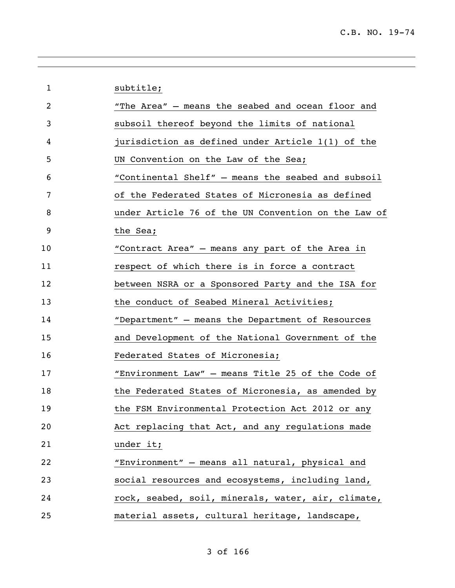| "The Area" - means the seabed and ocean floor and<br>2<br>subsoil thereof beyond the limits of national<br>3<br>jurisdiction as defined under Article 1(1) of the<br>4<br>5<br>UN Convention on the Law of the Sea;<br>"Continental Shelf" - means the seabed and subsoil<br>6<br>of the Federated States of Micronesia as defined<br>7<br>under Article 76 of the UN Convention on the Law of<br>8<br>9<br>the Sea;<br>"Contract Area" - means any part of the Area in<br>10<br>respect of which there is in force a contract<br>11<br>12<br>between NSRA or a Sponsored Party and the ISA for<br>13<br>the conduct of Seabed Mineral Activities;<br>14<br>"Department" - means the Department of Resources<br>and Development of the National Government of the<br>15<br>16<br>Federated States of Micronesia;<br>"Environment Law" - means Title 25 of the Code of<br>17<br>the Federated States of Micronesia, as amended by<br>18<br>19<br>the FSM Environmental Protection Act 2012 or any<br>Act replacing that Act, and any regulations made<br>20<br>21<br>under it;<br>"Environment" - means all natural, physical and<br>22<br>social resources and ecosystems, including land,<br>23<br>rock, seabed, soil, minerals, water, air, climate,<br>24<br>25<br>material assets, cultural heritage, landscape, | $\mathbf 1$ | subtitle; |
|----------------------------------------------------------------------------------------------------------------------------------------------------------------------------------------------------------------------------------------------------------------------------------------------------------------------------------------------------------------------------------------------------------------------------------------------------------------------------------------------------------------------------------------------------------------------------------------------------------------------------------------------------------------------------------------------------------------------------------------------------------------------------------------------------------------------------------------------------------------------------------------------------------------------------------------------------------------------------------------------------------------------------------------------------------------------------------------------------------------------------------------------------------------------------------------------------------------------------------------------------------------------------------------------------------------------|-------------|-----------|
|                                                                                                                                                                                                                                                                                                                                                                                                                                                                                                                                                                                                                                                                                                                                                                                                                                                                                                                                                                                                                                                                                                                                                                                                                                                                                                                      |             |           |
|                                                                                                                                                                                                                                                                                                                                                                                                                                                                                                                                                                                                                                                                                                                                                                                                                                                                                                                                                                                                                                                                                                                                                                                                                                                                                                                      |             |           |
|                                                                                                                                                                                                                                                                                                                                                                                                                                                                                                                                                                                                                                                                                                                                                                                                                                                                                                                                                                                                                                                                                                                                                                                                                                                                                                                      |             |           |
|                                                                                                                                                                                                                                                                                                                                                                                                                                                                                                                                                                                                                                                                                                                                                                                                                                                                                                                                                                                                                                                                                                                                                                                                                                                                                                                      |             |           |
|                                                                                                                                                                                                                                                                                                                                                                                                                                                                                                                                                                                                                                                                                                                                                                                                                                                                                                                                                                                                                                                                                                                                                                                                                                                                                                                      |             |           |
|                                                                                                                                                                                                                                                                                                                                                                                                                                                                                                                                                                                                                                                                                                                                                                                                                                                                                                                                                                                                                                                                                                                                                                                                                                                                                                                      |             |           |
|                                                                                                                                                                                                                                                                                                                                                                                                                                                                                                                                                                                                                                                                                                                                                                                                                                                                                                                                                                                                                                                                                                                                                                                                                                                                                                                      |             |           |
|                                                                                                                                                                                                                                                                                                                                                                                                                                                                                                                                                                                                                                                                                                                                                                                                                                                                                                                                                                                                                                                                                                                                                                                                                                                                                                                      |             |           |
|                                                                                                                                                                                                                                                                                                                                                                                                                                                                                                                                                                                                                                                                                                                                                                                                                                                                                                                                                                                                                                                                                                                                                                                                                                                                                                                      |             |           |
|                                                                                                                                                                                                                                                                                                                                                                                                                                                                                                                                                                                                                                                                                                                                                                                                                                                                                                                                                                                                                                                                                                                                                                                                                                                                                                                      |             |           |
|                                                                                                                                                                                                                                                                                                                                                                                                                                                                                                                                                                                                                                                                                                                                                                                                                                                                                                                                                                                                                                                                                                                                                                                                                                                                                                                      |             |           |
|                                                                                                                                                                                                                                                                                                                                                                                                                                                                                                                                                                                                                                                                                                                                                                                                                                                                                                                                                                                                                                                                                                                                                                                                                                                                                                                      |             |           |
|                                                                                                                                                                                                                                                                                                                                                                                                                                                                                                                                                                                                                                                                                                                                                                                                                                                                                                                                                                                                                                                                                                                                                                                                                                                                                                                      |             |           |
|                                                                                                                                                                                                                                                                                                                                                                                                                                                                                                                                                                                                                                                                                                                                                                                                                                                                                                                                                                                                                                                                                                                                                                                                                                                                                                                      |             |           |
|                                                                                                                                                                                                                                                                                                                                                                                                                                                                                                                                                                                                                                                                                                                                                                                                                                                                                                                                                                                                                                                                                                                                                                                                                                                                                                                      |             |           |
|                                                                                                                                                                                                                                                                                                                                                                                                                                                                                                                                                                                                                                                                                                                                                                                                                                                                                                                                                                                                                                                                                                                                                                                                                                                                                                                      |             |           |
|                                                                                                                                                                                                                                                                                                                                                                                                                                                                                                                                                                                                                                                                                                                                                                                                                                                                                                                                                                                                                                                                                                                                                                                                                                                                                                                      |             |           |
|                                                                                                                                                                                                                                                                                                                                                                                                                                                                                                                                                                                                                                                                                                                                                                                                                                                                                                                                                                                                                                                                                                                                                                                                                                                                                                                      |             |           |
|                                                                                                                                                                                                                                                                                                                                                                                                                                                                                                                                                                                                                                                                                                                                                                                                                                                                                                                                                                                                                                                                                                                                                                                                                                                                                                                      |             |           |
|                                                                                                                                                                                                                                                                                                                                                                                                                                                                                                                                                                                                                                                                                                                                                                                                                                                                                                                                                                                                                                                                                                                                                                                                                                                                                                                      |             |           |
|                                                                                                                                                                                                                                                                                                                                                                                                                                                                                                                                                                                                                                                                                                                                                                                                                                                                                                                                                                                                                                                                                                                                                                                                                                                                                                                      |             |           |
|                                                                                                                                                                                                                                                                                                                                                                                                                                                                                                                                                                                                                                                                                                                                                                                                                                                                                                                                                                                                                                                                                                                                                                                                                                                                                                                      |             |           |
|                                                                                                                                                                                                                                                                                                                                                                                                                                                                                                                                                                                                                                                                                                                                                                                                                                                                                                                                                                                                                                                                                                                                                                                                                                                                                                                      |             |           |
|                                                                                                                                                                                                                                                                                                                                                                                                                                                                                                                                                                                                                                                                                                                                                                                                                                                                                                                                                                                                                                                                                                                                                                                                                                                                                                                      |             |           |

of 166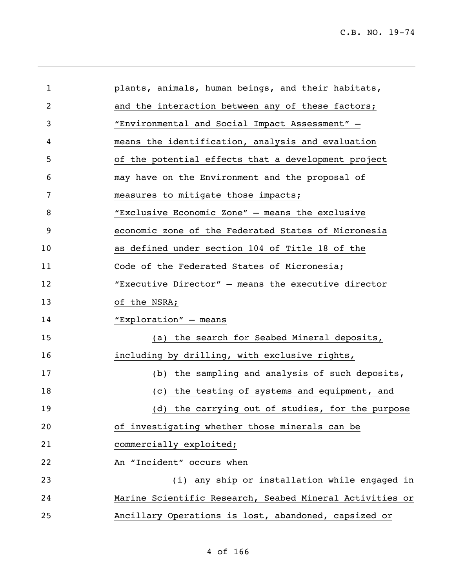| 1  | plants, animals, human beings, and their habitats,       |
|----|----------------------------------------------------------|
|    |                                                          |
| 2  | and the interaction between any of these factors;        |
| 3  | "Environmental and Social Impact Assessment" -           |
| 4  | means the identification, analysis and evaluation        |
| 5  | of the potential effects that a development project      |
| 6  | may have on the Environment and the proposal of          |
| 7  | measures to mitigate those impacts;                      |
| 8  | "Exclusive Economic Zone" - means the exclusive          |
| 9  | economic zone of the Federated States of Micronesia      |
| 10 | as defined under section 104 of Title 18 of the          |
| 11 | Code of the Federated States of Micronesia;              |
| 12 | "Executive Director" - means the executive director      |
| 13 | of the NSRA;                                             |
| 14 | "Exploration" - means                                    |
| 15 | (a) the search for Seabed Mineral deposits,              |
| 16 | including by drilling, with exclusive rights,            |
| 17 | (b) the sampling and analysis of such deposits,          |
| 18 | (c) the testing of systems and equipment, and            |
| 19 | (d) the carrying out of studies, for the purpose         |
| 20 | of investigating whether those minerals can be           |
| 21 | commercially exploited;                                  |
| 22 | An "Incident" occurs when                                |
| 23 | (i) any ship or installation while engaged in            |
| 24 | Marine Scientific Research, Seabed Mineral Activities or |
| 25 | Ancillary Operations is lost, abandoned, capsized or     |
|    |                                                          |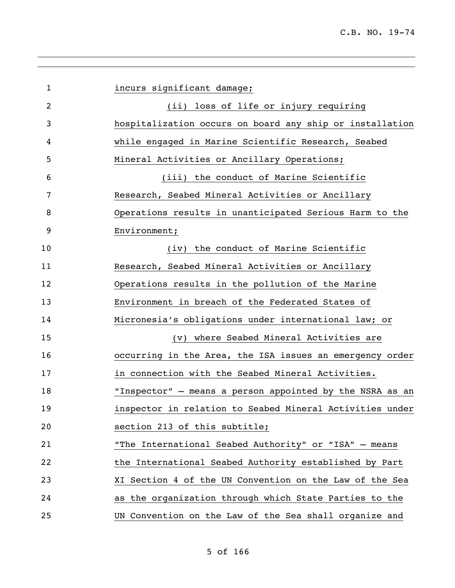| $\mathbf{1}$   | incurs significant damage;                               |
|----------------|----------------------------------------------------------|
| $\overline{2}$ | (ii) loss of life or injury requiring                    |
| 3              | hospitalization occurs on board any ship or installation |
| 4              | while engaged in Marine Scientific Research, Seabed      |
| 5              | Mineral Activities or Ancillary Operations;              |
| 6              | (iii) the conduct of Marine Scientific                   |
| 7              | Research, Seabed Mineral Activities or Ancillary         |
| 8              | Operations results in unanticipated Serious Harm to the  |
| 9              | Environment;                                             |
| 10             | (iv) the conduct of Marine Scientific                    |
| 11             | Research, Seabed Mineral Activities or Ancillary         |
| 12             | Operations results in the pollution of the Marine        |
| 13             | Environment in breach of the Federated States of         |
| 14             | Micronesia's obligations under international law; or     |
| 15             | (v) where Seabed Mineral Activities are                  |
| 16             | occurring in the Area, the ISA issues an emergency order |
| 17             | in connection with the Seabed Mineral Activities.        |
| 18             | "Inspector" - means a person appointed by the NSRA as an |
| 19             | inspector in relation to Seabed Mineral Activities under |
| 20             | section 213 of this subtitle;                            |
| 21             | "The International Seabed Authority" or "ISA" - means    |
| 22             | the International Seabed Authority established by Part   |
| 23             | XI Section 4 of the UN Convention on the Law of the Sea  |
| 24             | as the organization through which State Parties to the   |
| 25             | UN Convention on the Law of the Sea shall organize and   |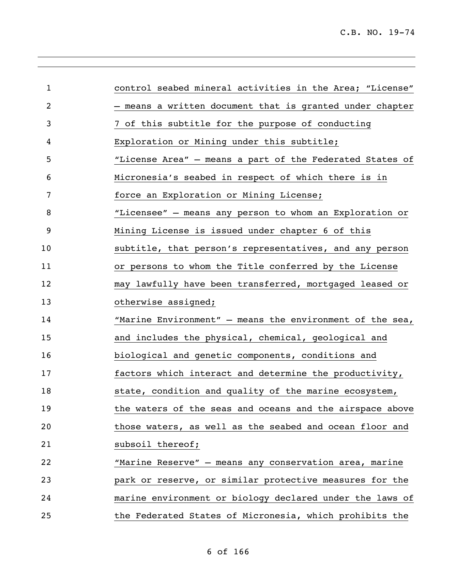| $\mathbf{1}$ | control seabed mineral activities in the Area; "License"   |
|--------------|------------------------------------------------------------|
| 2            | - means a written document that is granted under chapter   |
| 3            | 7 of this subtitle for the purpose of conducting           |
| 4            | Exploration or Mining under this subtitle;                 |
| 5            | "License Area" - means a part of the Federated States of   |
| 6            | Micronesia's seabed in respect of which there is in        |
| 7            | force an Exploration or Mining License;                    |
| 8            | "Licensee" - means any person to whom an Exploration or    |
| 9            | Mining License is issued under chapter 6 of this           |
| 10           | subtitle, that person's representatives, and any person    |
| 11           | or persons to whom the Title conferred by the License      |
| 12           | may lawfully have been transferred, mortgaged leased or    |
| 13           | otherwise assigned;                                        |
| 14           | "Marine Environment" $-$ means the environment of the sea, |
| 15           | and includes the physical, chemical, geological and        |
| 16           | biological and genetic components, conditions and          |
| 17           | factors which interact and determine the productivity,     |
| 18           | state, condition and quality of the marine ecosystem,      |
| 19           | the waters of the seas and oceans and the airspace above   |
| 20           | those waters, as well as the seabed and ocean floor and    |
| 21           | subsoil thereof;                                           |
| 22           | "Marine Reserve" - means any conservation area, marine     |
| 23           | park or reserve, or similar protective measures for the    |
| 24           | marine environment or biology declared under the laws of   |
| 25           | the Federated States of Micronesia, which prohibits the    |

of 166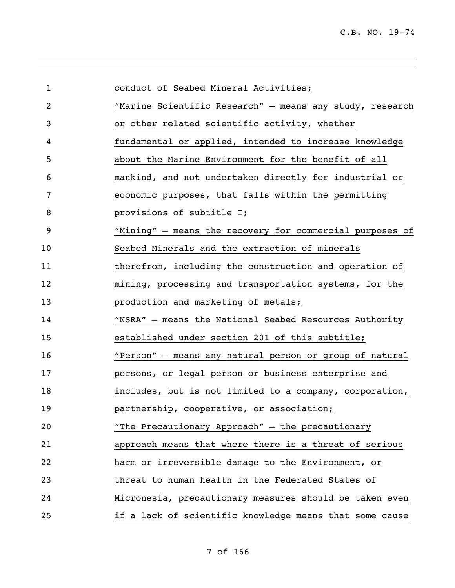| $\mathbf{1}$   | conduct of Seabed Mineral Activities;                    |
|----------------|----------------------------------------------------------|
| $\overline{c}$ | "Marine Scientific Research" - means any study, research |
| 3              | or other related scientific activity, whether            |
| 4              | fundamental or applied, intended to increase knowledge   |
| 5              | about the Marine Environment for the benefit of all      |
| 6              | mankind, and not undertaken directly for industrial or   |
| 7              | economic purposes, that falls within the permitting      |
| 8              | provisions of subtitle I;                                |
| 9              | "Mining" - means the recovery for commercial purposes of |
| 10             | Seabed Minerals and the extraction of minerals           |
| 11             | therefrom, including the construction and operation of   |
| 12             | mining, processing and transportation systems, for the   |
| 13             | production and marketing of metals;                      |
| 14             | "NSRA" - means the National Seabed Resources Authority   |
| 15             | established under section 201 of this subtitle;          |
| 16             | "Person" - means any natural person or group of natural  |
| 17             | persons, or legal person or business enterprise and      |
| 18             | includes, but is not limited to a company, corporation,  |
| 19             | partnership, cooperative, or association;                |
| 20             | "The Precautionary Approach" - the precautionary         |
| 21             | approach means that where there is a threat of serious   |
| 22             | harm or irreversible damage to the Environment, or       |
| 23             | threat to human health in the Federated States of        |
| 24             | Micronesia, precautionary measures should be taken even  |
| 25             | if a lack of scientific knowledge means that some cause  |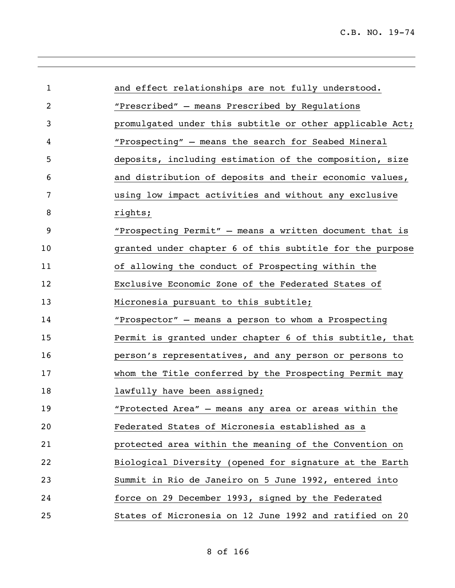| 1  | and effect relationships are not fully understood.       |
|----|----------------------------------------------------------|
| 2  | "Prescribed" - means Prescribed by Regulations           |
| 3  | promulgated under this subtitle or other applicable Act; |
| 4  | "Prospecting" - means the search for Seabed Mineral      |
| 5  | deposits, including estimation of the composition, size  |
| 6  | and distribution of deposits and their economic values,  |
| 7  | using low impact activities and without any exclusive    |
| 8  | rights;                                                  |
| 9  | "Prospecting Permit" - means a written document that is  |
| 10 | granted under chapter 6 of this subtitle for the purpose |
| 11 | of allowing the conduct of Prospecting within the        |
| 12 | Exclusive Economic Zone of the Federated States of       |
| 13 | Micronesia pursuant to this subtitle;                    |
| 14 | "Prospector" - means a person to whom a Prospecting      |
| 15 | Permit is granted under chapter 6 of this subtitle, that |
| 16 | person's representatives, and any person or persons to   |
| 17 | whom the Title conferred by the Prospecting Permit may   |
| 18 | lawfully have been assigned;                             |
| 19 | "Protected Area" - means any area or areas within the    |
| 20 | Federated States of Micronesia established as a          |
| 21 | protected area within the meaning of the Convention on   |
| 22 | Biological Diversity (opened for signature at the Earth  |
| 23 | Summit in Rio de Janeiro on 5 June 1992, entered into    |
| 24 | force on 29 December 1993, signed by the Federated       |
| 25 | States of Micronesia on 12 June 1992 and ratified on 20  |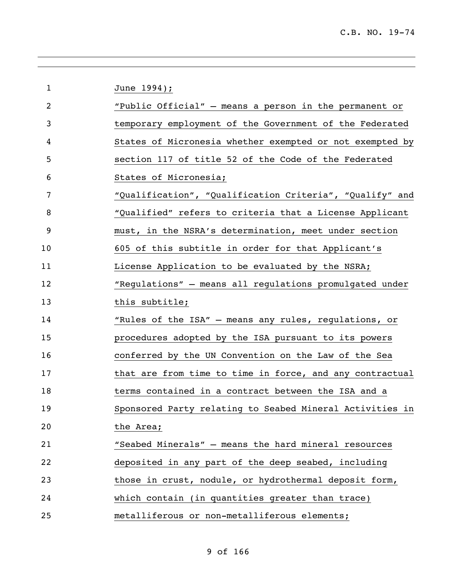| 1              | June 1994);                                              |
|----------------|----------------------------------------------------------|
| $\overline{2}$ | "Public Official" - means a person in the permanent or   |
| 3              | temporary employment of the Government of the Federated  |
| 4              | States of Micronesia whether exempted or not exempted by |
| 5              | section 117 of title 52 of the Code of the Federated     |
| 6              | States of Micronesia;                                    |
| 7              | "Qualification", "Qualification Criteria", "Qualify" and |
| 8              | "Qualified" refers to criteria that a License Applicant  |
| 9              | must, in the NSRA's determination, meet under section    |
| 10             | 605 of this subtitle in order for that Applicant's       |
| 11             | License Application to be evaluated by the NSRA;         |
| 12             | "Regulations" - means all regulations promulgated under  |
| 13             | this subtitle;                                           |
| 14             | "Rules of the ISA" - means any rules, regulations, or    |
| 15             | procedures adopted by the ISA pursuant to its powers     |
| 16             | conferred by the UN Convention on the Law of the Sea     |
| 17             | that are from time to time in force, and any contractual |
| 18             | terms contained in a contract between the ISA and a      |
| 19             | Sponsored Party relating to Seabed Mineral Activities in |
| 20             | the Area;                                                |
| 21             | "Seabed Minerals" - means the hard mineral resources     |
| 22             | deposited in any part of the deep seabed, including      |
| 23             | those in crust, nodule, or hydrothermal deposit form,    |
| 24             | which contain (in quantities greater than trace)         |
| 25             | metalliferous or non-metalliferous elements;             |

# of 166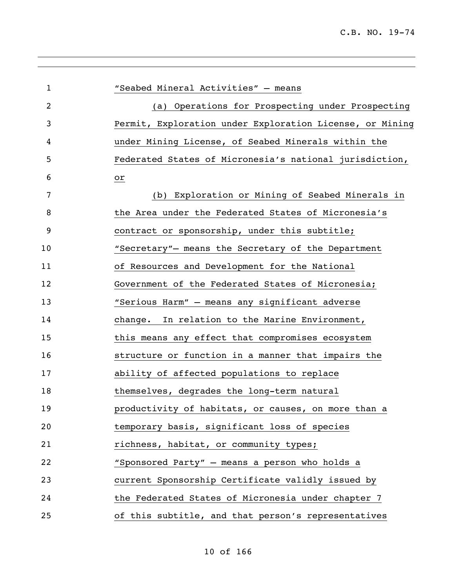| 1  | "Seabed Mineral Activities" - means                      |
|----|----------------------------------------------------------|
| 2  | (a) Operations for Prospecting under Prospecting         |
| 3  | Permit, Exploration under Exploration License, or Mining |
| 4  | under Mining License, of Seabed Minerals within the      |
| 5  | Federated States of Micronesia's national jurisdiction,  |
| 6  | or                                                       |
| 7  | (b) Exploration or Mining of Seabed Minerals in          |
| 8  | the Area under the Federated States of Micronesia's      |
| 9  | contract or sponsorship, under this subtitle;            |
| 10 | "Secretary"- means the Secretary of the Department       |
| 11 | of Resources and Development for the National            |
| 12 | Government of the Federated States of Micronesia;        |
| 13 | "Serious Harm" - means any significant adverse           |
| 14 | change. In relation to the Marine Environment,           |
| 15 | this means any effect that compromises ecosystem         |
| 16 | structure or function in a manner that impairs the       |
| 17 | ability of affected populations to replace               |
| 18 | themselves, degrades the long-term natural               |
| 19 | productivity of habitats, or causes, on more than a      |
| 20 | temporary basis, significant loss of species             |
| 21 | richness, habitat, or community types;                   |
| 22 | "Sponsored Party" - means a person who holds a           |
| 23 | current Sponsorship Certificate validly issued by        |
| 24 | the Federated States of Micronesia under chapter 7       |
| 25 | of this subtitle, and that person's representatives      |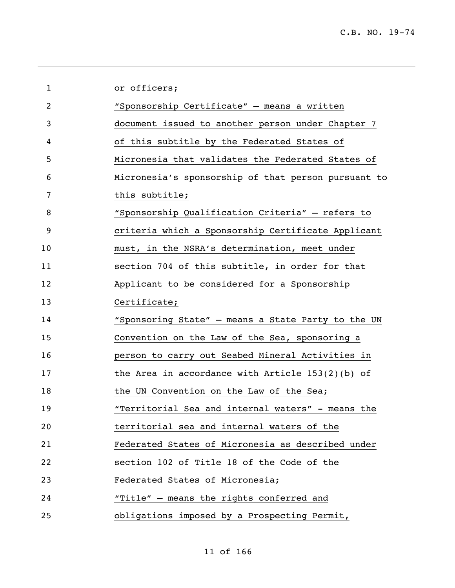| $\mathbf{1}$   | or officers;                                        |
|----------------|-----------------------------------------------------|
| $\overline{2}$ | "Sponsorship Certificate" - means a written         |
| 3              | document issued to another person under Chapter 7   |
| 4              | of this subtitle by the Federated States of         |
| 5              | Micronesia that validates the Federated States of   |
| 6              | Micronesia's sponsorship of that person pursuant to |
| 7              | this subtitle;                                      |
| 8              | "Sponsorship Qualification Criteria" - refers to    |
| 9              | criteria which a Sponsorship Certificate Applicant  |
| 10             | must, in the NSRA's determination, meet under       |
| 11             | section 704 of this subtitle, in order for that     |
| 12             | Applicant to be considered for a Sponsorship        |
| 13             | Certificate;                                        |
| 14             | "Sponsoring State" - means a State Party to the UN  |
| 15             | Convention on the Law of the Sea, sponsoring a      |
| 16             | person to carry out Seabed Mineral Activities in    |
| 17             | the Area in accordance with Article $153(2)(b)$ of  |
| 18             | the UN Convention on the Law of the Sea;            |
| 19             | "Territorial Sea and internal waters" - means the   |
| 20             | territorial sea and internal waters of the          |
| 21             | Federated States of Micronesia as described under   |
| 22             | section 102 of Title 18 of the Code of the          |
| 23             | Federated States of Micronesia;                     |
| 24             | "Title" - means the rights conferred and            |
| 25             | obligations imposed by a Prospecting Permit,        |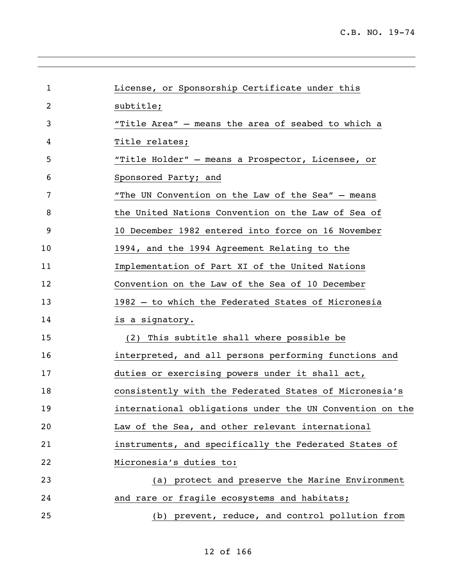| $\mathbf 1$ | License, or Sponsorship Certificate under this           |
|-------------|----------------------------------------------------------|
| 2           | subtitle;                                                |
| 3           | "Title Area" - means the area of seabed to which a       |
| 4           | Title relates;                                           |
| 5           | "Title Holder" - means a Prospector, Licensee, or        |
| 6           | Sponsored Party; and                                     |
| 7           | "The UN Convention on the Law of the Sea" - means        |
| 8           | the United Nations Convention on the Law of Sea of       |
| 9           | 10 December 1982 entered into force on 16 November       |
| 10          | 1994, and the 1994 Agreement Relating to the             |
| 11          | Implementation of Part XI of the United Nations          |
| 12          | Convention on the Law of the Sea of 10 December          |
| 13          | 1982 - to which the Federated States of Micronesia       |
| 14          | is a signatory.                                          |
| 15          | (2) This subtitle shall where possible be                |
| 16          | interpreted, and all persons performing functions and    |
| 17          | duties or exercising powers under it shall act,          |
| 18          | consistently with the Federated States of Micronesia's   |
| 19          | international obligations under the UN Convention on the |
| 20          | Law of the Sea, and other relevant international         |
| 21          | instruments, and specifically the Federated States of    |
| 22          | Micronesia's duties to:                                  |
| 23          | (a) protect and preserve the Marine Environment          |
| 24          | and rare or fragile ecosystems and habitats;             |
| 25          | (b) prevent, reduce, and control pollution from          |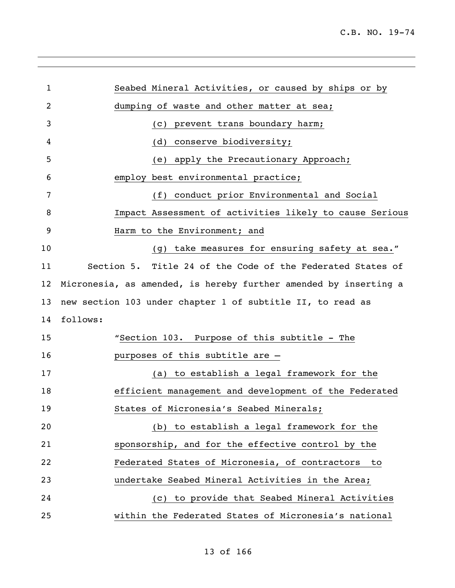| 1              | Seabed Mineral Activities, or caused by ships or by              |
|----------------|------------------------------------------------------------------|
| $\overline{2}$ | dumping of waste and other matter at sea;                        |
| 3              | prevent trans boundary harm;<br>(C)                              |
| 4              | conserve biodiversity;<br>(d)                                    |
| 5              | apply the Precautionary Approach;<br>(e)                         |
| 6              | employ best environmental practice;                              |
| 7              | conduct prior Environmental and Social<br>(f)                    |
| 8              | Impact Assessment of activities likely to cause Serious          |
| 9              | Harm to the Environment; and                                     |
| 10             | (g) take measures for ensuring safety at sea."                   |
| 11             | Section 5. Title 24 of the Code of the Federated States of       |
| 12             | Micronesia, as amended, is hereby further amended by inserting a |
| 13             | new section 103 under chapter 1 of subtitle II, to read as       |
| 14             | follows:                                                         |
| 15             | "Section 103. Purpose of this subtitle - The                     |
| 16             | purposes of this subtitle are -                                  |
| 17             | to establish a legal framework for the<br>(a)                    |
| 18             | efficient management and development of the Federated            |
| 19             | States of Micronesia's Seabed Minerals;                          |
| 20             | (b) to establish a legal framework for the                       |
| 21             | sponsorship, and for the effective control by the                |
| 22             | Federated States of Micronesia, of contractors<br>to             |
| 23             | undertake Seabed Mineral Activities in the Area;                 |
| 24             | to provide that Seabed Mineral Activities<br>(C)                 |
| 25             | within the Federated States of Micronesia's national             |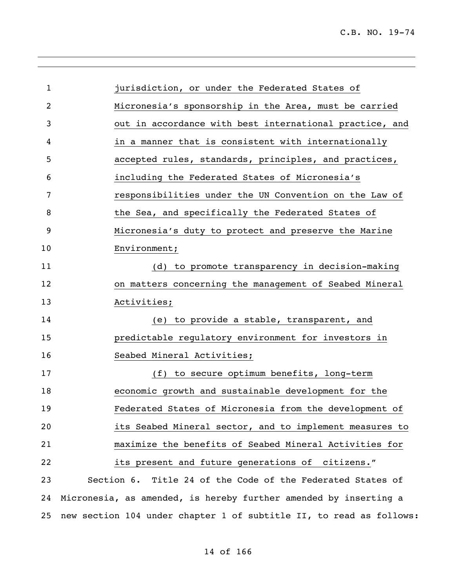| 1  | jurisdiction, or under the Federated States of                      |  |
|----|---------------------------------------------------------------------|--|
| 2  | Micronesia's sponsorship in the Area, must be carried               |  |
| 3  | out in accordance with best international practice, and             |  |
| 4  | in a manner that is consistent with internationally                 |  |
| 5  | accepted rules, standards, principles, and practices,               |  |
| 6  | including the Federated States of Micronesia's                      |  |
| 7  | responsibilities under the UN Convention on the Law of              |  |
| 8  | the Sea, and specifically the Federated States of                   |  |
| 9  | Micronesia's duty to protect and preserve the Marine                |  |
| 10 | Environment;                                                        |  |
| 11 | (d) to promote transparency in decision-making                      |  |
| 12 | on matters concerning the management of Seabed Mineral              |  |
| 13 | Activities;                                                         |  |
| 14 | (e) to provide a stable, transparent, and                           |  |
| 15 | predictable regulatory environment for investors in                 |  |
| 16 | Seabed Mineral Activities;                                          |  |
| 17 | (f) to secure optimum benefits, long-term                           |  |
| 18 | economic growth and sustainable development for the                 |  |
| 19 | Federated States of Micronesia from the development of              |  |
| 20 | its Seabed Mineral sector, and to implement measures to             |  |
| 21 | maximize the benefits of Seabed Mineral Activities for              |  |
| 22 | its present and future generations of citizens."                    |  |
| 23 | Section 6. Title 24 of the Code of the Federated States of          |  |
| 24 | Micronesia, as amended, is hereby further amended by inserting a    |  |
| 25 | new section 104 under chapter 1 of subtitle II, to read as follows: |  |
|    |                                                                     |  |

,我们也不会有什么。""我们的人,我们也不会有什么?""我们的人,我们也不会有什么?""我们的人,我们也不会有什么?""我们的人,我们也不会有什么?""我们的人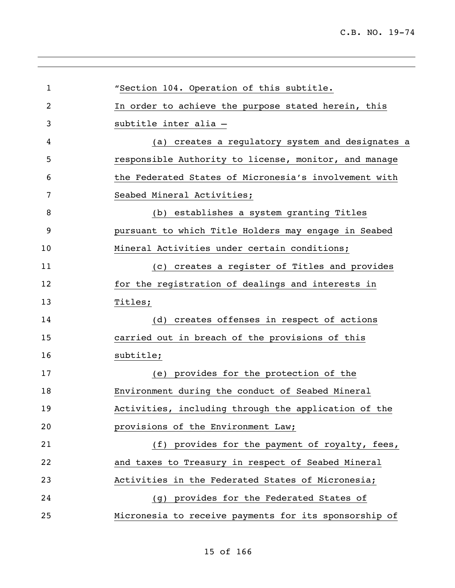| $\mathbf{1}$ | "Section 104. Operation of this subtitle.             |
|--------------|-------------------------------------------------------|
| 2            | In order to achieve the purpose stated herein, this   |
| 3            | subtitle inter alia -                                 |
| 4            | (a) creates a regulatory system and designates a      |
| 5            | responsible Authority to license, monitor, and manage |
| 6            | the Federated States of Micronesia's involvement with |
| 7            | Seabed Mineral Activities;                            |
| 8            | (b) establishes a system granting Titles              |
| 9            | pursuant to which Title Holders may engage in Seabed  |
| 10           | Mineral Activities under certain conditions;          |
| 11           | (c) creates a register of Titles and provides         |
| 12           | for the registration of dealings and interests in     |
| 13           | Titles;                                               |
| 14           | (d) creates offenses in respect of actions            |
| 15           | carried out in breach of the provisions of this       |
| 16           | subtitle;                                             |
| 17           | (e) provides for the protection of the                |
| 18           | Environment during the conduct of Seabed Mineral      |
| 19           | Activities, including through the application of the  |
| 20           | provisions of the Environment Law;                    |
| 21           | (f) provides for the payment of royalty, fees,        |
| 22           | and taxes to Treasury in respect of Seabed Mineral    |
| 23           | Activities in the Federated States of Micronesia;     |
| 24           | (g) provides for the Federated States of              |
| 25           | Micronesia to receive payments for its sponsorship of |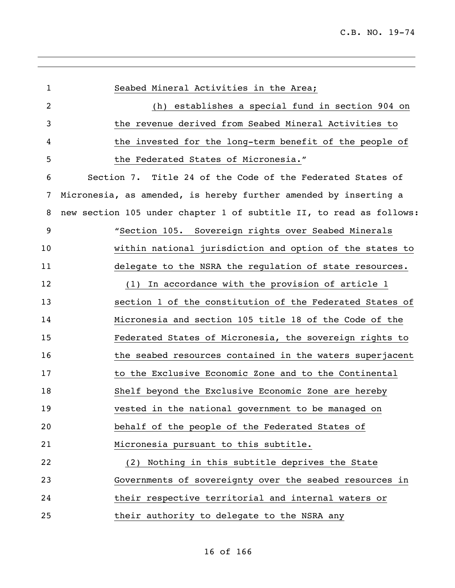| $\mathbf{1}$ | Seabed Mineral Activities in the Area;                              |
|--------------|---------------------------------------------------------------------|
| 2            | establishes a special fund in section 904 on<br>(h)                 |
| 3            | the revenue derived from Seabed Mineral Activities to               |
| 4            | the invested for the long-term benefit of the people of             |
| 5            | the Federated States of Micronesia."                                |
| 6            | Section 7. Title 24 of the Code of the Federated States of          |
| 7            | Micronesia, as amended, is hereby further amended by inserting a    |
| 8            | new section 105 under chapter 1 of subtitle II, to read as follows: |
| 9            | "Section 105. Sovereign rights over Seabed Minerals                 |
| 10           | within national jurisdiction and option of the states to            |
| 11           | delegate to the NSRA the regulation of state resources.             |
| 12           | In accordance with the provision of article 1<br>(1)                |
| 13           | section 1 of the constitution of the Federated States of            |
| 14           | Micronesia and section 105 title 18 of the Code of the              |
| 15           | Federated States of Micronesia, the sovereign rights to             |
| 16           | the seabed resources contained in the waters superjacent            |
| 17           | to the Exclusive Economic Zone and to the Continental               |
| 18           | Shelf beyond the Exclusive Economic Zone are hereby                 |
| 19           | vested in the national government to be managed on                  |
| 20           | behalf of the people of the Federated States of                     |
| 21           | Micronesia pursuant to this subtitle.                               |
| 22           | Nothing in this subtitle deprives the State<br>(2)                  |
| 23           | Governments of sovereignty over the seabed resources in             |
| 24           | their respective territorial and internal waters or                 |
| 25           | their authority to delegate to the NSRA any                         |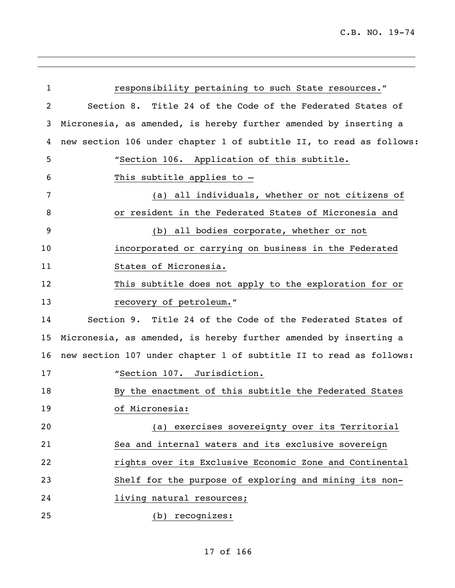| $\mathbf{1}$ | responsibility pertaining to such State resources."                 |
|--------------|---------------------------------------------------------------------|
| 2            | Section 8. Title 24 of the Code of the Federated States of          |
| 3            | Micronesia, as amended, is hereby further amended by inserting a    |
| 4            | new section 106 under chapter 1 of subtitle II, to read as follows: |
| 5            | "Section 106. Application of this subtitle.                         |
| 6            | This subtitle applies to $-$                                        |
| 7            | all individuals, whether or not citizens of<br>(a)                  |
| 8            | or resident in the Federated States of Micronesia and               |
| 9            | (b) all bodies corporate, whether or not                            |
| 10           | incorporated or carrying on business in the Federated               |
| 11           | States of Micronesia.                                               |
| 12           | This subtitle does not apply to the exploration for or              |
| 13           | recovery of petroleum."                                             |
| 14           | Section 9. Title 24 of the Code of the Federated States of          |
| 15           | Micronesia, as amended, is hereby further amended by inserting a    |
| 16           | new section 107 under chapter 1 of subtitle II to read as follows:  |
| 17           | "Section 107. Jurisdiction.                                         |
| 18           | By the enactment of this subtitle the Federated States              |
| 19           | of Micronesia:                                                      |
| 20           | (a) exercises sovereignty over its Territorial                      |
| 21           | Sea and internal waters and its exclusive sovereign                 |
| 22           | rights over its Exclusive Economic Zone and Continental             |
| 23           | Shelf for the purpose of exploring and mining its non-              |
| 24           | living natural resources;                                           |
| 25           | (b) recognizes:                                                     |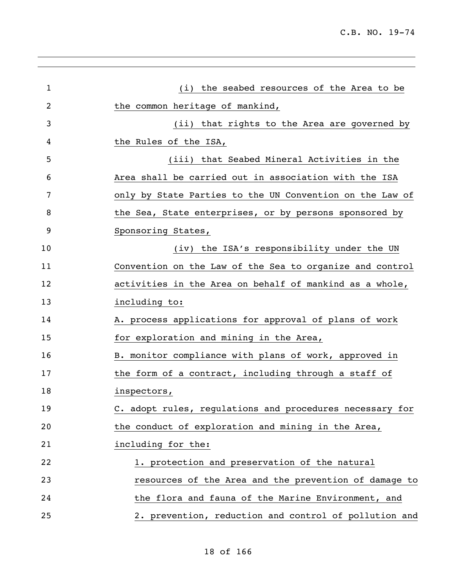| $\mathbf 1$ | (i) the seabed resources of the Area to be               |
|-------------|----------------------------------------------------------|
| 2           | the common heritage of mankind,                          |
| 3           | (ii) that rights to the Area are governed by             |
| 4           | the Rules of the ISA,                                    |
| 5           | (iii) that Seabed Mineral Activities in the              |
| 6           | Area shall be carried out in association with the ISA    |
| 7           | only by State Parties to the UN Convention on the Law of |
| 8           | the Sea, State enterprises, or by persons sponsored by   |
| 9           | Sponsoring States,                                       |
| 10          | (iv) the ISA's responsibility under the UN               |
| 11          | Convention on the Law of the Sea to organize and control |
| 12          | activities in the Area on behalf of mankind as a whole,  |
| 13          | including to:                                            |
| 14          | A. process applications for approval of plans of work    |
| 15          | for exploration and mining in the Area,                  |
| 16          | B. monitor compliance with plans of work, approved in    |
| 17          | the form of a contract, including through a staff of     |
| 18          | inspectors,                                              |
| 19          | C. adopt rules, regulations and procedures necessary for |
| 20          | the conduct of exploration and mining in the Area,       |
| 21          | including for the:                                       |
| 22          | 1. protection and preservation of the natural            |
| 23          | resources of the Area and the prevention of damage to    |
| 24          | the flora and fauna of the Marine Environment, and       |
| 25          | 2. prevention, reduction and control of pollution and    |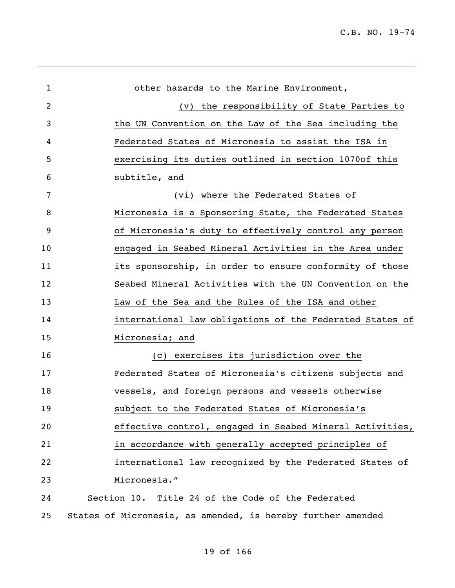| 1  | other hazards to the Marine Environment,                    |
|----|-------------------------------------------------------------|
| 2  | (v) the responsibility of State Parties to                  |
| 3  | the UN Convention on the Law of the Sea including the       |
| 4  | Federated States of Micronesia to assist the ISA in         |
| 5  | exercising its duties outlined in section 1070of this       |
| 6  | subtitle, and                                               |
| 7  | (vi) where the Federated States of                          |
| 8  | Micronesia is a Sponsoring State, the Federated States      |
| 9  | of Micronesia's duty to effectively control any person      |
| 10 | engaged in Seabed Mineral Activities in the Area under      |
| 11 | its sponsorship, in order to ensure conformity of those     |
| 12 | Seabed Mineral Activities with the UN Convention on the     |
| 13 | Law of the Sea and the Rules of the ISA and other           |
| 14 | international law obligations of the Federated States of    |
| 15 | Micronesia; and                                             |
| 16 | (c) exercises its jurisdiction over the                     |
| 17 | Federated States of Micronesia's citizens subjects and      |
| 18 | vessels, and foreign persons and vessels otherwise          |
| 19 | subject to the Federated States of Micronesia's             |
| 20 | effective control, engaged in Seabed Mineral Activities,    |
| 21 | in accordance with generally accepted principles of         |
| 22 | international law recognized by the Federated States of     |
| 23 | Micronesia."                                                |
| 24 | Section 10. Title 24 of the Code of the Federated           |
| 25 | States of Micronesia, as amended, is hereby further amended |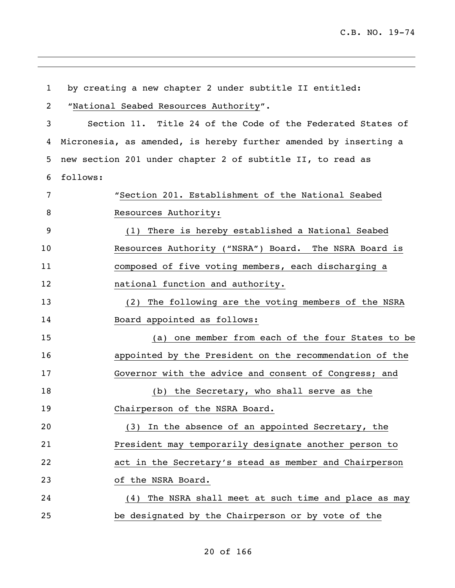by creating a new chapter 2 under subtitle II entitled: "National Seabed Resources Authority". Section 11. Title 24 of the Code of the Federated States of Micronesia, as amended, is hereby further amended by inserting a new section 201 under chapter 2 of subtitle II, to read as follows: "Section 201. Establishment of the National Seabed 8 Resources Authority: (1) There is hereby established a National Seabed Resources Authority ("NSRA") Board. The NSRA Board is composed of five voting members, each discharging a national function and authority. (2) The following are the voting members of the NSRA 14 Board appointed as follows: (a) one member from each of the four States to be appointed by the President on the recommendation of the Governor with the advice and consent of Congress; and (b) the Secretary, who shall serve as the Chairperson of the NSRA Board. (3) In the absence of an appointed Secretary, the President may temporarily designate another person to act in the Secretary's stead as member and Chairperson of the NSRA Board. (4) The NSRA shall meet at such time and place as may be designated by the Chairperson or by vote of the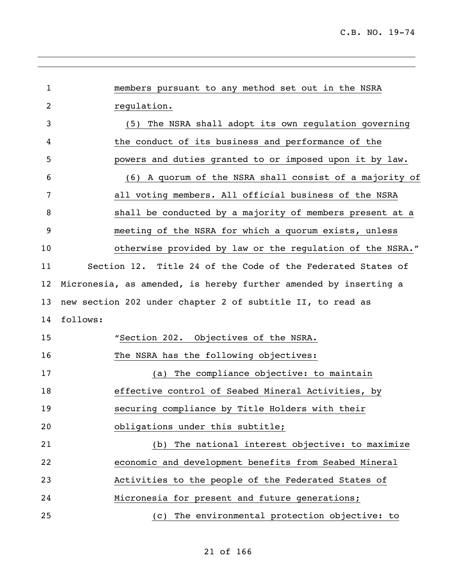| 1  | members pursuant to any method set out in the NSRA               |  |  |
|----|------------------------------------------------------------------|--|--|
| 2  | regulation.                                                      |  |  |
| 3  | The NSRA shall adopt its own regulation governing<br>(5)         |  |  |
| 4  | the conduct of its business and performance of the               |  |  |
| 5  | powers and duties granted to or imposed upon it by law.          |  |  |
| 6  | A quorum of the NSRA shall consist of a majority of<br>(6)       |  |  |
| 7  | all voting members. All official business of the NSRA            |  |  |
| 8  | shall be conducted by a majority of members present at a         |  |  |
| 9  | meeting of the NSRA for which a quorum exists, unless            |  |  |
| 10 | otherwise provided by law or the regulation of the NSRA."        |  |  |
| 11 | Section 12. Title 24 of the Code of the Federated States of      |  |  |
| 12 | Micronesia, as amended, is hereby further amended by inserting a |  |  |
| 13 | new section 202 under chapter 2 of subtitle II, to read as       |  |  |
| 14 | follows:                                                         |  |  |
| 15 | "Section 202. Objectives of the NSRA.                            |  |  |
| 16 | The NSRA has the following objectives:                           |  |  |
| 17 | The compliance objective: to maintain<br>(a)                     |  |  |
| 18 | effective control of Seabed Mineral Activities, by               |  |  |
| 19 | securing compliance by Title Holders with their                  |  |  |
| 20 | obligations under this subtitle;                                 |  |  |
| 21 | The national interest objective: to maximize<br>(b)              |  |  |
| 22 | economic and development benefits from Seabed Mineral            |  |  |
| 23 | Activities to the people of the Federated States of              |  |  |
| 24 | Micronesia for present and future generations;                   |  |  |
| 25 | The environmental protection objective: to<br>(C)                |  |  |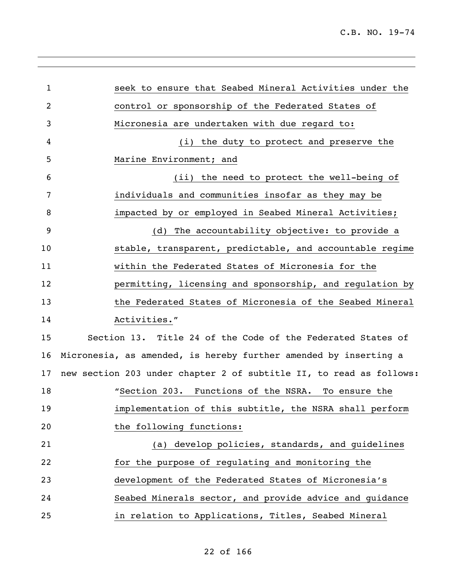| 1  | seek to ensure that Seabed Mineral Activities under the             |
|----|---------------------------------------------------------------------|
| 2  | control or sponsorship of the Federated States of                   |
| 3  | Micronesia are undertaken with due regard to:                       |
| 4  | (i) the duty to protect and preserve the                            |
| 5  | Marine Environment; and                                             |
| 6  | (ii) the need to protect the well-being of                          |
| 7  | individuals and communities insofar as they may be                  |
| 8  | impacted by or employed in Seabed Mineral Activities;               |
| 9  | (d) The accountability objective: to provide a                      |
| 10 | stable, transparent, predictable, and accountable regime            |
| 11 | within the Federated States of Micronesia for the                   |
| 12 | permitting, licensing and sponsorship, and regulation by            |
| 13 | the Federated States of Micronesia of the Seabed Mineral            |
| 14 | Activities."                                                        |
| 15 | Section 13. Title 24 of the Code of the Federated States of         |
| 16 | Micronesia, as amended, is hereby further amended by inserting a    |
| 17 | new section 203 under chapter 2 of subtitle II, to read as follows: |
| 18 | "Section 203. Functions of the NSRA.<br>To ensure the               |
| 19 | implementation of this subtitle, the NSRA shall perform             |
| 20 | the following functions:                                            |
| 21 | develop policies, standards, and guidelines<br>(a)                  |
| 22 | for the purpose of regulating and monitoring the                    |
| 23 | development of the Federated States of Micronesia's                 |
| 24 | Seabed Minerals sector, and provide advice and guidance             |
| 25 | in relation to Applications, Titles, Seabed Mineral                 |
|    |                                                                     |

# of 166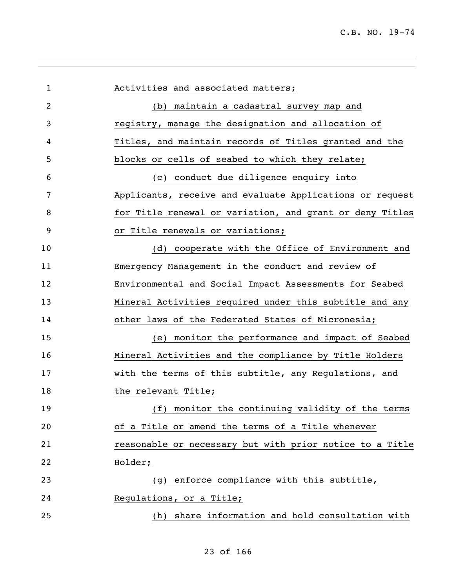| 1              | Activities and associated matters;                       |
|----------------|----------------------------------------------------------|
| $\overline{2}$ | (b) maintain a cadastral survey map and                  |
| 3              | registry, manage the designation and allocation of       |
| 4              | Titles, and maintain records of Titles granted and the   |
| 5              | blocks or cells of seabed to which they relate;          |
| 6              | (c) conduct due diligence enquiry into                   |
| 7              | Applicants, receive and evaluate Applications or request |
| 8              | for Title renewal or variation, and grant or deny Titles |
| 9              | or Title renewals or variations;                         |
| 10             | (d) cooperate with the Office of Environment and         |
| 11             | Emergency Management in the conduct and review of        |
| 12             | Environmental and Social Impact Assessments for Seabed   |
| 13             | Mineral Activities required under this subtitle and any  |
| 14             | other laws of the Federated States of Micronesia;        |
| 15             | monitor the performance and impact of Seabed<br>(e)      |
| 16             | Mineral Activities and the compliance by Title Holders   |
| 17             | with the terms of this subtitle, any Regulations, and    |
| 18             | the relevant Title;                                      |
| 19             | (f) monitor the continuing validity of the terms         |
| 20             | of a Title or amend the terms of a Title whenever        |
| 21             | reasonable or necessary but with prior notice to a Title |
| 22             | Holder;                                                  |
| 23             | enforce compliance with this subtitle,<br>(q)            |
| 24             | Regulations, or a Title;                                 |
| 25             | share information and hold consultation with<br>(h)      |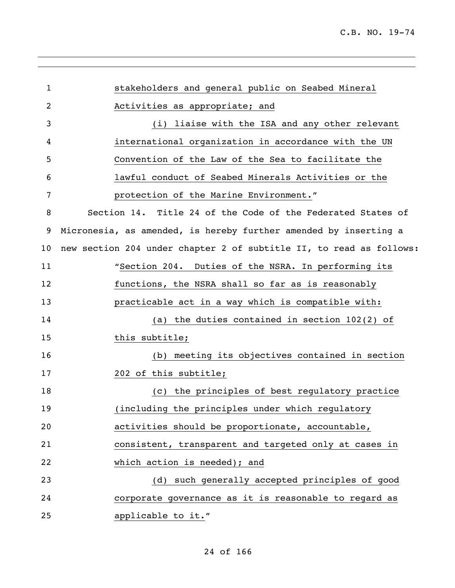| $\mathbf{1}$ | stakeholders and general public on Seabed Mineral                   |
|--------------|---------------------------------------------------------------------|
| 2            | Activities as appropriate; and                                      |
| 3            | (i) liaise with the ISA and any other relevant                      |
| 4            | international organization in accordance with the UN                |
| 5            | Convention of the Law of the Sea to facilitate the                  |
| 6            | lawful conduct of Seabed Minerals Activities or the                 |
| 7            | protection of the Marine Environment."                              |
| 8            | Section 14. Title 24 of the Code of the Federated States of         |
| 9            | Micronesia, as amended, is hereby further amended by inserting a    |
| 10           | new section 204 under chapter 2 of subtitle II, to read as follows: |
| 11           | "Section 204. Duties of the NSRA. In performing its                 |
| 12           | functions, the NSRA shall so far as is reasonably                   |
| 13           | practicable act in a way which is compatible with:                  |
| 14           | (a) the duties contained in section 102(2) of                       |
| 15           | this subtitle;                                                      |
| 16           | (b) meeting its objectives contained in section                     |
| 17           | 202 of this subtitle;                                               |
| 18           | (c) the principles of best regulatory practice                      |
| 19           | (including the principles under which regulatory                    |
| 20           | activities should be proportionate, accountable,                    |
| 21           | consistent, transparent and targeted only at cases in               |
| 22           | which action is needed); and                                        |
| 23           | (d) such generally accepted principles of good                      |
| 24           | corporate governance as it is reasonable to regard as               |
| 25           | applicable to it."                                                  |
|              |                                                                     |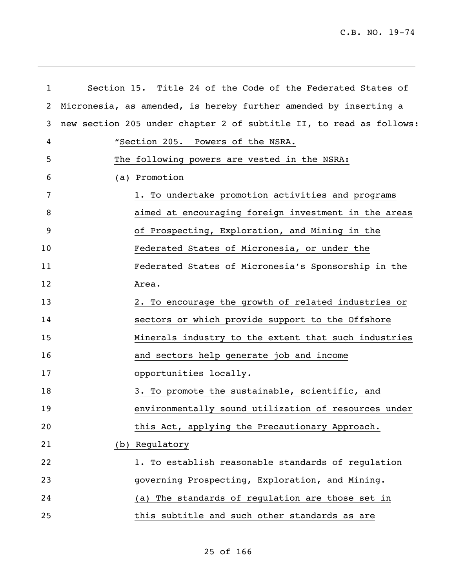| $\mathbf{1}$ | Section 15. Title 24 of the Code of the Federated States of         |  |
|--------------|---------------------------------------------------------------------|--|
| 2            | Micronesia, as amended, is hereby further amended by inserting a    |  |
| 3            | new section 205 under chapter 2 of subtitle II, to read as follows: |  |
| 4            | "Section 205. Powers of the NSRA.                                   |  |
| 5            | The following powers are vested in the NSRA:                        |  |
| 6            | (a) Promotion                                                       |  |
| 7            | 1. To undertake promotion activities and programs                   |  |
| 8            | aimed at encouraging foreign investment in the areas                |  |
| 9            | of Prospecting, Exploration, and Mining in the                      |  |
| 10           | Federated States of Micronesia, or under the                        |  |
| 11           | Federated States of Micronesia's Sponsorship in the                 |  |
| 12           | Area.                                                               |  |
| 13           | 2. To encourage the growth of related industries or                 |  |
| 14           | sectors or which provide support to the Offshore                    |  |
| 15           | Minerals industry to the extent that such industries                |  |
| 16           | and sectors help generate job and income                            |  |
| 17           | opportunities locally.                                              |  |
| 18           | 3. To promote the sustainable, scientific, and                      |  |
| 19           | environmentally sound utilization of resources under                |  |
| 20           | this Act, applying the Precautionary Approach.                      |  |
| 21           | (b) Regulatory                                                      |  |
| 22           | 1. To establish reasonable standards of regulation                  |  |
| 23           | governing Prospecting, Exploration, and Mining.                     |  |
| 24           | (a) The standards of regulation are those set in                    |  |
| 25           | this subtitle and such other standards as are                       |  |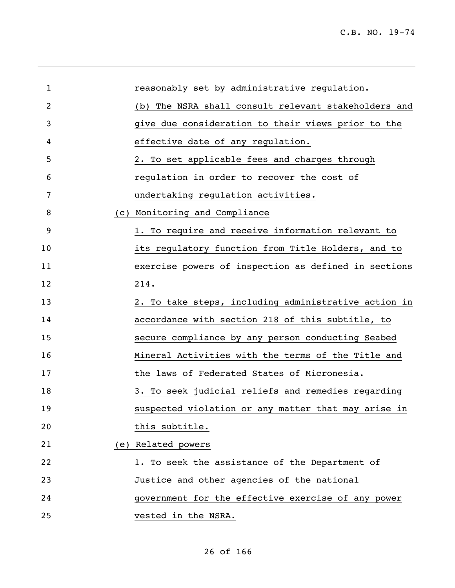|     | reasonably set by administrative regulation.         |
|-----|------------------------------------------------------|
|     | (b) The NSRA shall consult relevant stakeholders and |
|     | give due consideration to their views prior to the   |
|     | effective date of any regulation.                    |
|     | 2. To set applicable fees and charges through        |
|     | regulation in order to recover the cost of           |
|     | undertaking regulation activities.                   |
| (C) | Monitoring and Compliance                            |
|     | 1. To require and receive information relevant to    |
|     | its regulatory function from Title Holders, and to   |
|     | exercise powers of inspection as defined in sections |
|     | 214.                                                 |
|     | 2. To take steps, including administrative action in |
|     | accordance with section 218 of this subtitle, to     |
|     | secure compliance by any person conducting Seabed    |
|     | Mineral Activities with the terms of the Title and   |
|     | the laws of Federated States of Micronesia.          |
|     | 3. To seek judicial reliefs and remedies regarding   |
|     | suspected violation or any matter that may arise in  |
|     | this subtitle.                                       |
|     | (e) Related powers                                   |
|     | 1. To seek the assistance of the Department of       |
|     | Justice and other agencies of the national           |
|     | government for the effective exercise of any power   |
|     | vested in the NSRA.                                  |
|     |                                                      |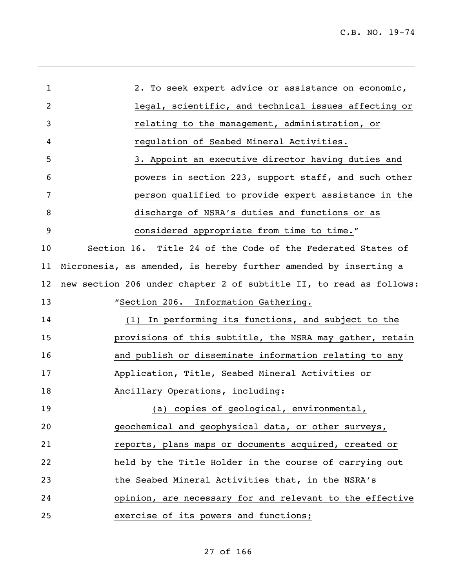| $\mathbf{1}$ | 2. To seek expert advice or assistance on economic,                 |
|--------------|---------------------------------------------------------------------|
| 2            | legal, scientific, and technical issues affecting or                |
| 3            | relating to the management, administration, or                      |
| 4            | regulation of Seabed Mineral Activities.                            |
| 5            | 3. Appoint an executive director having duties and                  |
| 6            | powers in section 223, support staff, and such other                |
| 7            | person qualified to provide expert assistance in the                |
| 8            | discharge of NSRA's duties and functions or as                      |
| 9            | considered appropriate from time to time."                          |
| 10           | Section 16. Title 24 of the Code of the Federated States of         |
| 11           | Micronesia, as amended, is hereby further amended by inserting a    |
| 12           | new section 206 under chapter 2 of subtitle II, to read as follows: |
| 13           | "Section 206. Information Gathering.                                |
| 14           | (1) In performing its functions, and subject to the                 |
| 15           | provisions of this subtitle, the NSRA may gather, retain            |
| 16           | and publish or disseminate information relating to any              |
| 17           | Application, Title, Seabed Mineral Activities or                    |
| 18           | Ancillary Operations, including:                                    |
| 19           | (a) copies of geological, environmental,                            |
| 20           | geochemical and geophysical data, or other surveys,                 |
| 21           | reports, plans maps or documents acquired, created or               |
| 22           | held by the Title Holder in the course of carrying out              |
| 23           | the Seabed Mineral Activities that, in the NSRA's                   |
| 24           | opinion, are necessary for and relevant to the effective            |
| 25           | exercise of its powers and functions;                               |
|              |                                                                     |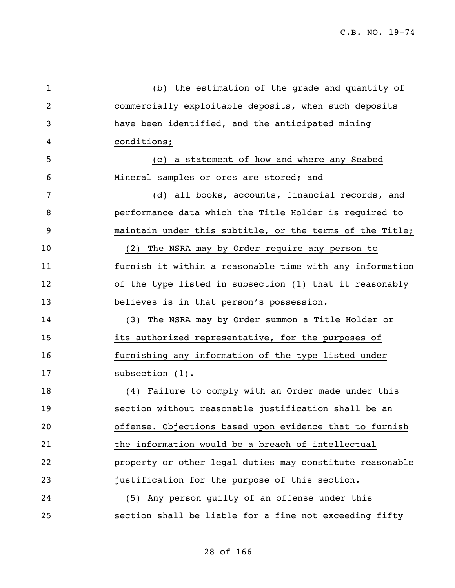| $\mathbf{1}$   | (b) the estimation of the grade and quantity of          |
|----------------|----------------------------------------------------------|
| $\overline{2}$ | commercially exploitable deposits, when such deposits    |
| 3              | have been identified, and the anticipated mining         |
| 4              | conditions;                                              |
| 5              | (c) a statement of how and where any Seabed              |
| 6              | Mineral samples or ores are stored; and                  |
| 7              | (d) all books, accounts, financial records, and          |
| 8              | performance data which the Title Holder is required to   |
| 9              | maintain under this subtitle, or the terms of the Title; |
| 10             | The NSRA may by Order require any person to<br>(2)       |
| 11             | furnish it within a reasonable time with any information |
| 12             | of the type listed in subsection (1) that it reasonably  |
| 13             | believes is in that person's possession.                 |
| 14             | The NSRA may by Order summon a Title Holder or<br>(3)    |
| 15             | its authorized representative, for the purposes of       |
| 16             | furnishing any information of the type listed under      |
| 17             | subsection (1).                                          |
| 18             | (4) Failure to comply with an Order made under this      |
| 19             | section without reasonable justification shall be an     |
| 20             | offense. Objections based upon evidence that to furnish  |
| 21             | the information would be a breach of intellectual        |
| 22             | property or other legal duties may constitute reasonable |
| 23             | justification for the purpose of this section.           |
| 24             | (5) Any person quilty of an offense under this           |
| 25             | section shall be liable for a fine not exceeding fifty   |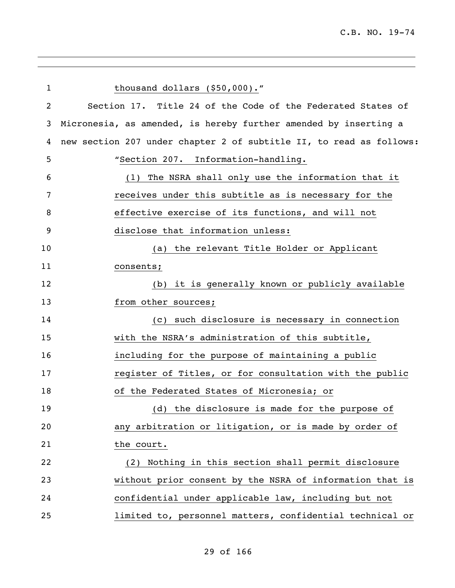| $\mathbf{1}$ | thousand dollars (\$50,000)."                                       |
|--------------|---------------------------------------------------------------------|
| 2            | Section 17. Title 24 of the Code of the Federated States of         |
| 3            | Micronesia, as amended, is hereby further amended by inserting a    |
| 4            | new section 207 under chapter 2 of subtitle II, to read as follows: |
| 5            | "Section 207. Information-handling.                                 |
| 6            | (1) The NSRA shall only use the information that it                 |
| 7            | receives under this subtitle as is necessary for the                |
| 8            | effective exercise of its functions, and will not                   |
| 9            | disclose that information unless:                                   |
| 10           | (a) the relevant Title Holder or Applicant                          |
| 11           | consents;                                                           |
| 12           | (b) it is generally known or publicly available                     |
| 13           | from other sources;                                                 |
| 14           | (c) such disclosure is necessary in connection                      |
| 15           | with the NSRA's administration of this subtitle,                    |
| 16           | including for the purpose of maintaining a public                   |
| 17           | register of Titles, or for consultation with the public             |
| 18           | of the Federated States of Micronesia; or                           |
| 19           | (d)<br>the disclosure is made for the purpose of                    |
| 20           | any arbitration or litigation, or is made by order of               |
| 21           | the court.                                                          |
| 22           | Nothing in this section shall permit disclosure<br>(2)              |
| 23           | without prior consent by the NSRA of information that is            |
| 24           | confidential under applicable law, including but not                |
| 25           | limited to, personnel matters, confidential technical or            |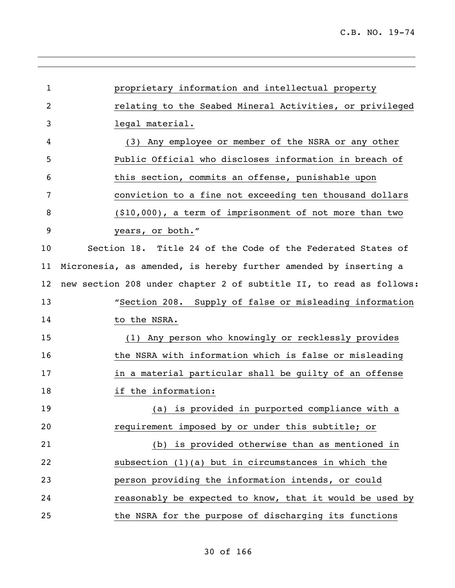| 1  | proprietary information and intellectual property                   |
|----|---------------------------------------------------------------------|
| 2  | relating to the Seabed Mineral Activities, or privileged            |
| 3  | legal material.                                                     |
| 4  | (3) Any employee or member of the NSRA or any other                 |
| 5  | Public Official who discloses information in breach of              |
| 6  | this section, commits an offense, punishable upon                   |
| 7  | conviction to a fine not exceeding ten thousand dollars             |
| 8  | $(10,000)$ , a term of imprisonment of not more than two            |
| 9  | years, or both."                                                    |
| 10 | Section 18. Title 24 of the Code of the Federated States of         |
| 11 | Micronesia, as amended, is hereby further amended by inserting a    |
| 12 | new section 208 under chapter 2 of subtitle II, to read as follows: |
| 13 | "Section 208. Supply of false or misleading information             |
| 14 | to the NSRA.                                                        |
| 15 | (1) Any person who knowingly or recklessly provides                 |
| 16 | the NSRA with information which is false or misleading              |
| 17 | in a material particular shall be quilty of an offense              |
| 18 | if the information:                                                 |
| 19 | is provided in purported compliance with a<br>(a)                   |
| 20 | requirement imposed by or under this subtitle; or                   |
| 21 | (b) is provided otherwise than as mentioned in                      |
| 22 | subsection (1)(a) but in circumstances in which the                 |
| 23 | person providing the information intends, or could                  |
| 24 | reasonably be expected to know, that it would be used by            |
| 25 | the NSRA for the purpose of discharging its functions               |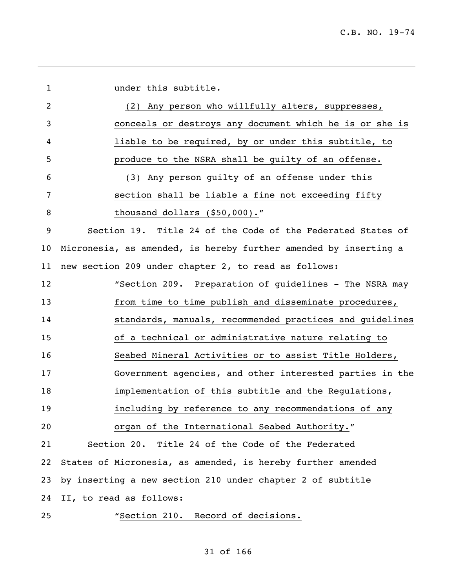| $\mathbf{1}$   | under this subtitle.                                             |
|----------------|------------------------------------------------------------------|
| $\overline{2}$ | Any person who willfully alters, suppresses,<br>(2)              |
| 3              | conceals or destroys any document which he is or she is          |
| 4              | liable to be required, by or under this subtitle, to             |
| 5              | produce to the NSRA shall be guilty of an offense.               |
| 6              | (3) Any person quilty of an offense under this                   |
| 7              | section shall be liable a fine not exceeding fifty               |
| 8              | thousand dollars (\$50,000)."                                    |
| 9              | Section 19. Title 24 of the Code of the Federated States of      |
| 10             | Micronesia, as amended, is hereby further amended by inserting a |
| 11             | new section 209 under chapter 2, to read as follows:             |
| 12             | "Section 209. Preparation of guidelines - The NSRA may           |
| 13             | from time to time publish and disseminate procedures,            |
| 14             | standards, manuals, recommended practices and guidelines         |
| 15             | of a technical or administrative nature relating to              |
| 16             | Seabed Mineral Activities or to assist Title Holders,            |
| 17             | Government agencies, and other interested parties in the         |
| 18             | implementation of this subtitle and the Regulations,             |
| 19             | including by reference to any recommendations of any             |
| 20             | organ of the International Seabed Authority."                    |
| 21             | Section 20. Title 24 of the Code of the Federated                |
| 22             | States of Micronesia, as amended, is hereby further amended      |
| 23             | by inserting a new section 210 under chapter 2 of subtitle       |
| 24             | II, to read as follows:                                          |
| 25             | "Section 210.<br>Record of decisions.                            |

,我们也不会有什么。""我们的人,我们也不会有什么?""我们的人,我们也不会有什么?""我们的人,我们也不会有什么?""我们的人,我们也不会有什么?""我们的人

### of 166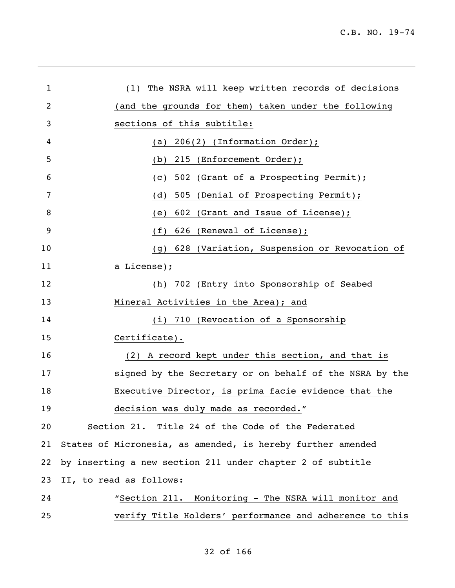| $\mathbf{1}$ | The NSRA will keep written records of decisions<br>(1)      |
|--------------|-------------------------------------------------------------|
| 2            | (and the grounds for them) taken under the following        |
| 3            | sections of this subtitle:                                  |
| 4            | 206(2) (Information Order);<br>(a)                          |
| 5            | 215 (Enforcement Order);<br>(b)                             |
| 6            | 502 (Grant of a Prospecting Permit);<br>(C)                 |
| 7            | (d)<br>505<br>(Denial of Prospecting Permit);               |
| 8            | (Grant and Issue of License);<br>602<br>(e)                 |
| 9            | (f)<br>626<br>(Renewal of License);                         |
| 10           | 628 (Variation, Suspension or Revocation of<br>(q)          |
| 11           | a License);                                                 |
| 12           | 702 (Entry into Sponsorship of Seabed<br>(h)                |
| 13           | Mineral Activities in the Area); and                        |
| 14           | (i) 710 (Revocation of a Sponsorship                        |
| 15           | Certificate).                                               |
| 16           | (2) A record kept under this section, and that is           |
| 17           | signed by the Secretary or on behalf of the NSRA by the     |
| 18           | Executive Director, is prima facie evidence that the        |
| 19           | decision was duly made as recorded."                        |
| 20           | Section 21. Title 24 of the Code of the Federated           |
| 21           | States of Micronesia, as amended, is hereby further amended |
| 22           | by inserting a new section 211 under chapter 2 of subtitle  |
| 23           | II, to read as follows:                                     |
| 24           | "Section 211. Monitoring - The NSRA will monitor and        |
| 25           | verify Title Holders' performance and adherence to this     |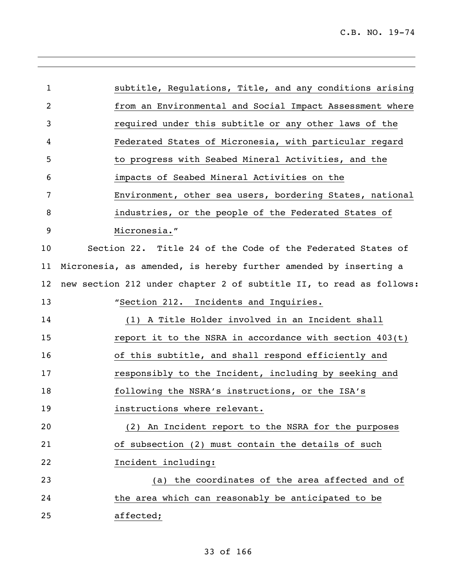| subtitle, Regulations, Title, and any conditions arising            |
|---------------------------------------------------------------------|
| from an Environmental and Social Impact Assessment where            |
| required under this subtitle or any other laws of the               |
| Federated States of Micronesia, with particular regard              |
| to progress with Seabed Mineral Activities, and the                 |
| impacts of Seabed Mineral Activities on the                         |
| Environment, other sea users, bordering States, national            |
| industries, or the people of the Federated States of                |
| Micronesia."                                                        |
| Section 22. Title 24 of the Code of the Federated States of         |
| Micronesia, as amended, is hereby further amended by inserting a    |
| new section 212 under chapter 2 of subtitle II, to read as follows: |
| "Section 212. Incidents and Inquiries.                              |
| (1) A Title Holder involved in an Incident shall                    |
| report it to the NSRA in accordance with section 403(t)             |
| of this subtitle, and shall respond efficiently and                 |
| responsibly to the Incident, including by seeking and               |
| following the NSRA's instructions, or the ISA's                     |
| instructions where relevant.                                        |
| (2) An Incident report to the NSRA for the purposes                 |
| of subsection (2) must contain the details of such                  |
| Incident including:                                                 |
| the coordinates of the area affected and of<br>(a)                  |
| the area which can reasonably be anticipated to be                  |
| affected;                                                           |
|                                                                     |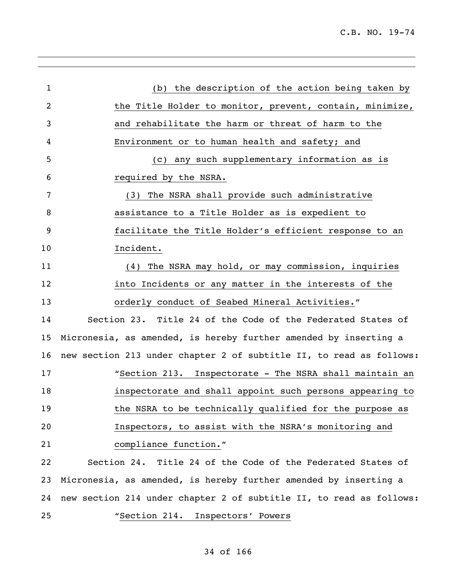| $\mathbf{1}$ | (b) the description of the action being taken by                    |
|--------------|---------------------------------------------------------------------|
| 2            | the Title Holder to monitor, prevent, contain, minimize,            |
| 3            | and rehabilitate the harm or threat of harm to the                  |
| 4            | Environment or to human health and safety; and                      |
| 5            | (c) any such supplementary information as is                        |
| 6            | required by the NSRA.                                               |
| 7            | The NSRA shall provide such administrative<br>(3)                   |
| 8            | assistance to a Title Holder as is expedient to                     |
| 9            | facilitate the Title Holder's efficient response to an              |
| 10           | Incident.                                                           |
| 11           | The NSRA may hold, or may commission, inquiries<br>(4)              |
| 12           | into Incidents or any matter in the interests of the                |
| 13           | orderly conduct of Seabed Mineral Activities."                      |
| 14           | Section 23. Title 24 of the Code of the Federated States of         |
| 15           | Micronesia, as amended, is hereby further amended by inserting a    |
| 16           | new section 213 under chapter 2 of subtitle II, to read as follows: |
| 17           | "Section 213. Inspectorate - The NSRA shall maintain an             |
| 18           | inspectorate and shall appoint such persons appearing to            |
| 19           | the NSRA to be technically qualified for the purpose as             |
| 20           | Inspectors, to assist with the NSRA's monitoring and                |
| 21           | compliance function."                                               |
| 22           | Section 24. Title 24 of the Code of the Federated States of         |
| 23           | Micronesia, as amended, is hereby further amended by inserting a    |
| 24           | new section 214 under chapter 2 of subtitle II, to read as follows: |
| 25           | "Section 214. Inspectors' Powers                                    |
|              |                                                                     |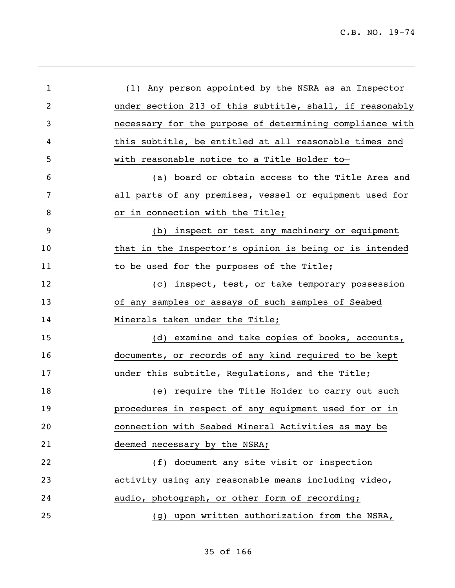| $\mathbf 1$ | (1) Any person appointed by the NSRA as an Inspector     |
|-------------|----------------------------------------------------------|
| 2           | under section 213 of this subtitle, shall, if reasonably |
| 3           | necessary for the purpose of determining compliance with |
| 4           | this subtitle, be entitled at all reasonable times and   |
| 5           | with reasonable notice to a Title Holder to-             |
| 6           | (a) board or obtain access to the Title Area and         |
| 7           | all parts of any premises, vessel or equipment used for  |
| 8           | or in connection with the Title;                         |
| 9           | (b) inspect or test any machinery or equipment           |
| 10          | that in the Inspector's opinion is being or is intended  |
| 11          | to be used for the purposes of the Title;                |
| 12          | (c) inspect, test, or take temporary possession          |
| 13          | of any samples or assays of such samples of Seabed       |
| 14          | Minerals taken under the Title;                          |
| 15          | (d) examine and take copies of books, accounts,          |
| 16          | documents, or records of any kind required to be kept    |
| 17          | under this subtitle, Regulations, and the Title;         |
| 18          | (e) require the Title Holder to carry out such           |
| 19          | procedures in respect of any equipment used for or in    |
| 20          | connection with Seabed Mineral Activities as may be      |
| 21          | deemed necessary by the NSRA;                            |
| 22          | document any site visit or inspection<br>(f)             |
| 23          | activity using any reasonable means including video,     |
| 24          | audio, photograph, or other form of recording;           |
| 25          | (g) upon written authorization from the NSRA,            |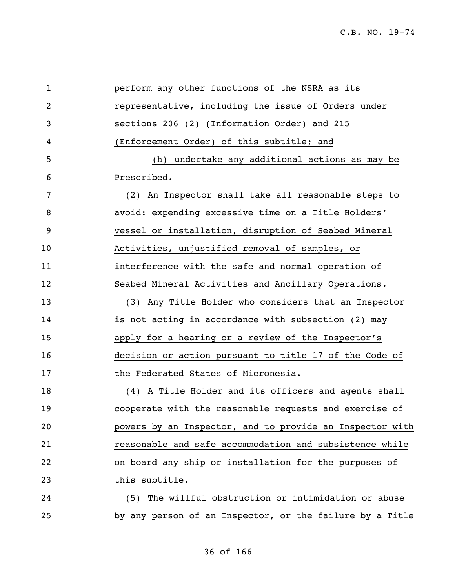| 1  | perform any other functions of the NSRA as its           |
|----|----------------------------------------------------------|
| 2  | representative, including the issue of Orders under      |
| 3  | sections 206 (2) (Information Order) and 215             |
| 4  | (Enforcement Order) of this subtitle; and                |
| 5  | (h) undertake any additional actions as may be           |
| 6  | Prescribed.                                              |
| 7  | (2) An Inspector shall take all reasonable steps to      |
| 8  | avoid: expending excessive time on a Title Holders'      |
| 9  | vessel or installation, disruption of Seabed Mineral     |
| 10 | Activities, unjustified removal of samples, or           |
| 11 | interference with the safe and normal operation of       |
| 12 | Seabed Mineral Activities and Ancillary Operations.      |
| 13 | (3) Any Title Holder who considers that an Inspector     |
| 14 | is not acting in accordance with subsection (2) may      |
| 15 | apply for a hearing or a review of the Inspector's       |
| 16 | decision or action pursuant to title 17 of the Code of   |
| 17 | the Federated States of Micronesia.                      |
| 18 | (4) A Title Holder and its officers and agents shall     |
| 19 | cooperate with the reasonable requests and exercise of   |
| 20 | powers by an Inspector, and to provide an Inspector with |
| 21 | reasonable and safe accommodation and subsistence while  |
| 22 | on board any ship or installation for the purposes of    |
| 23 | this subtitle.                                           |
| 24 | The willful obstruction or intimidation or abuse<br>(5)  |
| 25 | by any person of an Inspector, or the failure by a Title |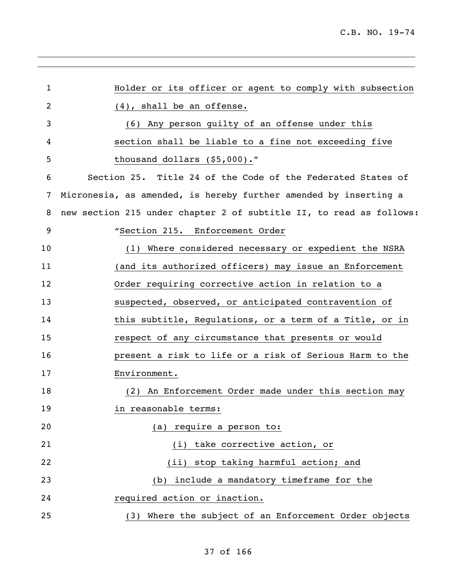| 1  | Holder or its officer or agent to comply with subsection            |
|----|---------------------------------------------------------------------|
| 2  | $(4)$ , shall be an offense.                                        |
| 3  | (6) Any person guilty of an offense under this                      |
| 4  | section shall be liable to a fine not exceeding five                |
| 5  | thousand dollars (\$5,000)."                                        |
| 6  | Section 25. Title 24 of the Code of the Federated States of         |
| 7  | Micronesia, as amended, is hereby further amended by inserting a    |
| 8  | new section 215 under chapter 2 of subtitle II, to read as follows: |
| 9  | "Section 215. Enforcement Order                                     |
| 10 | (1) Where considered necessary or expedient the NSRA                |
| 11 | (and its authorized officers) may issue an Enforcement              |
| 12 | Order requiring corrective action in relation to a                  |
| 13 | suspected, observed, or anticipated contravention of                |
| 14 | this subtitle, Regulations, or a term of a Title, or in             |
| 15 | respect of any circumstance that presents or would                  |
| 16 | present a risk to life or a risk of Serious Harm to the             |
| 17 | Environment.                                                        |
| 18 | (2) An Enforcement Order made under this section may                |
| 19 | in reasonable terms:                                                |
| 20 | (a) require a person to:                                            |
| 21 | (i) take corrective action, or                                      |
| 22 | (ii) stop taking harmful action; and                                |
| 23 | include a mandatory timeframe for the<br>(b)                        |
| 24 | required action or inaction.                                        |
| 25 | Where the subject of an Enforcement Order objects<br>(3)            |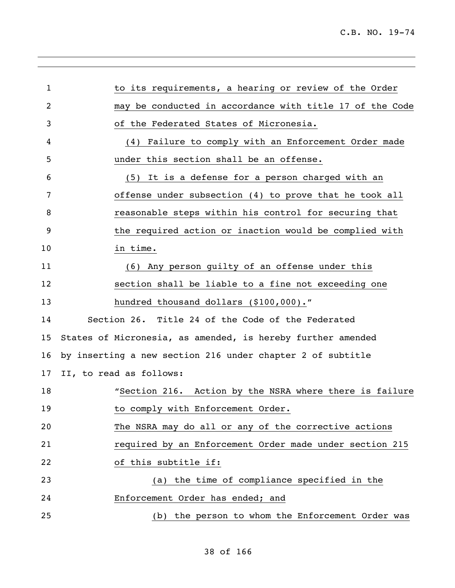| $\mathbf{1}$    | to its requirements, a hearing or review of the Order       |
|-----------------|-------------------------------------------------------------|
| 2               | may be conducted in accordance with title 17 of the Code    |
| 3               | of the Federated States of Micronesia.                      |
| 4               | (4) Failure to comply with an Enforcement Order made        |
| 5               | under this section shall be an offense.                     |
| 6               | (5) It is a defense for a person charged with an            |
| 7               | offense under subsection (4) to prove that he took all      |
| 8               | reasonable steps within his control for securing that       |
| 9               | the required action or inaction would be complied with      |
| 10              | in time.                                                    |
| 11              | (6) Any person quilty of an offense under this              |
| 12              | section shall be liable to a fine not exceeding one         |
| 13              | hundred thousand dollars (\$100,000)."                      |
| 14              | Section 26. Title 24 of the Code of the Federated           |
| 15              | States of Micronesia, as amended, is hereby further amended |
| 16              | by inserting a new section 216 under chapter 2 of subtitle  |
| 17 <sub>2</sub> | II, to read as follows:                                     |
| 18              | "Section 216. Action by the NSRA where there is failure     |
| 19              | to comply with Enforcement Order.                           |
| 20              | The NSRA may do all or any of the corrective actions        |
| 21              | required by an Enforcement Order made under section 215     |
| 22              | of this subtitle if:                                        |
| 23              | the time of compliance specified in the<br>(a)              |
| 24              | Enforcement Order has ended; and                            |
| 25              | (b) the person to whom the Enforcement Order was            |
|                 |                                                             |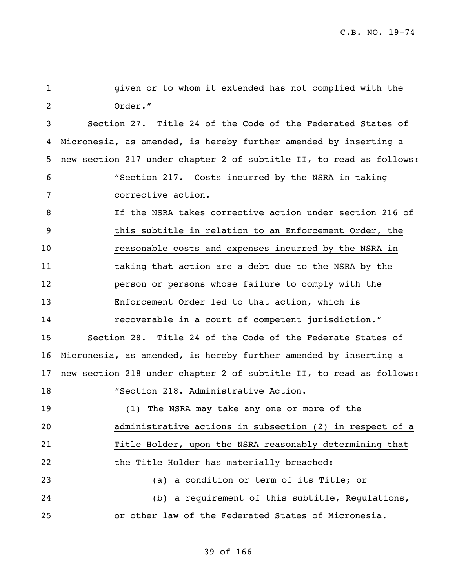| $\mathbf{1}$ | given or to whom it extended has not complied with the              |
|--------------|---------------------------------------------------------------------|
| 2            | Order."                                                             |
| 3            | Section 27. Title 24 of the Code of the Federated States of         |
| 4            | Micronesia, as amended, is hereby further amended by inserting a    |
| 5            | new section 217 under chapter 2 of subtitle II, to read as follows: |
| 6            | "Section 217. Costs incurred by the NSRA in taking                  |
| 7            | corrective action.                                                  |
| 8            | If the NSRA takes corrective action under section 216 of            |
| 9            | this subtitle in relation to an Enforcement Order, the              |
| 10           | reasonable costs and expenses incurred by the NSRA in               |
| 11           | taking that action are a debt due to the NSRA by the                |
| 12           | person or persons whose failure to comply with the                  |
| 13           | Enforcement Order led to that action, which is                      |
| 14           | recoverable in a court of competent jurisdiction."                  |
| 15           | Section 28. Title 24 of the Code of the Federate States of          |
| 16           | Micronesia, as amended, is hereby further amended by inserting a    |
| 17           | new section 218 under chapter 2 of subtitle II, to read as follows: |
| 18           | "Section 218. Administrative Action.                                |
| 19           | (1) The NSRA may take any one or more of the                        |
| 20           | administrative actions in subsection (2) in respect of a            |
| 21           | Title Holder, upon the NSRA reasonably determining that             |
| 22           | the Title Holder has materially breached:                           |
| 23           | a condition or term of its Title; or<br>(a)                         |
| 24           | (b) a requirement of this subtitle, Regulations,                    |
| 25           | or other law of the Federated States of Micronesia.                 |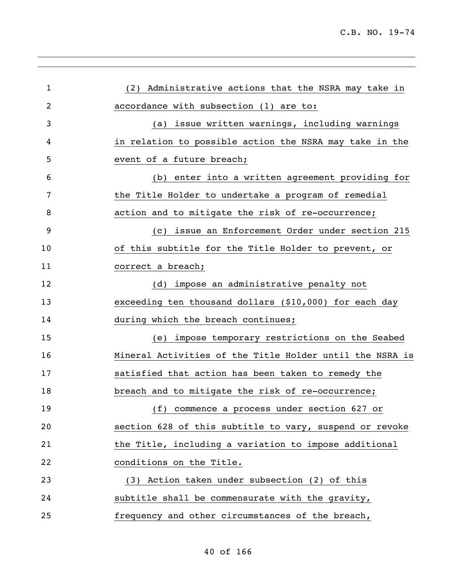| 1  | (2) Administrative actions that the NSRA may take in     |
|----|----------------------------------------------------------|
| 2  | accordance with subsection (1) are to:                   |
| 3  | (a) issue written warnings, including warnings           |
| 4  | in relation to possible action the NSRA may take in the  |
| 5  | event of a future breach;                                |
| 6  | (b) enter into a written agreement providing for         |
| 7  | the Title Holder to undertake a program of remedial      |
| 8  | action and to mitigate the risk of re-occurrence;        |
| 9  | (c) issue an Enforcement Order under section 215         |
| 10 | of this subtitle for the Title Holder to prevent, or     |
| 11 | correct a breach;                                        |
| 12 | (d) impose an administrative penalty not                 |
| 13 | exceeding ten thousand dollars (\$10,000) for each day   |
| 14 | during which the breach continues;                       |
| 15 | (e) impose temporary restrictions on the Seabed          |
| 16 | Mineral Activities of the Title Holder until the NSRA is |
| 17 | satisfied that action has been taken to remedy the       |
| 18 | breach and to mitigate the risk of re-occurrence;        |
| 19 | (f) commence a process under section 627 or              |
| 20 | section 628 of this subtitle to vary, suspend or revoke  |
| 21 | the Title, including a variation to impose additional    |
| 22 | conditions on the Title.                                 |
| 23 | (3) Action taken under subsection (2) of this            |
| 24 | subtitle shall be commensurate with the gravity,         |
| 25 | frequency and other circumstances of the breach,         |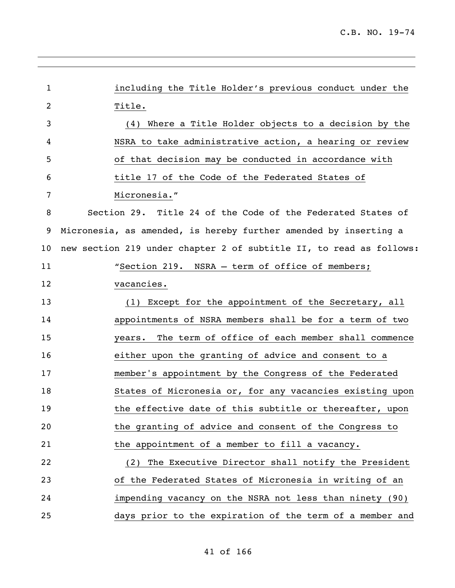| $\mathbf{1}$   | including the Title Holder's previous conduct under the             |
|----------------|---------------------------------------------------------------------|
| $\overline{2}$ | Title.                                                              |
| 3              | Where a Title Holder objects to a decision by the<br>(4)            |
| 4              | NSRA to take administrative action, a hearing or review             |
| 5              | of that decision may be conducted in accordance with                |
| 6              | title 17 of the Code of the Federated States of                     |
| 7              | Micronesia."                                                        |
| 8              | Section 29. Title 24 of the Code of the Federated States of         |
| 9              | Micronesia, as amended, is hereby further amended by inserting a    |
| 10             | new section 219 under chapter 2 of subtitle II, to read as follows: |
| 11             | "Section 219. NSRA - term of office of members;                     |
| 12             | vacancies.                                                          |
| 13             | (1) Except for the appointment of the Secretary, all                |
| 14             | appointments of NSRA members shall be for a term of two             |
| 15             | years. The term of office of each member shall commence             |
| 16             | either upon the granting of advice and consent to a                 |
| 17             | member's appointment by the Congress of the Federated               |
| 18             | States of Micronesia or, for any vacancies existing upon            |
| 19             | the effective date of this subtitle or thereafter, upon             |
| 20             | the granting of advice and consent of the Congress to               |
| 21             | the appointment of a member to fill a vacancy.                      |
| 22             | The Executive Director shall notify the President<br>(2)            |
| 23             | of the Federated States of Micronesia in writing of an              |
| 24             | impending vacancy on the NSRA not less than ninety (90)             |
| 25             | days prior to the expiration of the term of a member and            |

,我们也不会有什么。""我们的人,我们也不会有什么?""我们的人,我们也不会有什么?""我们的人,我们也不会有什么?""我们的人,我们也不会有什么?""我们的人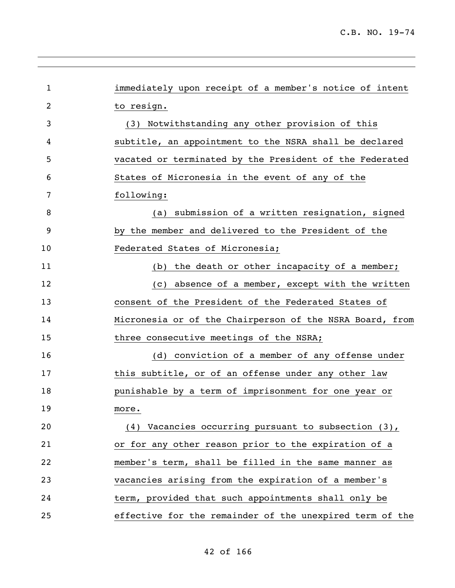| $\mathbf{1}$ | immediately upon receipt of a member's notice of intent  |
|--------------|----------------------------------------------------------|
| 2            | to resign.                                               |
| 3            | Notwithstanding any other provision of this<br>(3)       |
| 4            | subtitle, an appointment to the NSRA shall be declared   |
| 5            | vacated or terminated by the President of the Federated  |
| 6            | States of Micronesia in the event of any of the          |
| 7            | following:                                               |
| 8            | (a) submission of a written resignation, signed          |
| 9            | by the member and delivered to the President of the      |
| 10           | Federated States of Micronesia;                          |
| 11           | (b) the death or other incapacity of a member;           |
| 12           | (c) absence of a member, except with the written         |
| 13           | consent of the President of the Federated States of      |
| 14           | Micronesia or of the Chairperson of the NSRA Board, from |
| 15           | three consecutive meetings of the NSRA;                  |
| 16           | (d) conviction of a member of any offense under          |
| 17           | this subtitle, or of an offense under any other law      |
| 18           | punishable by a term of imprisonment for one year or     |
| 19           | more.                                                    |
| 20           | (4) Vacancies occurring pursuant to subsection (3),      |
| 21           | or for any other reason prior to the expiration of a     |
| 22           | member's term, shall be filled in the same manner as     |
| 23           | vacancies arising from the expiration of a member's      |
| 24           | term, provided that such appointments shall only be      |
| 25           | effective for the remainder of the unexpired term of the |

,我们也不会有什么。""我们的人,我们也不会有什么?""我们的人,我们也不会有什么?""我们的人,我们的人,我们的人,我们的人,我们的人,我们的人,我们的人,我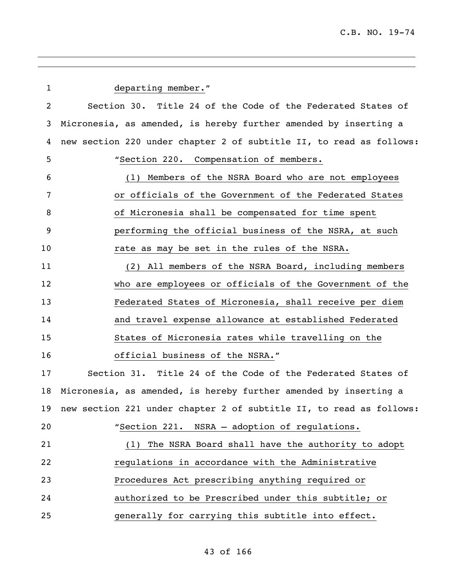| 1  | departing member."                                                  |
|----|---------------------------------------------------------------------|
| 2  | Section 30. Title 24 of the Code of the Federated States of         |
| 3  | Micronesia, as amended, is hereby further amended by inserting a    |
| 4  | new section 220 under chapter 2 of subtitle II, to read as follows: |
| 5  | "Section 220. Compensation of members.                              |
| 6  | (1) Members of the NSRA Board who are not employees                 |
| 7  | or officials of the Government of the Federated States              |
| 8  | of Micronesia shall be compensated for time spent                   |
| 9  | performing the official business of the NSRA, at such               |
| 10 | rate as may be set in the rules of the NSRA.                        |
| 11 | (2) All members of the NSRA Board, including members                |
| 12 | who are employees or officials of the Government of the             |
| 13 | Federated States of Micronesia, shall receive per diem              |
| 14 | and travel expense allowance at established Federated               |
| 15 | States of Micronesia rates while travelling on the                  |
| 16 | official business of the NSRA."                                     |
| 17 | Section 31. Title 24 of the Code of the Federated States of         |
| 18 | Micronesia, as amended, is hereby further amended by inserting a    |
| 19 | new section 221 under chapter 2 of subtitle II, to read as follows: |
| 20 | "Section 221. NSRA - adoption of regulations.                       |
| 21 | The NSRA Board shall have the authority to adopt<br>(1)             |
| 22 | regulations in accordance with the Administrative                   |
| 23 | Procedures Act prescribing anything required or                     |
| 24 | authorized to be Prescribed under this subtitle; or                 |
| 25 | generally for carrying this subtitle into effect.                   |
|    |                                                                     |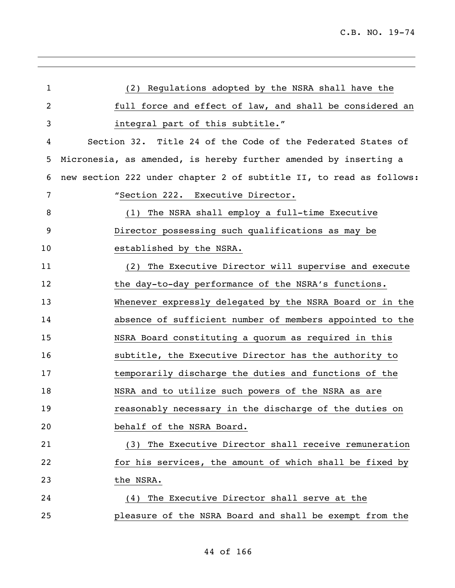| 1  | (2) Regulations adopted by the NSRA shall have the                  |
|----|---------------------------------------------------------------------|
| 2  | full force and effect of law, and shall be considered an            |
| 3  | integral part of this subtitle."                                    |
| 4  | Section 32. Title 24 of the Code of the Federated States of         |
| 5  | Micronesia, as amended, is hereby further amended by inserting a    |
| 6  | new section 222 under chapter 2 of subtitle II, to read as follows: |
| 7  | "Section 222. Executive Director.                                   |
| 8  | The NSRA shall employ a full-time Executive<br>(1)                  |
| 9  | Director possessing such qualifications as may be                   |
| 10 | established by the NSRA.                                            |
| 11 | The Executive Director will supervise and execute<br>(2)            |
| 12 | the day-to-day performance of the NSRA's functions.                 |
| 13 | Whenever expressly delegated by the NSRA Board or in the            |
| 14 | absence of sufficient number of members appointed to the            |
| 15 | NSRA Board constituting a quorum as required in this                |
| 16 | subtitle, the Executive Director has the authority to               |
| 17 | temporarily discharge the duties and functions of the               |
| 18 | NSRA and to utilize such powers of the NSRA as are                  |
| 19 | reasonably necessary in the discharge of the duties on              |
| 20 | behalf of the NSRA Board.                                           |
| 21 | (3) The Executive Director shall receive remuneration               |
| 22 | for his services, the amount of which shall be fixed by             |
| 23 | the NSRA.                                                           |
| 24 | The Executive Director shall serve at the<br>(4)                    |
| 25 | pleasure of the NSRA Board and shall be exempt from the             |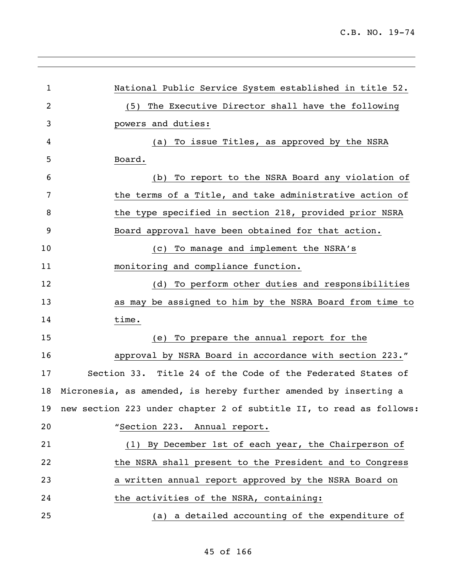| 1  | National Public Service System established in title 52.                |
|----|------------------------------------------------------------------------|
| 2  | The Executive Director shall have the following<br>(5)                 |
| 3  | powers and duties:                                                     |
| 4  | To issue Titles, as approved by the NSRA<br>(a)                        |
| 5  | Board.                                                                 |
| 6  | To report to the NSRA Board any violation of<br>(b)                    |
| 7  | the terms of a Title, and take administrative action of                |
| 8  | the type specified in section 218, provided prior NSRA                 |
| 9  | Board approval have been obtained for that action.                     |
| 10 | To manage and implement the NSRA's<br>(C)                              |
| 11 | monitoring and compliance function.                                    |
| 12 | To perform other duties and responsibilities<br>(d)                    |
| 13 | as may be assigned to him by the NSRA Board from time to               |
| 14 | time.                                                                  |
| 15 | To prepare the annual report for the<br>(e)                            |
| 16 | approval by NSRA Board in accordance with section 223."                |
| 17 | Section 33. Title 24 of the Code of the Federated States of            |
| 18 | Micronesia, as amended, is hereby further amended by inserting a       |
|    | 19 new section 223 under chapter 2 of subtitle II, to read as follows: |
| 20 | "Section 223. Annual report.                                           |
| 21 | (1) By December 1st of each year, the Chairperson of                   |
| 22 | the NSRA shall present to the President and to Congress                |
| 23 | a written annual report approved by the NSRA Board on                  |
| 24 | the activities of the NSRA, containing:                                |
| 25 | (a) a detailed accounting of the expenditure of                        |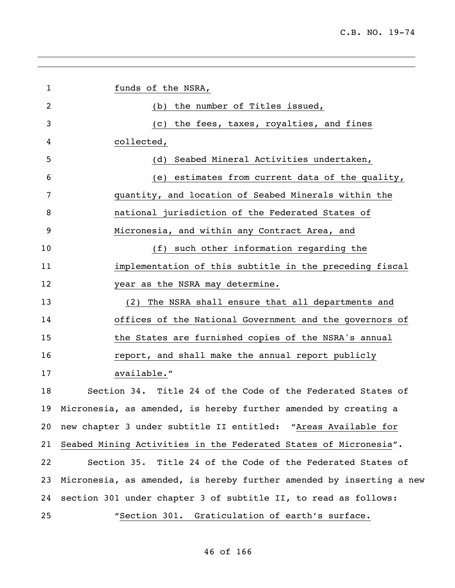| 1  | funds of the NSRA,                                                   |
|----|----------------------------------------------------------------------|
| 2  | (b) the number of Titles issued,                                     |
| 3  | the fees, taxes, royalties, and fines<br>(C)                         |
| 4  | collected,                                                           |
| 5  | Seabed Mineral Activities undertaken,<br>(d)                         |
| 6  | (e) estimates from current data of the quality,                      |
| 7  | quantity, and location of Seabed Minerals within the                 |
| 8  | national jurisdiction of the Federated States of                     |
| 9  | Micronesia, and within any Contract Area, and                        |
| 10 | (f) such other information regarding the                             |
| 11 | implementation of this subtitle in the preceding fiscal              |
| 12 | year as the NSRA may determine.                                      |
| 13 | The NSRA shall ensure that all departments and<br>(2)                |
| 14 | offices of the National Government and the governors of              |
| 15 | the States are furnished copies of the NSRA's annual                 |
| 16 | report, and shall make the annual report publicly                    |
| 17 | available."                                                          |
| 18 | Section 34. Title 24 of the Code of the Federated States of          |
|    | 19 Micronesia, as amended, is hereby further amended by creating a   |
| 20 | new chapter 3 under subtitle II entitled: "Areas Available for       |
| 21 | Seabed Mining Activities in the Federated States of Micronesia".     |
| 22 | Section 35. Title 24 of the Code of the Federated States of          |
| 23 | Micronesia, as amended, is hereby further amended by inserting a new |
| 24 | section 301 under chapter 3 of subtitle II, to read as follows:      |
| 25 | "Section 301. Graticulation of earth's surface.                      |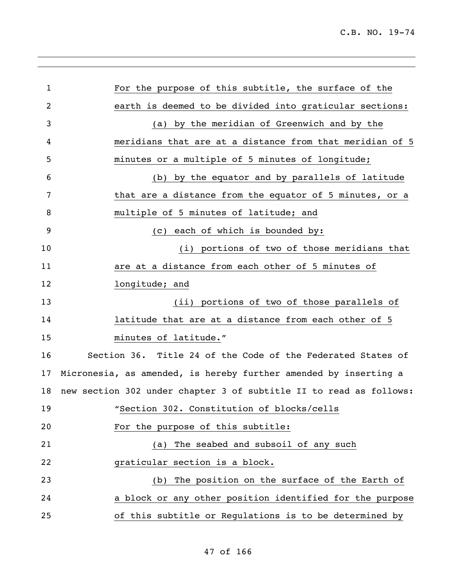l,

| $\mathbf{1}$ | For the purpose of this subtitle, the surface of the               |
|--------------|--------------------------------------------------------------------|
| 2            | earth is deemed to be divided into graticular sections:            |
| 3            | (a) by the meridian of Greenwich and by the                        |
| 4            | meridians that are at a distance from that meridian of 5           |
| 5            | minutes or a multiple of 5 minutes of longitude;                   |
| 6            | (b) by the equator and by parallels of latitude                    |
| 7            | that are a distance from the equator of 5 minutes, or a            |
| 8            | multiple of 5 minutes of latitude; and                             |
| 9            | (c) each of which is bounded by:                                   |
| 10           | (i) portions of two of those meridians that                        |
| 11           | are at a distance from each other of 5 minutes of                  |
| 12           | longitude; and                                                     |
| 13           | (ii) portions of two of those parallels of                         |
| 14           | latitude that are at a distance from each other of 5               |
| 15           | minutes of latitude."                                              |
| 16           | Section 36. Title 24 of the Code of the Federated States of        |
| 17           | Micronesia, as amended, is hereby further amended by inserting a   |
| 18           | new section 302 under chapter 3 of subtitle II to read as follows: |
| 19           | "Section 302. Constitution of blocks/cells                         |
| 20           | For the purpose of this subtitle:                                  |
| 21           | The seabed and subsoil of any such<br>(a)                          |
| 22           | graticular section is a block.                                     |
| 23           | The position on the surface of the Earth of<br>(b)                 |
| 24           | a block or any other position identified for the purpose           |
| 25           | of this subtitle or Regulations is to be determined by             |
|              |                                                                    |

## of 166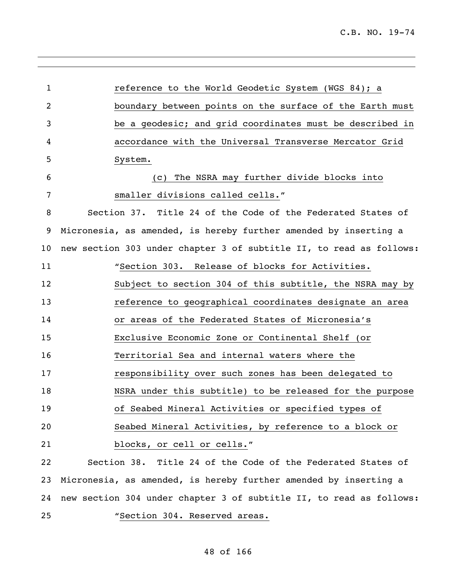reference to the World Geodetic System (WGS 84); a boundary between points on the surface of the Earth must be a geodesic; and grid coordinates must be described in accordance with the Universal Transverse Mercator Grid System. (c) The NSRA may further divide blocks into smaller divisions called cells." Section 37. Title 24 of the Code of the Federated States of Micronesia, as amended, is hereby further amended by inserting a new section 303 under chapter 3 of subtitle II, to read as follows: "Section 303. Release of blocks for Activities. Subject to section 304 of this subtitle, the NSRA may by reference to geographical coordinates designate an area or areas of the Federated States of Micronesia's Exclusive Economic Zone or Continental Shelf (or Territorial Sea and internal waters where the responsibility over such zones has been delegated to NSRA under this subtitle) to be released for the purpose of Seabed Mineral Activities or specified types of Seabed Mineral Activities, by reference to a block or blocks, or cell or cells." Section 38. Title 24 of the Code of the Federated States of Micronesia, as amended, is hereby further amended by inserting a new section 304 under chapter 3 of subtitle II, to read as follows: "Section 304. Reserved areas.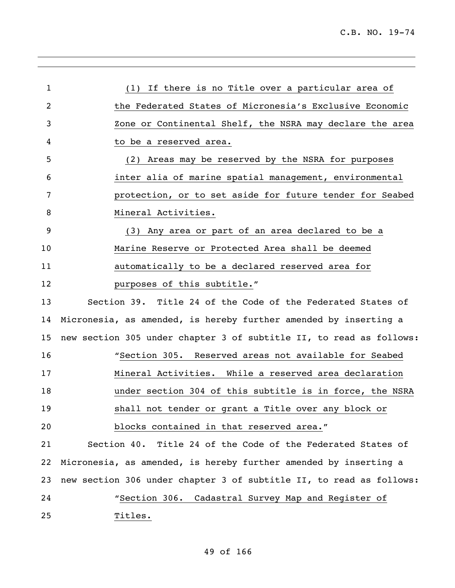| 1              | (1) If there is no Title over a particular area of                  |
|----------------|---------------------------------------------------------------------|
| 2              | the Federated States of Micronesia's Exclusive Economic             |
| 3              | Zone or Continental Shelf, the NSRA may declare the area            |
| 4              | to be a reserved area.                                              |
| 5              | Areas may be reserved by the NSRA for purposes<br>(2)               |
| 6              | inter alia of marine spatial management, environmental              |
| 7              | protection, or to set aside for future tender for Seabed            |
| 8              | Mineral Activities.                                                 |
| $\overline{9}$ | (3) Any area or part of an area declared to be a                    |
| 10             | Marine Reserve or Protected Area shall be deemed                    |
| 11             | automatically to be a declared reserved area for                    |
| 12             | purposes of this subtitle."                                         |
| 13             | Section 39. Title 24 of the Code of the Federated States of         |
| 14             | Micronesia, as amended, is hereby further amended by inserting a    |
| 15             | new section 305 under chapter 3 of subtitle II, to read as follows: |
| 16             | "Section 305. Reserved areas not available for Seabed               |
| 17             | Mineral Activities. While a reserved area declaration               |
| 18             | under section 304 of this subtitle is in force, the NSRA            |
| 19             | shall not tender or grant a Title over any block or                 |
| 20             | blocks contained in that reserved area."                            |
| 21             | Section 40. Title 24 of the Code of the Federated States of         |
| 22             | Micronesia, as amended, is hereby further amended by inserting a    |
| 23             | new section 306 under chapter 3 of subtitle II, to read as follows: |
| 24             | "Section 306. Cadastral Survey Map and Register of                  |
| 25             | Titles.                                                             |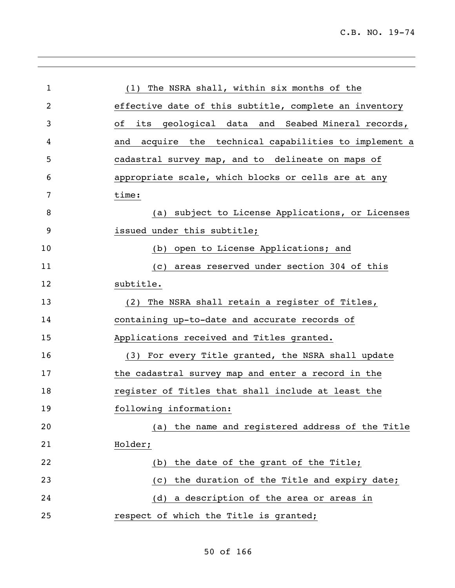| 1              | (1) The NSRA shall, within six months of the             |
|----------------|----------------------------------------------------------|
| $\overline{2}$ | effective date of this subtitle, complete an inventory   |
| 3              | оf<br>its geological data and Seabed Mineral records,    |
| 4              | acquire the technical capabilities to implement a<br>and |
| 5              | cadastral survey map, and to delineate on maps of        |
| 6              | appropriate scale, which blocks or cells are at any      |
| 7              | time:                                                    |
| 8              | (a) subject to License Applications, or Licenses         |
| 9              | issued under this subtitle;                              |
| 10             | (b) open to License Applications; and                    |
| 11             | areas reserved under section 304 of this<br>(C)          |
| 12             | subtitle.                                                |
| 13             | The NSRA shall retain a register of Titles,<br>(2)       |
| 14             | containing up-to-date and accurate records of            |
| 15             | Applications received and Titles granted.                |
| 16             | (3) For every Title granted, the NSRA shall update       |
| 17             | the cadastral survey map and enter a record in the       |
| 18             | register of Titles that shall include at least the       |
| 19             | following information:                                   |
| 20             | the name and registered address of the Title<br>(a)      |
| 21             | Holder;                                                  |
| 22             | the date of the grant of the Title;<br>(b)               |
| 23             | the duration of the Title and expiry date;<br>(C)        |
| 24             | a description of the area or areas in<br>(d)             |
| 25             | respect of which the Title is granted;                   |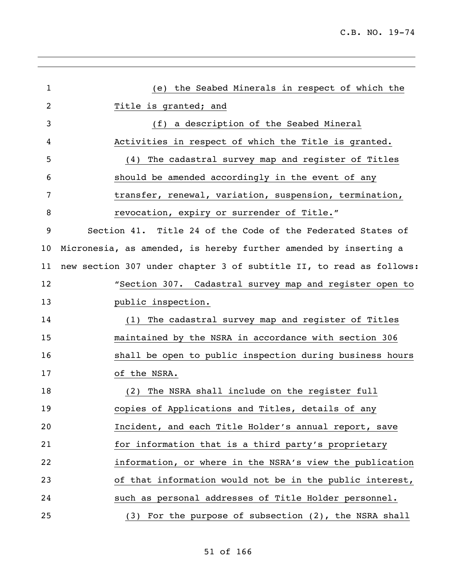| $\mathbf{1}$ | (e) the Seabed Minerals in respect of which the                     |
|--------------|---------------------------------------------------------------------|
| 2            | Title is granted; and                                               |
| 3            | (f) a description of the Seabed Mineral                             |
| 4            | Activities in respect of which the Title is granted.                |
| 5            | The cadastral survey map and register of Titles<br>(4)              |
| 6            | should be amended accordingly in the event of any                   |
| 7            | transfer, renewal, variation, suspension, termination,              |
| 8            | revocation, expiry or surrender of Title."                          |
| 9            | Section 41. Title 24 of the Code of the Federated States of         |
| 10           | Micronesia, as amended, is hereby further amended by inserting a    |
| 11           | new section 307 under chapter 3 of subtitle II, to read as follows: |
| 12           | "Section 307. Cadastral survey map and register open to             |
| 13           | public inspection.                                                  |
| 14           | The cadastral survey map and register of Titles<br>(1)              |
| 15           | maintained by the NSRA in accordance with section 306               |
| 16           | shall be open to public inspection during business hours            |
| 17           | of the NSRA.                                                        |
| 18           | The NSRA shall include on the register full<br>(2)                  |
| 19           | copies of Applications and Titles, details of any                   |
| 20           | Incident, and each Title Holder's annual report, save               |
| 21           | for information that is a third party's proprietary                 |
| 22           | information, or where in the NSRA's view the publication            |
| 23           | of that information would not be in the public interest,            |
| 24           | such as personal addresses of Title Holder personnel.               |
| 25           | For the purpose of subsection (2), the NSRA shall<br>(3)            |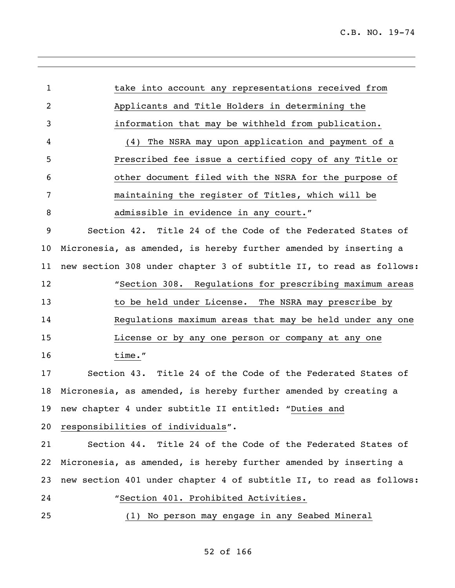C.B. NO. 19-74

| 1  | take into account any representations received from                 |
|----|---------------------------------------------------------------------|
| 2  | Applicants and Title Holders in determining the                     |
| 3  | information that may be withheld from publication.                  |
| 4  | The NSRA may upon application and payment of a<br>(4)               |
| 5  | Prescribed fee issue a certified copy of any Title or               |
| 6  | other document filed with the NSRA for the purpose of               |
| 7  | maintaining the register of Titles, which will be                   |
| 8  | admissible in evidence in any court."                               |
| 9  | Section 42. Title 24 of the Code of the Federated States of         |
| 10 | Micronesia, as amended, is hereby further amended by inserting a    |
| 11 | new section 308 under chapter 3 of subtitle II, to read as follows: |
| 12 | "Section 308. Requlations for prescribing maximum areas             |
| 13 | to be held under License. The NSRA may prescribe by                 |
| 14 | Regulations maximum areas that may be held under any one            |
| 15 | License or by any one person or company at any one                  |
| 16 | time."                                                              |
| 17 | Section 43. Title 24 of the Code of the Federated States of         |
| 18 | Micronesia, as amended, is hereby further amended by creating a     |
|    | 19 new chapter 4 under subtitle II entitled: "Duties and            |
| 20 | responsibilities of individuals".                                   |
| 21 | Section 44. Title 24 of the Code of the Federated States of         |
| 22 | Micronesia, as amended, is hereby further amended by inserting a    |
| 23 | new section 401 under chapter 4 of subtitle II, to read as follows: |
| 24 | "Section 401. Prohibited Activities.                                |
| 25 | (1) No person may engage in any Seabed Mineral                      |
|    |                                                                     |

## of 166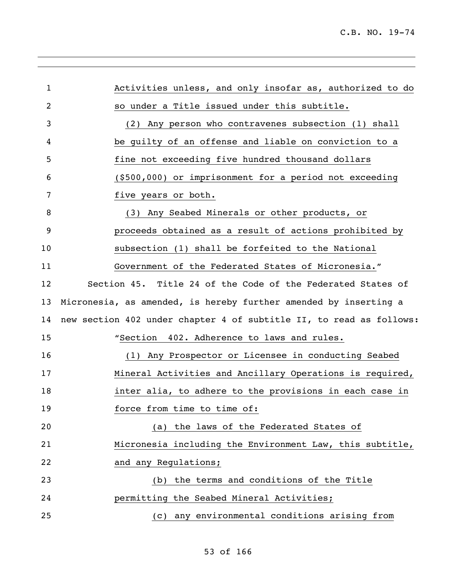| $\mathbf{1}$ | Activities unless, and only insofar as, authorized to do            |
|--------------|---------------------------------------------------------------------|
| 2            | so under a Title issued under this subtitle.                        |
| 3            | (2) Any person who contravenes subsection (1) shall                 |
| 4            | be quilty of an offense and liable on conviction to a               |
| 5            | fine not exceeding five hundred thousand dollars                    |
| 6            | (\$500,000) or imprisonment for a period not exceeding              |
| 7            | five years or both.                                                 |
| 8            | (3) Any Seabed Minerals or other products, or                       |
| 9            | proceeds obtained as a result of actions prohibited by              |
| 10           | subsection (1) shall be forfeited to the National                   |
| 11           | Government of the Federated States of Micronesia."                  |
| 12           | Section 45. Title 24 of the Code of the Federated States of         |
| 13           | Micronesia, as amended, is hereby further amended by inserting a    |
| 14           | new section 402 under chapter 4 of subtitle II, to read as follows: |
| 15           | "Section 402. Adherence to laws and rules.                          |
| 16           | (1) Any Prospector or Licensee in conducting Seabed                 |
| 17           | Mineral Activities and Ancillary Operations is required,            |
| 18           | inter alia, to adhere to the provisions in each case in             |
| 19           | force from time to time of:                                         |
| 20           | (a) the laws of the Federated States of                             |
| 21           | Micronesia including the Environment Law, this subtitle,            |
| 22           | and any Regulations;                                                |
| 23           | the terms and conditions of the Title<br>(b)                        |
| 24           | permitting the Seabed Mineral Activities;                           |
| 25           | (c) any environmental conditions arising from                       |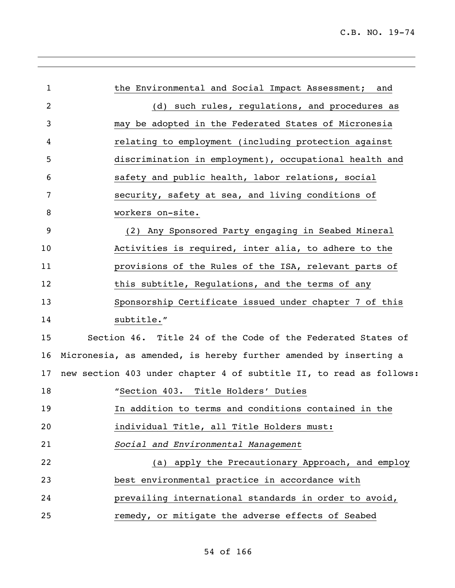| $\mathbf{1}$ | the Environmental and Social Impact Assessment; and                 |
|--------------|---------------------------------------------------------------------|
| 2            | (d) such rules, regulations, and procedures as                      |
| 3            | may be adopted in the Federated States of Micronesia                |
| 4            | relating to employment (including protection against                |
| 5            | discrimination in employment), occupational health and              |
| 6            | safety and public health, labor relations, social                   |
| 7            | security, safety at sea, and living conditions of                   |
| 8            | workers on-site.                                                    |
| 9            | (2) Any Sponsored Party engaging in Seabed Mineral                  |
| 10           | Activities is required, inter alia, to adhere to the                |
| 11           | provisions of the Rules of the ISA, relevant parts of               |
| 12           | this subtitle, Regulations, and the terms of any                    |
| 13           | Sponsorship Certificate issued under chapter 7 of this              |
| 14           | subtitle."                                                          |
| 15           | Section 46. Title 24 of the Code of the Federated States of         |
| 16           | Micronesia, as amended, is hereby further amended by inserting a    |
| 17           | new section 403 under chapter 4 of subtitle II, to read as follows: |
| 18           | "Section 403. Title Holders' Duties                                 |
| 19           | In addition to terms and conditions contained in the                |
| 20           | individual Title, all Title Holders must:                           |
| 21           | Social and Environmental Management                                 |
| 22           | (a) apply the Precautionary Approach, and employ                    |
| 23           | best environmental practice in accordance with                      |
| 24           | prevailing international standards in order to avoid,               |
| 25           | remedy, or mitigate the adverse effects of Seabed                   |
|              |                                                                     |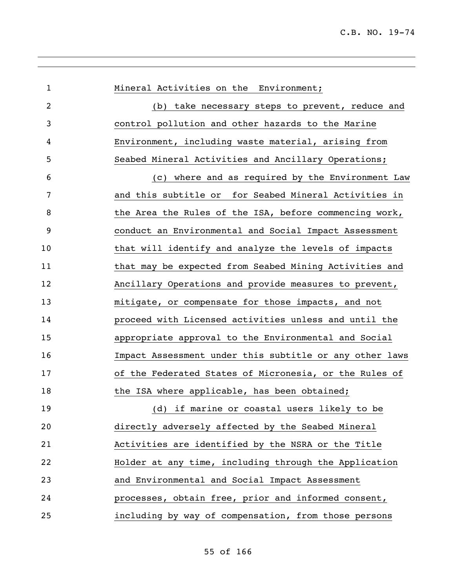| $\mathbf{1}$   | Mineral Activities on the Environment;                  |
|----------------|---------------------------------------------------------|
| $\overline{2}$ | take necessary steps to prevent, reduce and<br>(b)      |
| 3              | control pollution and other hazards to the Marine       |
| 4              | Environment, including waste material, arising from     |
| 5              | Seabed Mineral Activities and Ancillary Operations;     |
| 6              | (c) where and as required by the Environment Law        |
| 7              | and this subtitle or for Seabed Mineral Activities in   |
| 8              | the Area the Rules of the ISA, before commencing work,  |
| 9              | conduct an Environmental and Social Impact Assessment   |
| 10             | that will identify and analyze the levels of impacts    |
| 11             | that may be expected from Seabed Mining Activities and  |
| 12             | Ancillary Operations and provide measures to prevent,   |
| 13             | mitigate, or compensate for those impacts, and not      |
| 14             | proceed with Licensed activities unless and until the   |
| 15             | appropriate approval to the Environmental and Social    |
| 16             | Impact Assessment under this subtitle or any other laws |
| 17             | of the Federated States of Micronesia, or the Rules of  |
| 18             | the ISA where applicable, has been obtained;            |
| 19             | (d) if marine or coastal users likely to be             |
| 20             | directly adversely affected by the Seabed Mineral       |
| 21             | Activities are identified by the NSRA or the Title      |
| 22             | Holder at any time, including through the Application   |
| 23             | and Environmental and Social Impact Assessment          |
| 24             | processes, obtain free, prior and informed consent,     |
| 25             | including by way of compensation, from those persons    |
|                |                                                         |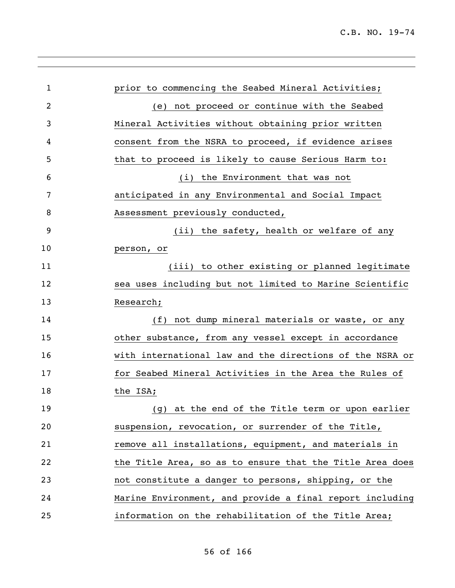| $\mathbf 1$    | prior to commencing the Seabed Mineral Activities;       |
|----------------|----------------------------------------------------------|
| $\overline{2}$ | (e) not proceed or continue with the Seabed              |
| 3              | Mineral Activities without obtaining prior written       |
| 4              | consent from the NSRA to proceed, if evidence arises     |
| 5              | that to proceed is likely to cause Serious Harm to:      |
| 6              | (i) the Environment that was not                         |
| 7              | anticipated in any Environmental and Social Impact       |
| 8              | Assessment previously conducted,                         |
| 9              | (ii) the safety, health or welfare of any                |
| 10             | person, or                                               |
| 11             | (iii) to other existing or planned legitimate            |
| 12             | sea uses including but not limited to Marine Scientific  |
| 13             | Research;                                                |
| 14             | (f) not dump mineral materials or waste, or any          |
| 15             | other substance, from any vessel except in accordance    |
| 16             | with international law and the directions of the NSRA or |
| 17             | for Seabed Mineral Activities in the Area the Rules of   |
| 18             | the ISA;                                                 |
| 19             | (g) at the end of the Title term or upon earlier         |
| 20             | suspension, revocation, or surrender of the Title,       |
| 21             | remove all installations, equipment, and materials in    |
| 22             | the Title Area, so as to ensure that the Title Area does |
| 23             | not constitute a danger to persons, shipping, or the     |
| 24             | Marine Environment, and provide a final report including |
| 25             | information on the rehabilitation of the Title Area;     |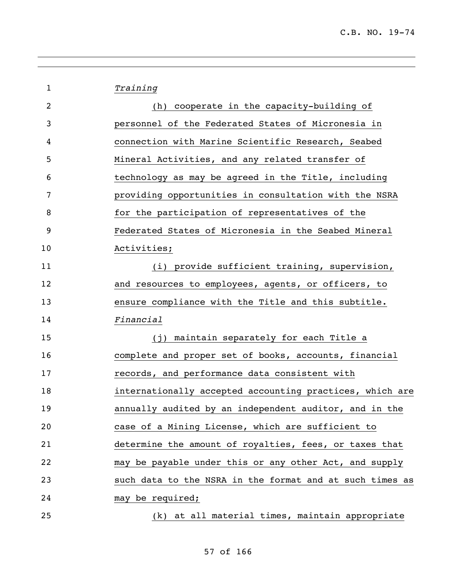| $\mathbf 1$ | Training                                                 |
|-------------|----------------------------------------------------------|
| 2           | (h) cooperate in the capacity-building of                |
| 3           | personnel of the Federated States of Micronesia in       |
| 4           | connection with Marine Scientific Research, Seabed       |
| 5           | Mineral Activities, and any related transfer of          |
| 6           | technology as may be agreed in the Title, including      |
| 7           | providing opportunities in consultation with the NSRA    |
| 8           | for the participation of representatives of the          |
| 9           | Federated States of Micronesia in the Seabed Mineral     |
| 10          | Activities;                                              |
| 11          | (i) provide sufficient training, supervision,            |
| 12          | and resources to employees, agents, or officers, to      |
| 13          | ensure compliance with the Title and this subtitle.      |
| 14          | Financial                                                |
| 15          | (j) maintain separately for each Title a                 |
| 16          | complete and proper set of books, accounts, financial    |
| 17          | records, and performance data consistent with            |
| 18          | internationally accepted accounting practices, which are |
| 19          | annually audited by an independent auditor, and in the   |
| 20          | case of a Mining License, which are sufficient to        |
| 21          | determine the amount of royalties, fees, or taxes that   |
| 22          | may be payable under this or any other Act, and supply   |
| 23          | such data to the NSRA in the format and at such times as |
| 24          | may be required;                                         |
| 25          | (k) at all material times, maintain appropriate          |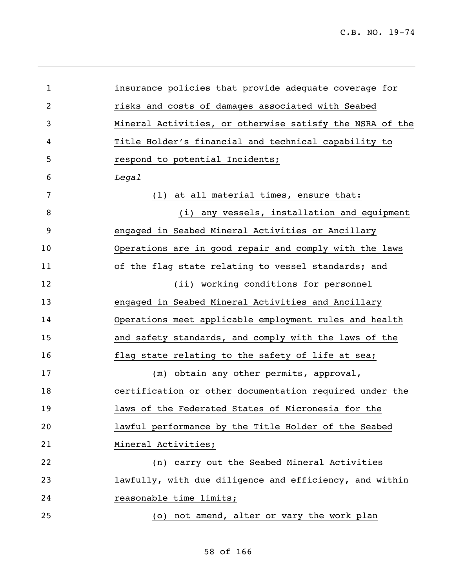| 1  | insurance policies that provide adequate coverage for    |
|----|----------------------------------------------------------|
| 2  | risks and costs of damages associated with Seabed        |
| 3  | Mineral Activities, or otherwise satisfy the NSRA of the |
| 4  | Title Holder's financial and technical capability to     |
| 5  | respond to potential Incidents;                          |
| 6  | Legal                                                    |
| 7  | (1) at all material times, ensure that:                  |
| 8  | (i) any vessels, installation and equipment              |
| 9  | engaged in Seabed Mineral Activities or Ancillary        |
| 10 | Operations are in good repair and comply with the laws   |
| 11 | of the flag state relating to vessel standards; and      |
| 12 | (ii) working conditions for personnel                    |
| 13 | engaged in Seabed Mineral Activities and Ancillary       |
| 14 | Operations meet applicable employment rules and health   |
| 15 | and safety standards, and comply with the laws of the    |
| 16 | flag state relating to the safety of life at sea;        |
| 17 | (m) obtain any other permits, approval,                  |
| 18 | certification or other documentation required under the  |
| 19 | laws of the Federated States of Micronesia for the       |
| 20 | lawful performance by the Title Holder of the Seabed     |
| 21 | Mineral Activities;                                      |
| 22 | (n) carry out the Seabed Mineral Activities              |
| 23 | lawfully, with due diligence and efficiency, and within  |
| 24 | reasonable time limits;                                  |
| 25 | (o) not amend, alter or vary the work plan               |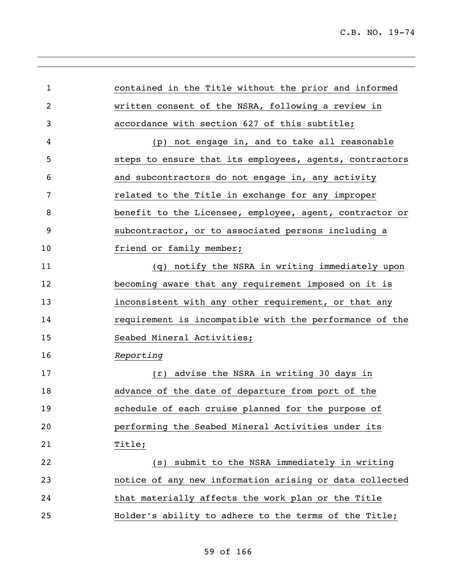| contained in the Title without the prior and informed   |
|---------------------------------------------------------|
| written consent of the NSRA, following a review in      |
| accordance with section 627 of this subtitle;           |
| (p) not engage in, and to take all reasonable           |
| steps to ensure that its employees, agents, contractors |
| and subcontractors do not engage in, any activity       |
| related to the Title in exchange for any improper       |
| benefit to the Licensee, employee, agent, contractor or |
| subcontractor, or to associated persons including a     |
| friend or family member;                                |
| (q) notify the NSRA in writing immediately upon         |
| becoming aware that any requirement imposed on it is    |
| inconsistent with any other requirement, or that any    |
| requirement is incompatible with the performance of the |
| Seabed Mineral Activities;                              |
| Reporting                                               |
| (r) advise the NSRA in writing 30 days in               |
| advance of the date of departure from port of the       |
| schedule of each cruise planned for the purpose of      |
| performing the Seabed Mineral Activities under its      |
| Title;                                                  |
| submit to the NSRA immediately in writing<br>(s)        |
| notice of any new information arising or data collected |
| that materially affects the work plan or the Title      |
| Holder's ability to adhere to the terms of the Title;   |
|                                                         |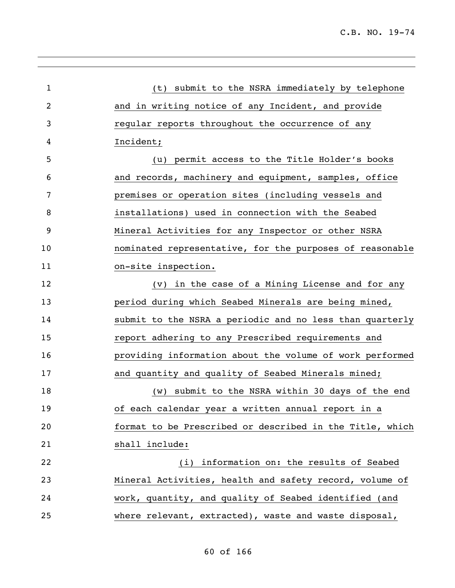| 1  | (t) submit to the NSRA immediately by telephone          |
|----|----------------------------------------------------------|
| 2  | and in writing notice of any Incident, and provide       |
| 3  | regular reports throughout the occurrence of any         |
| 4  | Incident;                                                |
| 5  | (u) permit access to the Title Holder's books            |
| 6  | and records, machinery and equipment, samples, office    |
| 7  | premises or operation sites (including vessels and       |
| 8  | installations) used in connection with the Seabed        |
| 9  | Mineral Activities for any Inspector or other NSRA       |
| 10 | nominated representative, for the purposes of reasonable |
| 11 | on-site inspection.                                      |
| 12 | (v) in the case of a Mining License and for any          |
| 13 | period during which Seabed Minerals are being mined,     |
| 14 | submit to the NSRA a periodic and no less than quarterly |
| 15 | report adhering to any Prescribed requirements and       |
| 16 | providing information about the volume of work performed |
| 17 | and quantity and quality of Seabed Minerals mined;       |
| 18 | (w) submit to the NSRA within 30 days of the end         |
| 19 | of each calendar year a written annual report in a       |
| 20 | format to be Prescribed or described in the Title, which |
| 21 | shall include:                                           |
| 22 | information on: the results of Seabed<br>(i)             |
| 23 | Mineral Activities, health and safety record, volume of  |
| 24 | work, quantity, and quality of Seabed identified (and    |
| 25 | where relevant, extracted), waste and waste disposal,    |
|    |                                                          |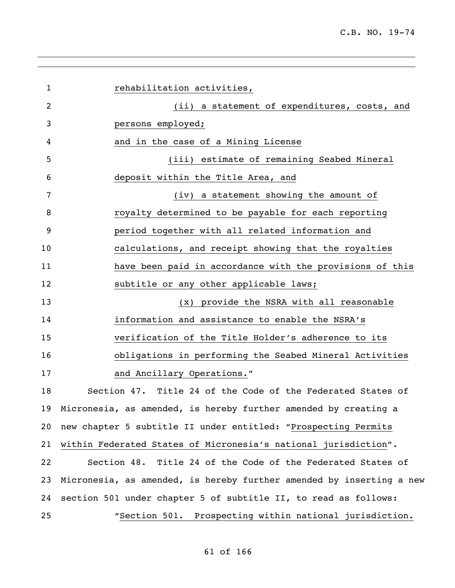*rehabilitation activities,*  (ii) a statement of expenditures, costs, and persons employed; and in the case of a Mining License (iii) estimate of remaining Seabed Mineral deposit within the Title Area, and (iv) a statement showing the amount of royalty determined to be payable for each reporting period together with all related information and calculations, and receipt showing that the royalties have been paid in accordance with the provisions of this 12 subtitle or any other applicable laws; (x) provide the NSRA with all reasonable information and assistance to enable the NSRA's verification of the Title Holder's adherence to its obligations in performing the Seabed Mineral Activities 17 and Ancillary Operations." Section 47. Title 24 of the Code of the Federated States of Micronesia, as amended, is hereby further amended by creating a new chapter 5 subtitle II under entitled: "Prospecting Permits within Federated States of Micronesia's national jurisdiction". Section 48. Title 24 of the Code of the Federated States of Micronesia, as amended, is hereby further amended by inserting a new section 501 under chapter 5 of subtitle II, to read as follows: "Section 501. Prospecting within national jurisdiction.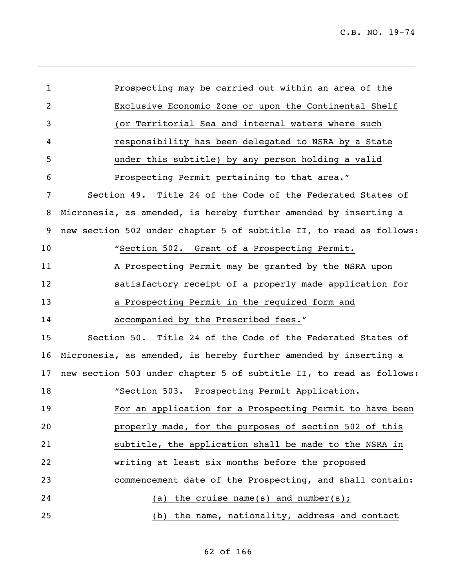| $\mathbf{1}$   | Prospecting may be carried out within an area of the                |
|----------------|---------------------------------------------------------------------|
| $\overline{c}$ | Exclusive Economic Zone or upon the Continental Shelf               |
| 3              | (or Territorial Sea and internal waters where such                  |
| 4              | responsibility has been delegated to NSRA by a State                |
| 5              | under this subtitle) by any person holding a valid                  |
| 6              | Prospecting Permit pertaining to that area."                        |
| 7              | Section 49. Title 24 of the Code of the Federated States of         |
| 8              | Micronesia, as amended, is hereby further amended by inserting a    |
| 9              | new section 502 under chapter 5 of subtitle II, to read as follows: |
| 10             | "Section 502. Grant of a Prospecting Permit.                        |
| 11             | A Prospecting Permit may be granted by the NSRA upon                |
| 12             | satisfactory receipt of a properly made application for             |
| 13             | a Prospecting Permit in the required form and                       |
| 14             | accompanied by the Prescribed fees."                                |
| 15             | Section 50. Title 24 of the Code of the Federated States of         |
| 16             | Micronesia, as amended, is hereby further amended by inserting a    |
| 17             | new section 503 under chapter 5 of subtitle II, to read as follows: |
| 18             | "Section 503. Prospecting Permit Application.                       |
| 19             | For an application for a Prospecting Permit to have been            |
| 20             | properly made, for the purposes of section 502 of this              |
| 21             | subtitle, the application shall be made to the NSRA in              |
| 22             | writing at least six months before the proposed                     |
| 23             | commencement date of the Prospecting, and shall contain:            |
| 24             | (a) the cruise name(s) and number(s);                               |
| 25             | (b) the name, nationality, address and contact                      |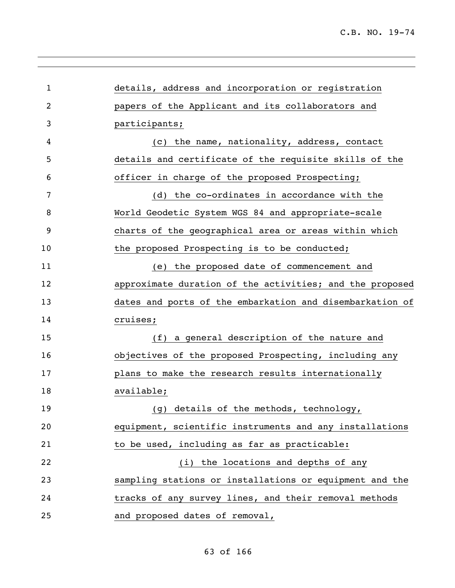| $\mathbf{1}$   | details, address and incorporation or registration       |
|----------------|----------------------------------------------------------|
| $\overline{c}$ | papers of the Applicant and its collaborators and        |
| 3              | participants;                                            |
| 4              | the name, nationality, address, contact<br>(C)           |
| 5              | details and certificate of the requisite skills of the   |
| 6              | officer in charge of the proposed Prospecting;           |
| 7              | (d) the co-ordinates in accordance with the              |
| 8              | World Geodetic System WGS 84 and appropriate-scale       |
| 9              | charts of the geographical area or areas within which    |
| 10             | the proposed Prospecting is to be conducted;             |
| 11             | (e) the proposed date of commencement and                |
| 12             | approximate duration of the activities; and the proposed |
| 13             | dates and ports of the embarkation and disembarkation of |
| 14             | cruises;                                                 |
| 15             | (f) a general description of the nature and              |
| 16             | objectives of the proposed Prospecting, including any    |
| 17             | plans to make the research results internationally       |
| 18             | available;                                               |
| 19             | (g) details of the methods, technology,                  |
| 20             | equipment, scientific instruments and any installations  |
| 21             | to be used, including as far as practicable:             |
| 22             | (i) the locations and depths of any                      |
| 23             | sampling stations or installations or equipment and the  |
| 24             | tracks of any survey lines, and their removal methods    |
| 25             | and proposed dates of removal,                           |

# of 166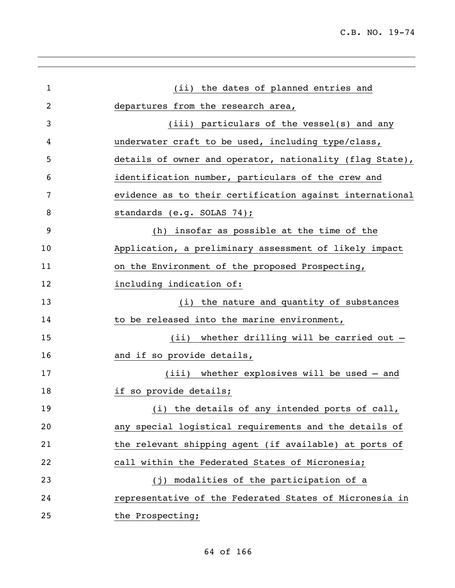| 1  | (ii) the dates of planned entries and                          |
|----|----------------------------------------------------------------|
| 2  | departures from the research area,                             |
| 3  | (iii) particulars of the vessel(s) and any                     |
| 4  | underwater craft to be used, including type/class,             |
| 5  | details of owner and operator, nationality (flag State),       |
| 6  | identification number, particulars of the crew and             |
| 7  | evidence as to their certification against international       |
| 8  | standards (e.g. SOLAS 74);                                     |
| 9  | (h) insofar as possible at the time of the                     |
| 10 | Application, a preliminary assessment of likely impact         |
| 11 | on the Environment of the proposed Prospecting,                |
| 12 | including indication of:                                       |
| 13 | (i) the nature and quantity of substances                      |
| 14 | to be released into the marine environment,                    |
| 15 | (ii) whether drilling will be carried out -                    |
| 16 | and if so provide details,                                     |
| 17 | (iii) whether explosives will be used - and                    |
| 18 | if so provide details;                                         |
| 19 | the details of any intended ports of call,<br>$\left(1\right)$ |
| 20 | any special logistical requirements and the details of         |
| 21 | the relevant shipping agent (if available) at ports of         |
| 22 | call within the Federated States of Micronesia;                |
| 23 | modalities of the participation of a<br>(i)                    |
| 24 | representative of the Federated States of Micronesia in        |
| 25 | the Prospecting;                                               |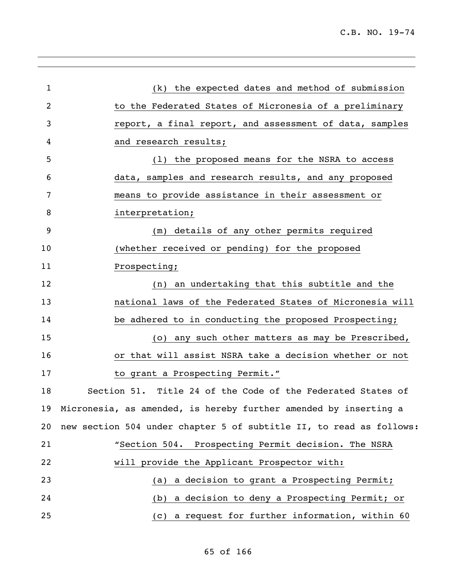| 1              | (k) the expected dates and method of submission                     |
|----------------|---------------------------------------------------------------------|
| $\overline{2}$ | to the Federated States of Micronesia of a preliminary              |
| 3              | report, a final report, and assessment of data, samples             |
| 4              | and research results;                                               |
| 5              | (1) the proposed means for the NSRA to access                       |
| 6              | data, samples and research results, and any proposed                |
| 7              | means to provide assistance in their assessment or                  |
| 8              | interpretation;                                                     |
| 9              | (m) details of any other permits required                           |
| 10             | (whether received or pending) for the proposed                      |
| 11             | Prospecting;                                                        |
| 12             | (n) an undertaking that this subtitle and the                       |
| 13             | national laws of the Federated States of Micronesia will            |
| 14             | be adhered to in conducting the proposed Prospecting;               |
| 15             | (o) any such other matters as may be Prescribed,                    |
| 16             | or that will assist NSRA take a decision whether or not             |
| 17             | to grant a Prospecting Permit."                                     |
| 18             | Section 51. Title 24 of the Code of the Federated States of         |
|                | 19 Micronesia, as amended, is hereby further amended by inserting a |
| 20             | new section 504 under chapter 5 of subtitle II, to read as follows: |
| 21             | "Section 504. Prospecting Permit decision. The NSRA                 |
| 22             | will provide the Applicant Prospector with:                         |
| 23             | a decision to grant a Prospecting Permit;<br>(a)                    |
| 24             | a decision to deny a Prospecting Permit; or<br>(b)                  |
| 25             | a request for further information, within 60<br>(C)                 |
|                |                                                                     |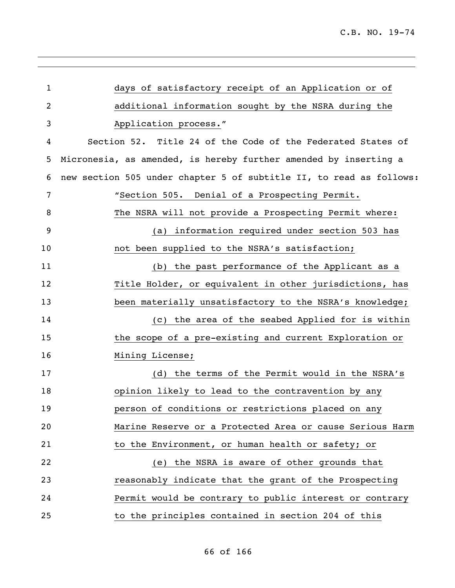| $\mathbf{1}$ | days of satisfactory receipt of an Application or of                |
|--------------|---------------------------------------------------------------------|
| 2            | additional information sought by the NSRA during the                |
| 3            | Application process."                                               |
| 4            | Section 52. Title 24 of the Code of the Federated States of         |
| 5            | Micronesia, as amended, is hereby further amended by inserting a    |
| 6            | new section 505 under chapter 5 of subtitle II, to read as follows: |
| 7            | "Section 505. Denial of a Prospecting Permit.                       |
| 8            | The NSRA will not provide a Prospecting Permit where:               |
| 9            | information required under section 503 has<br>(a)                   |
| 10           | not been supplied to the NSRA's satisfaction;                       |
| 11           | (b) the past performance of the Applicant as a                      |
| 12           | Title Holder, or equivalent in other jurisdictions, has             |
| 13           | been materially unsatisfactory to the NSRA's knowledge;             |
| 14           | (c) the area of the seabed Applied for is within                    |
| 15           | the scope of a pre-existing and current Exploration or              |
| 16           | Mining License;                                                     |
| 17           | (d) the terms of the Permit would in the NSRA's                     |
| 18           | opinion likely to lead to the contravention by any                  |
| 19           | person of conditions or restrictions placed on any                  |
| 20           | Marine Reserve or a Protected Area or cause Serious Harm            |
| 21           | to the Environment, or human health or safety; or                   |
| 22           | (e) the NSRA is aware of other grounds that                         |
| 23           | reasonably indicate that the grant of the Prospecting               |
| 24           | Permit would be contrary to public interest or contrary             |
| 25           | to the principles contained in section 204 of this                  |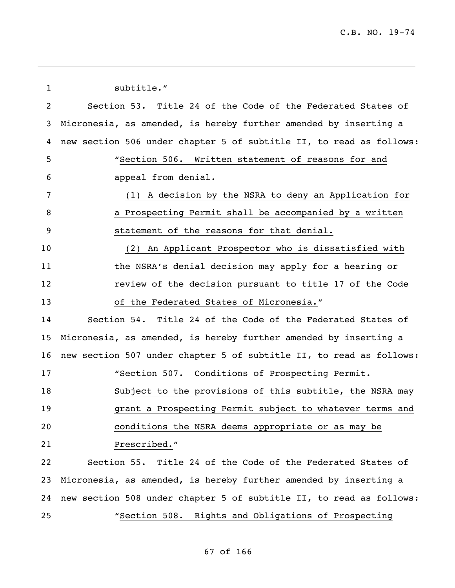1 subtitle." Section 53. Title 24 of the Code of the Federated States of Micronesia, as amended, is hereby further amended by inserting a new section 506 under chapter 5 of subtitle II, to read as follows: "Section 506. Written statement of reasons for and appeal from denial. (1) A decision by the NSRA to deny an Application for a Prospecting Permit shall be accompanied by a written statement of the reasons for that denial. (2) An Applicant Prospector who is dissatisfied with 11 the NSRA's denial decision may apply for a hearing or **12** review of the decision pursuant to title 17 of the Code of the Federated States of Micronesia." Section 54. Title 24 of the Code of the Federated States of Micronesia, as amended, is hereby further amended by inserting a new section 507 under chapter 5 of subtitle II, to read as follows: "Section 507. Conditions of Prospecting Permit. Subject to the provisions of this subtitle, the NSRA may grant a Prospecting Permit subject to whatever terms and conditions the NSRA deems appropriate or as may be Prescribed." Section 55. Title 24 of the Code of the Federated States of Micronesia, as amended, is hereby further amended by inserting a new section 508 under chapter 5 of subtitle II, to read as follows: "Section 508. Rights and Obligations of Prospecting

### of 166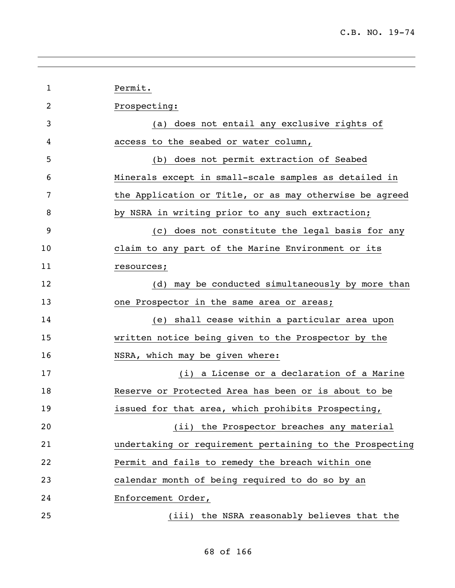| 1  | Permit.                                                  |
|----|----------------------------------------------------------|
| 2  | Prospecting:                                             |
| 3  | (a) does not entail any exclusive rights of              |
| 4  | access to the seabed or water column,                    |
| 5  | (b) does not permit extraction of Seabed                 |
| 6  | Minerals except in small-scale samples as detailed in    |
| 7  | the Application or Title, or as may otherwise be agreed  |
| 8  | by NSRA in writing prior to any such extraction;         |
| 9  | (c) does not constitute the legal basis for any          |
| 10 | claim to any part of the Marine Environment or its       |
| 11 | resources;                                               |
| 12 | (d) may be conducted simultaneously by more than         |
| 13 | one Prospector in the same area or areas;                |
| 14 | (e) shall cease within a particular area upon            |
| 15 | written notice being given to the Prospector by the      |
| 16 | NSRA, which may be given where:                          |
| 17 | (i) a License or a declaration of a Marine               |
| 18 | Reserve or Protected Area has been or is about to be     |
| 19 | issued for that area, which prohibits Prospecting,       |
| 20 | (ii) the Prospector breaches any material                |
| 21 | undertaking or requirement pertaining to the Prospecting |
| 22 | Permit and fails to remedy the breach within one         |
| 23 | calendar month of being required to do so by an          |
| 24 | Enforcement Order,                                       |
| 25 | (iii) the NSRA reasonably believes that the              |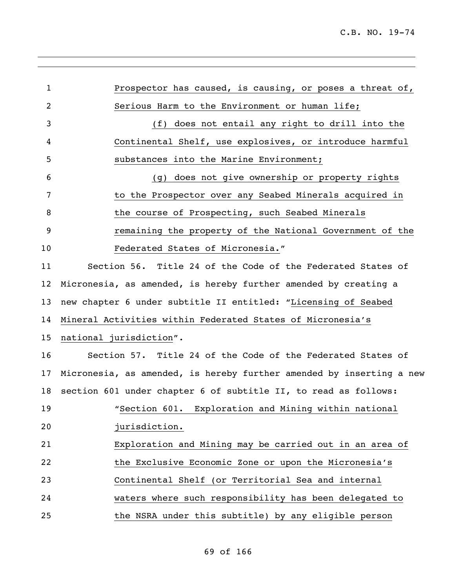| $\mathbf{1}$ | Prospector has caused, is causing, or poses a threat of,             |
|--------------|----------------------------------------------------------------------|
| 2            | Serious Harm to the Environment or human life;                       |
| 3            | (f) does not entail any right to drill into the                      |
| 4            | Continental Shelf, use explosives, or introduce harmful              |
| 5            | substances into the Marine Environment;                              |
| 6            | (g) does not give ownership or property rights                       |
| 7            | to the Prospector over any Seabed Minerals acquired in               |
| 8            | the course of Prospecting, such Seabed Minerals                      |
| 9            | remaining the property of the National Government of the             |
| 10           | Federated States of Micronesia."                                     |
| 11           | Section 56. Title 24 of the Code of the Federated States of          |
| 12           | Micronesia, as amended, is hereby further amended by creating a      |
| 13           | new chapter 6 under subtitle II entitled: "Licensing of Seabed       |
| 14           | Mineral Activities within Federated States of Micronesia's           |
| 15           | national jurisdiction".                                              |
| 16           | Section 57. Title 24 of the Code of the Federated States of          |
| 17           | Micronesia, as amended, is hereby further amended by inserting a new |
| 18           | section 601 under chapter 6 of subtitle II, to read as follows:      |
| 19           | "Section 601. Exploration and Mining within national                 |
| 20           | jurisdiction.                                                        |
| 21           | Exploration and Mining may be carried out in an area of              |
| 22           | the Exclusive Economic Zone or upon the Micronesia's                 |
| 23           | Continental Shelf (or Territorial Sea and internal                   |
| 24           | waters where such responsibility has been delegated to               |
| 25           | the NSRA under this subtitle) by any eligible person                 |
|              |                                                                      |

# of 166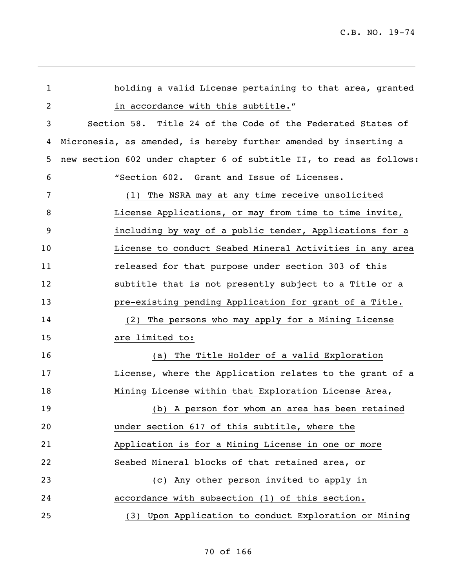| $\mathbf{1}$   | holding a valid License pertaining to that area, granted            |
|----------------|---------------------------------------------------------------------|
| $\overline{2}$ | in accordance with this subtitle."                                  |
| 3              | Section 58. Title 24 of the Code of the Federated States of         |
| 4              | Micronesia, as amended, is hereby further amended by inserting a    |
| 5              | new section 602 under chapter 6 of subtitle II, to read as follows: |
| 6              | "Section 602. Grant and Issue of Licenses.                          |
| 7              | The NSRA may at any time receive unsolicited<br>(1)                 |
| 8              | License Applications, or may from time to time invite,              |
| 9              | including by way of a public tender, Applications for a             |
| 10             | License to conduct Seabed Mineral Activities in any area            |
| 11             | released for that purpose under section 303 of this                 |
| 12             | subtitle that is not presently subject to a Title or a              |
| 13             | pre-existing pending Application for grant of a Title.              |
| 14             | (2) The persons who may apply for a Mining License                  |
| 15             | are limited to:                                                     |
| 16             | The Title Holder of a valid Exploration<br>(a)                      |
| 17             | License, where the Application relates to the grant of a            |
| 18             | Mining License within that Exploration License Area,                |
| 19             | (b) A person for whom an area has been retained                     |
| 20             | under section 617 of this subtitle, where the                       |
| 21             | Application is for a Mining License in one or more                  |
| 22             | Seabed Mineral blocks of that retained area, or                     |
| 23             | (c) Any other person invited to apply in                            |
| 24             | accordance with subsection (1) of this section.                     |
| 25             | Upon Application to conduct Exploration or Mining<br>(3)            |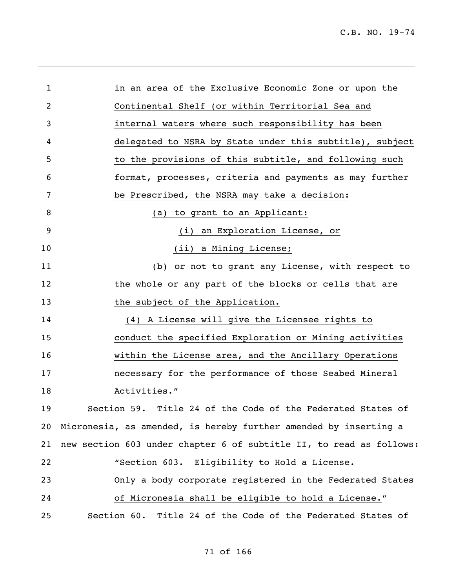| $\mathbf 1$    | in an area of the Exclusive Economic Zone or upon the               |
|----------------|---------------------------------------------------------------------|
| $\overline{c}$ | Continental Shelf (or within Territorial Sea and                    |
| 3              | internal waters where such responsibility has been                  |
| 4              | delegated to NSRA by State under this subtitle), subject            |
| 5              | to the provisions of this subtitle, and following such              |
| 6              | format, processes, criteria and payments as may further             |
| 7              | be Prescribed, the NSRA may take a decision:                        |
| 8              | to grant to an Applicant:<br>(a)                                    |
| 9              | (i) an Exploration License, or                                      |
| 10             | (ii) a Mining License;                                              |
| 11             | (b) or not to grant any License, with respect to                    |
| 12             | the whole or any part of the blocks or cells that are               |
| 13             | the subject of the Application.                                     |
| 14             | (4) A License will give the Licensee rights to                      |
| 15             | conduct the specified Exploration or Mining activities              |
| 16             | within the License area, and the Ancillary Operations               |
| 17             | necessary for the performance of those Seabed Mineral               |
| 18             | Activities."                                                        |
| 19             | Section 59. Title 24 of the Code of the Federated States of         |
| 20             | Micronesia, as amended, is hereby further amended by inserting a    |
| 21             | new section 603 under chapter 6 of subtitle II, to read as follows: |
| 22             | "Section 603. Eligibility to Hold a License.                        |
| 23             | Only a body corporate registered in the Federated States            |
| 24             | of Micronesia shall be eligible to hold a License."                 |
| 25             | Section 60. Title 24 of the Code of the Federated States of         |

# of 166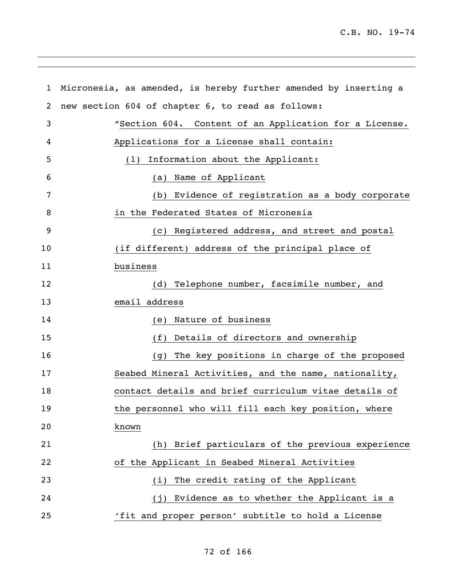| $\mathbf{1}$ | Micronesia, as amended, is hereby further amended by inserting a |
|--------------|------------------------------------------------------------------|
| 2            | new section 604 of chapter 6, to read as follows:                |
| 3            | "Section 604. Content of an Application for a License.           |
| 4            | Applications for a License shall contain:                        |
| 5            | Information about the Applicant:<br>(1)                          |
| 6            | Name of Applicant<br>(a)                                         |
| 7            | Evidence of registration as a body corporate<br>(b)              |
| 8            | in the Federated States of Micronesia                            |
| 9            | Registered address, and street and postal<br>(C)                 |
| 10           | (if different) address of the principal place of                 |
| 11           | business                                                         |
| 12           | Telephone number, facsimile number, and<br>(d)                   |
| 13           | email address                                                    |
| 14           | Nature of business<br>(e)                                        |
| 15           | Details of directors and ownership<br>(f)                        |
| 16           | The key positions in charge of the proposed<br>(g)               |
| 17           | Seabed Mineral Activities, and the name, nationality,            |
| 18           | contact details and brief curriculum vitae details of            |
| 19           | the personnel who will fill each key position, where             |
| 20           | known                                                            |
| 21           | (h) Brief particulars of the previous experience                 |
| 22           | of the Applicant in Seabed Mineral Activities                    |
| 23           | The credit rating of the Applicant<br>(i)                        |
| 24           | (j) Evidence as to whether the Applicant is a                    |
| 25           | 'fit and proper person' subtitle to hold a License               |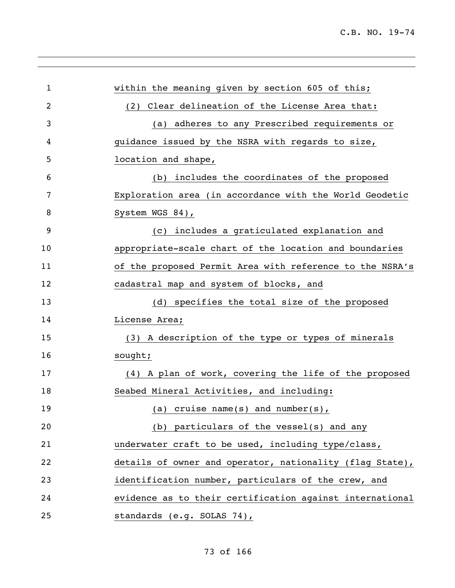| 1  | within the meaning given by section 605 of this;         |
|----|----------------------------------------------------------|
| 2  | (2) Clear delineation of the License Area that:          |
| 3  | (a) adheres to any Prescribed requirements or            |
| 4  | guidance issued by the NSRA with regards to size,        |
| 5  | location and shape,                                      |
| 6  | (b) includes the coordinates of the proposed             |
| 7  | Exploration area (in accordance with the World Geodetic  |
| 8  | System WGS 84),                                          |
| 9  | (c) includes a graticulated explanation and              |
| 10 | appropriate-scale chart of the location and boundaries   |
| 11 | of the proposed Permit Area with reference to the NSRA's |
| 12 | cadastral map and system of blocks, and                  |
| 13 | (d) specifies the total size of the proposed             |
| 14 | License Area;                                            |
| 15 | (3) A description of the type or types of minerals       |
| 16 | sought;                                                  |
| 17 | (4) A plan of work, covering the life of the proposed    |
| 18 | Seabed Mineral Activities, and including:                |
| 19 | (a) cruise name(s) and number(s),                        |
| 20 | particulars of the vessel(s) and any<br>(b)              |
| 21 | underwater craft to be used, including type/class,       |
| 22 | details of owner and operator, nationality (flag State), |
| 23 | identification number, particulars of the crew, and      |
| 24 | evidence as to their certification against international |
| 25 | standards (e.g. SOLAS 74),                               |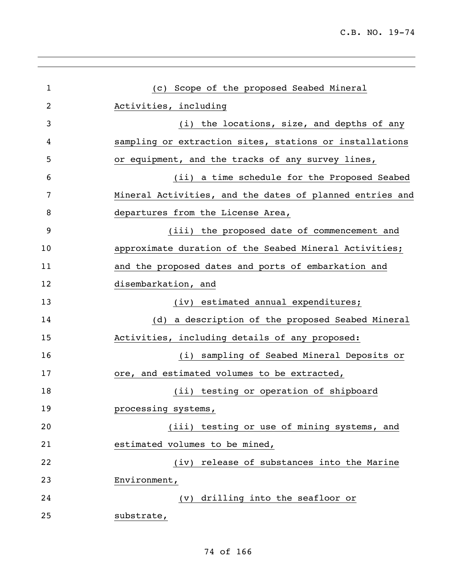| $\mathbf{1}$ | (c) Scope of the proposed Seabed Mineral                 |
|--------------|----------------------------------------------------------|
| 2            | Activities, including                                    |
| 3            | (i) the locations, size, and depths of any               |
| 4            | sampling or extraction sites, stations or installations  |
| 5            | or equipment, and the tracks of any survey lines,        |
| 6            | (ii) a time schedule for the Proposed Seabed             |
| 7            | Mineral Activities, and the dates of planned entries and |
| 8            | departures from the License Area,                        |
| 9            | (iii) the proposed date of commencement and              |
| 10           | approximate duration of the Seabed Mineral Activities;   |
| 11           | and the proposed dates and ports of embarkation and      |
| 12           | disembarkation, and                                      |
| 13           | (iv) estimated annual expenditures;                      |
| 14           | (d) a description of the proposed Seabed Mineral         |
| 15           | Activities, including details of any proposed:           |
| 16           | (i) sampling of Seabed Mineral Deposits or               |
| 17           | ore, and estimated volumes to be extracted,              |
| 18           | (ii) testing or operation of shipboard                   |
| 19           | processing systems,                                      |
| 20           | (iii) testing or use of mining systems, and              |
| 21           | estimated volumes to be mined,                           |
| 22           | (iv) release of substances into the Marine               |
| 23           | Environment,                                             |
| 24           | drilling into the seafloor or<br>$(\nu)$                 |
| 25           | substrate,                                               |
|              |                                                          |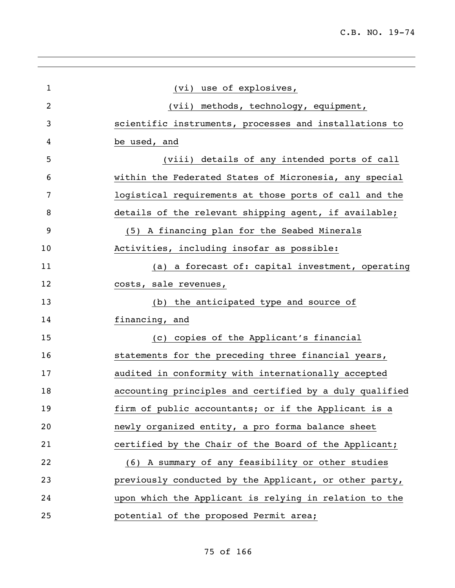| $\mathbf{1}$   | (vi) use of explosives,                                 |
|----------------|---------------------------------------------------------|
| $\overline{2}$ | (vii) methods, technology, equipment,                   |
| 3              | scientific instruments, processes and installations to  |
| 4              | be used, and                                            |
| 5              | (viii) details of any intended ports of call            |
| 6              | within the Federated States of Micronesia, any special  |
| 7              | logistical requirements at those ports of call and the  |
| 8              | details of the relevant shipping agent, if available;   |
| 9              | (5) A financing plan for the Seabed Minerals            |
| 10             | Activities, including insofar as possible:              |
| 11             | (a) a forecast of: capital investment, operating        |
| 12             | costs, sale revenues,                                   |
| 13             | (b) the anticipated type and source of                  |
| 14             | financing, and                                          |
| 15             | (c) copies of the Applicant's financial                 |
| 16             | statements for the preceding three financial years,     |
| 17             | audited in conformity with internationally accepted     |
| 18             | accounting principles and certified by a duly qualified |
| 19             | firm of public accountants; or if the Applicant is a    |
| 20             | newly organized entity, a pro forma balance sheet       |
| 21             | certified by the Chair of the Board of the Applicant;   |
| 22             | (6) A summary of any feasibility or other studies       |
| 23             | previously conducted by the Applicant, or other party,  |
| 24             | upon which the Applicant is relying in relation to the  |
| 25             | potential of the proposed Permit area;                  |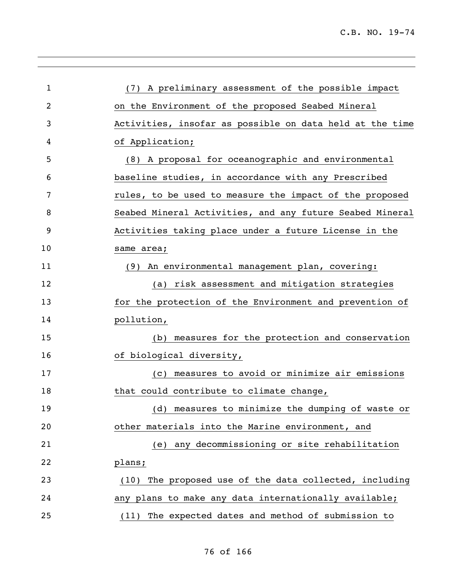| 1  | (7) A preliminary assessment of the possible impact       |
|----|-----------------------------------------------------------|
| 2  | on the Environment of the proposed Seabed Mineral         |
| 3  | Activities, insofar as possible on data held at the time  |
| 4  | of Application;                                           |
| 5  | (8) A proposal for oceanographic and environmental        |
| 6  | baseline studies, in accordance with any Prescribed       |
| 7  | rules, to be used to measure the impact of the proposed   |
| 8  | Seabed Mineral Activities, and any future Seabed Mineral  |
| 9  | Activities taking place under a future License in the     |
| 10 | same area;                                                |
| 11 | (9) An environmental management plan, covering:           |
| 12 | (a) risk assessment and mitigation strategies             |
| 13 | for the protection of the Environment and prevention of   |
| 14 | pollution,                                                |
| 15 | (b) measures for the protection and conservation          |
| 16 | of biological diversity,                                  |
| 17 | (c) measures to avoid or minimize air emissions           |
| 18 | that could contribute to climate change,                  |
| 19 | measures to minimize the dumping of waste or<br>(d)       |
| 20 | other materials into the Marine environment, and          |
| 21 | (e) any decommissioning or site rehabilitation            |
| 22 | plans;                                                    |
| 23 | The proposed use of the data collected, including<br>(10) |
| 24 | any plans to make any data internationally available;     |
| 25 | (11) The expected dates and method of submission to       |
|    |                                                           |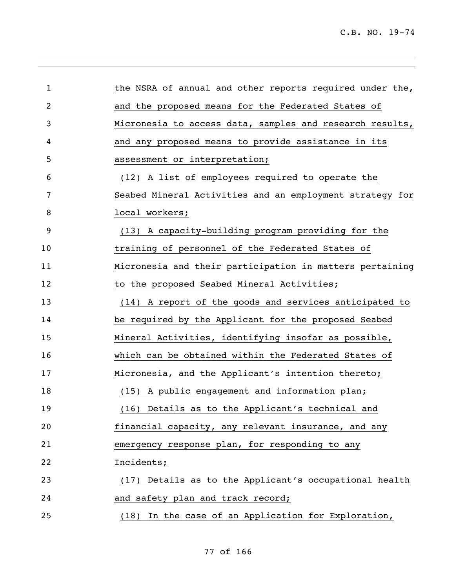| $\mathbf 1$    | the NSRA of annual and other reports required under the, |
|----------------|----------------------------------------------------------|
| $\overline{2}$ | and the proposed means for the Federated States of       |
| 3              | Micronesia to access data, samples and research results, |
| 4              | and any proposed means to provide assistance in its      |
| 5              | assessment or interpretation;                            |
| 6              | (12) A list of employees required to operate the         |
| 7              | Seabed Mineral Activities and an employment strategy for |
| 8              | local workers;                                           |
| 9              | (13) A capacity-building program providing for the       |
| 10             | training of personnel of the Federated States of         |
| 11             | Micronesia and their participation in matters pertaining |
| 12             | to the proposed Seabed Mineral Activities;               |
| 13             | (14) A report of the goods and services anticipated to   |
| 14             | be required by the Applicant for the proposed Seabed     |
| 15             | Mineral Activities, identifying insofar as possible,     |
| 16             | which can be obtained within the Federated States of     |
| 17             | Micronesia, and the Applicant's intention thereto;       |
| 18             | (15) A public engagement and information plan;           |
| 19             | (16) Details as to the Applicant's technical and         |
| 20             | financial capacity, any relevant insurance, and any      |
| 21             | emergency response plan, for responding to any           |
| 22             | Incidents;                                               |
| 23             | (17) Details as to the Applicant's occupational health   |
| 24             | and safety plan and track record;                        |
| 25             | In the case of an Application for Exploration,<br>(18)   |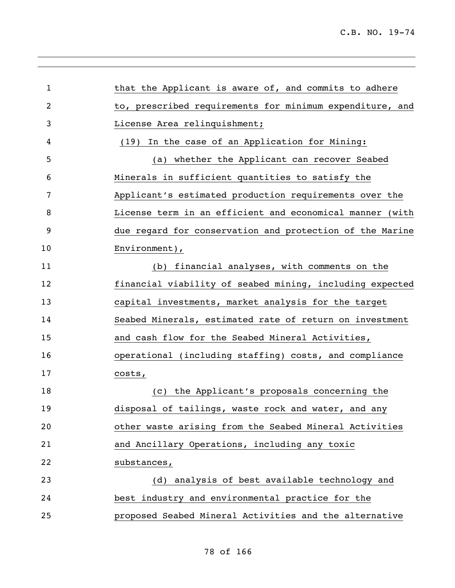| $\mathbf 1$    | that the Applicant is aware of, and commits to adhere    |
|----------------|----------------------------------------------------------|
| $\overline{2}$ | to, prescribed requirements for minimum expenditure, and |
| 3              | License Area relinquishment;                             |
| 4              | In the case of an Application for Mining:<br>(19)        |
| 5              | (a) whether the Applicant can recover Seabed             |
| 6              | Minerals in sufficient quantities to satisfy the         |
| 7              | Applicant's estimated production requirements over the   |
| 8              | License term in an efficient and economical manner (with |
| 9              | due regard for conservation and protection of the Marine |
| 10             | Environment),                                            |
| 11             | (b) financial analyses, with comments on the             |
| 12             | financial viability of seabed mining, including expected |
| 13             | capital investments, market analysis for the target      |
| 14             | Seabed Minerals, estimated rate of return on investment  |
| 15             | and cash flow for the Seabed Mineral Activities,         |
| 16             | operational (including staffing) costs, and compliance   |
| 17             | costs,                                                   |
| 18             | (c) the Applicant's proposals concerning the             |
| 19             | disposal of tailings, waste rock and water, and any      |
| 20             | other waste arising from the Seabed Mineral Activities   |
| 21             | and Ancillary Operations, including any toxic            |
| 22             | substances,                                              |
| 23             | (d) analysis of best available technology and            |
| 24             | best industry and environmental practice for the         |
| 25             | proposed Seabed Mineral Activities and the alternative   |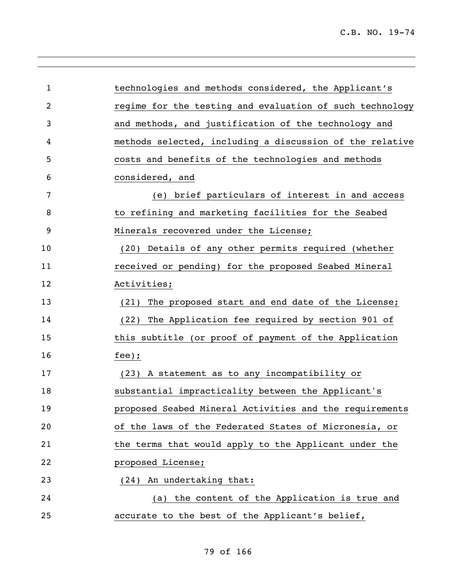| $\mathbf{1}$   | technologies and methods considered, the Applicant's     |
|----------------|----------------------------------------------------------|
| $\overline{c}$ | regime for the testing and evaluation of such technology |
| 3              | and methods, and justification of the technology and     |
| 4              | methods selected, including a discussion of the relative |
| 5              | costs and benefits of the technologies and methods       |
| 6              | considered, and                                          |
| 7              | brief particulars of interest in and access<br>(e)       |
| 8              | to refining and marketing facilities for the Seabed      |
| 9              | Minerals recovered under the License;                    |
| 10             | (20) Details of any other permits required (whether      |
| 11             | received or pending) for the proposed Seabed Mineral     |
| 12             | Activities;                                              |
| 13             | The proposed start and end date of the License;<br>(21)  |
| 14             | (22) The Application fee required by section 901 of      |
| 15             | this subtitle (or proof of payment of the Application    |
| 16             | fee);                                                    |
| 17             | (23) A statement as to any incompatibility or            |
| 18             | substantial impracticality between the Applicant's       |
| 19             | proposed Seabed Mineral Activities and the requirements  |
| 20             | of the laws of the Federated States of Micronesia, or    |
| 21             | the terms that would apply to the Applicant under the    |
| 22             | proposed License;                                        |
| 23             | (24) An undertaking that:                                |
| 24             | (a) the content of the Application is true and           |
| 25             | accurate to the best of the Applicant's belief,          |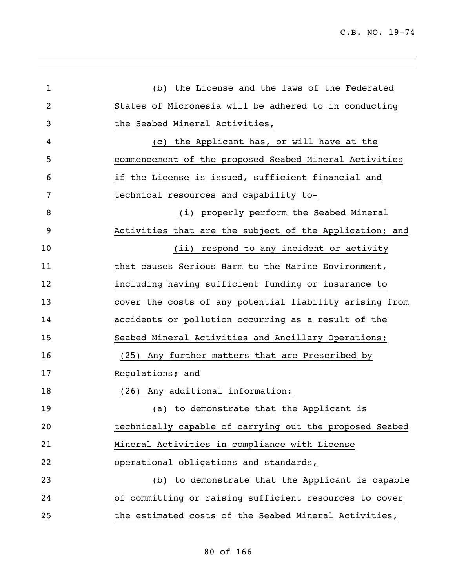| $\mathbf 1$ | (b) the License and the laws of the Federated           |
|-------------|---------------------------------------------------------|
| 2           | States of Micronesia will be adhered to in conducting   |
| 3           | the Seabed Mineral Activities,                          |
| 4           | (c) the Applicant has, or will have at the              |
| 5           | commencement of the proposed Seabed Mineral Activities  |
| 6           | if the License is issued, sufficient financial and      |
| 7           | technical resources and capability to-                  |
| 8           | (i) properly perform the Seabed Mineral                 |
| 9           | Activities that are the subject of the Application; and |
| 10          | (ii) respond to any incident or activity                |
| 11          | that causes Serious Harm to the Marine Environment,     |
| 12          | including having sufficient funding or insurance to     |
| 13          | cover the costs of any potential liability arising from |
| 14          | accidents or pollution occurring as a result of the     |
| 15          | Seabed Mineral Activities and Ancillary Operations;     |
| 16          | (25) Any further matters that are Prescribed by         |
| 17          | Regulations; and                                        |
| 18          | (26) Any additional information:                        |
| 19          | (a) to demonstrate that the Applicant is                |
| 20          | technically capable of carrying out the proposed Seabed |
| 21          | Mineral Activities in compliance with License           |
| 22          | operational obligations and standards,                  |
| 23          | (b) to demonstrate that the Applicant is capable        |
| 24          | of committing or raising sufficient resources to cover  |
| 25          | the estimated costs of the Seabed Mineral Activities,   |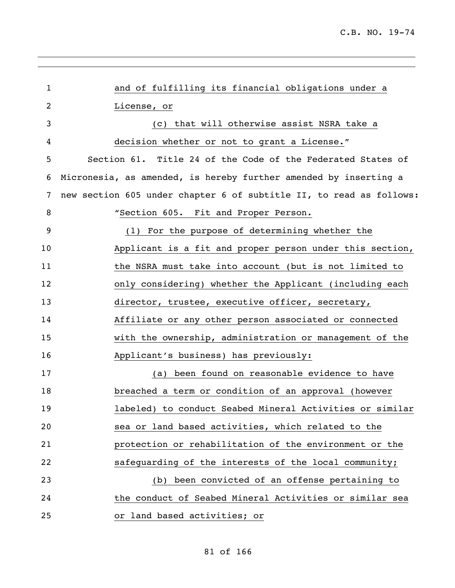| 1              | and of fulfilling its financial obligations under a                 |
|----------------|---------------------------------------------------------------------|
| $\overline{c}$ | License, or                                                         |
| 3              | (c) that will otherwise assist NSRA take a                          |
| 4              | decision whether or not to grant a License."                        |
| 5              | Section 61. Title 24 of the Code of the Federated States of         |
| 6              | Micronesia, as amended, is hereby further amended by inserting a    |
| 7              | new section 605 under chapter 6 of subtitle II, to read as follows: |
| 8              | "Section 605. Fit and Proper Person.                                |
| 9              | (1) For the purpose of determining whether the                      |
| 10             | Applicant is a fit and proper person under this section,            |
| 11             | the NSRA must take into account (but is not limited to              |
| 12             | only considering) whether the Applicant (including each             |
| 13             | director, trustee, executive officer, secretary,                    |
| 14             | Affiliate or any other person associated or connected               |
| 15             | with the ownership, administration or management of the             |
| 16             | Applicant's business) has previously:                               |
| 17             | (a) been found on reasonable evidence to have                       |
| 18             | breached a term or condition of an approval (however                |
| 19             | labeled) to conduct Seabed Mineral Activities or similar            |
| 20             | sea or land based activities, which related to the                  |
| 21             | protection or rehabilitation of the environment or the              |
| 22             | safeguarding of the interests of the local community;               |
| 23             | (b) been convicted of an offense pertaining to                      |
| 24             | the conduct of Seabed Mineral Activities or similar sea             |
| 25             | or land based activities; or                                        |
|                |                                                                     |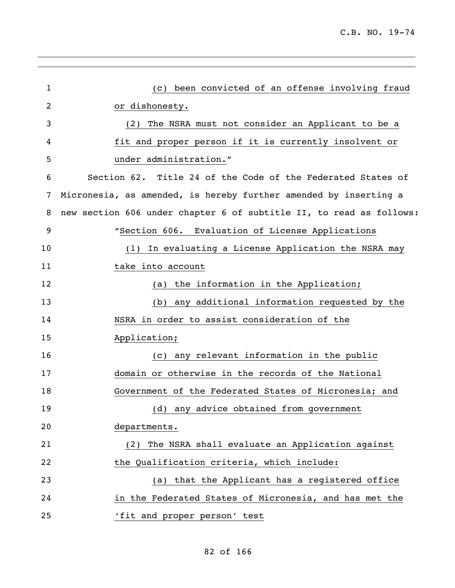| (c) been convicted of an offense involving fraud                    |
|---------------------------------------------------------------------|
| or dishonesty.                                                      |
| The NSRA must not consider an Applicant to be a<br>(2)              |
| fit and proper person if it is currently insolvent or               |
| under administration."                                              |
| Section 62. Title 24 of the Code of the Federated States of         |
| Micronesia, as amended, is hereby further amended by inserting a    |
| new section 606 under chapter 6 of subtitle II, to read as follows: |
| "Section 606. Evaluation of License Applications                    |
| In evaluating a License Application the NSRA may<br>(1)             |
| take into account                                                   |
| (a) the information in the Application;                             |
| (b) any additional information requested by the                     |
| NSRA in order to assist consideration of the                        |
| Application;                                                        |
| (c) any relevant information in the public                          |
| domain or otherwise in the records of the National                  |
| Government of the Federated States of Micronesia; and               |
| (d) any advice obtained from government                             |
| departments.                                                        |
| The NSRA shall evaluate an Application against<br>(2)               |
| the Qualification criteria, which include:                          |
| (a) that the Applicant has a registered office                      |
| in the Federated States of Micronesia, and has met the              |
| 'fit and proper person' test                                        |
|                                                                     |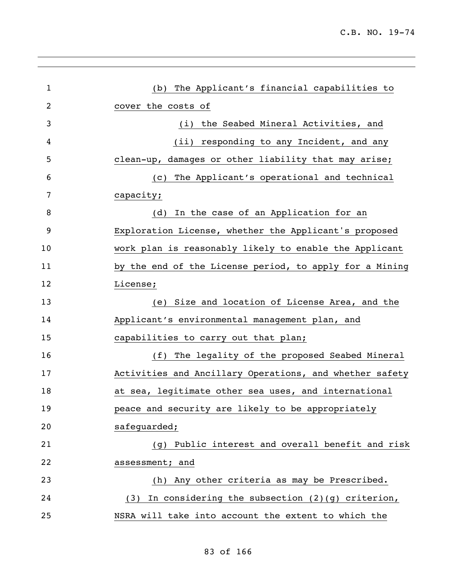| $\mathbf{1}$ | (b) The Applicant's financial capabilities to            |
|--------------|----------------------------------------------------------|
| 2            | cover the costs of                                       |
| 3            | (i) the Seabed Mineral Activities, and                   |
| 4            | (ii) responding to any Incident, and any                 |
| 5            | clean-up, damages or other liability that may arise;     |
| 6            | (c) The Applicant's operational and technical            |
| 7            | capacity;                                                |
| 8            | In the case of an Application for an<br>(d)              |
| 9            | Exploration License, whether the Applicant's proposed    |
| 10           | work plan is reasonably likely to enable the Applicant   |
| 11           | by the end of the License period, to apply for a Mining  |
| 12           | License;                                                 |
| 13           | (e) Size and location of License Area, and the           |
| 14           | Applicant's environmental management plan, and           |
| 15           | capabilities to carry out that plan;                     |
| 16           | (f) The legality of the proposed Seabed Mineral          |
| 17           | Activities and Ancillary Operations, and whether safety  |
| 18           | at sea, legitimate other sea uses, and international     |
| 19           | peace and security are likely to be appropriately        |
| 20           | safequarded;                                             |
| 21           | Public interest and overall benefit and risk<br>(g)      |
| 22           | assessment; and                                          |
| 23           | Any other criteria as may be Prescribed.<br>(h)          |
| 24           | In considering the subsection $(2)(g)$ criterion,<br>(3) |
| 25           | NSRA will take into account the extent to which the      |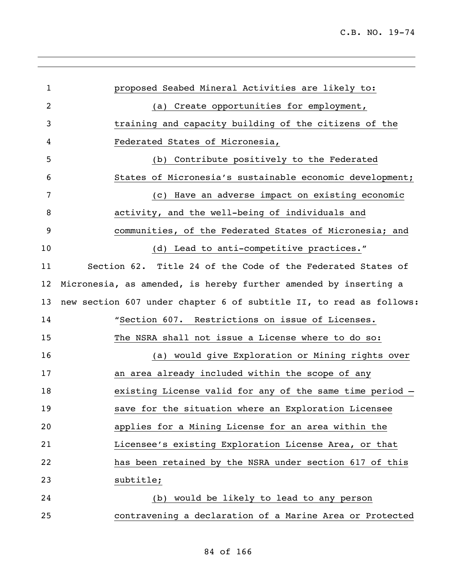| 1  | proposed Seabed Mineral Activities are likely to:                   |
|----|---------------------------------------------------------------------|
| 2  | (a) Create opportunities for employment,                            |
| 3  | training and capacity building of the citizens of the               |
| 4  | Federated States of Micronesia,                                     |
| 5  | (b) Contribute positively to the Federated                          |
| 6  | States of Micronesia's sustainable economic development;            |
| 7  | (c) Have an adverse impact on existing economic                     |
| 8  | activity, and the well-being of individuals and                     |
| 9  | communities, of the Federated States of Micronesia; and             |
| 10 | (d) Lead to anti-competitive practices."                            |
| 11 | Section 62. Title 24 of the Code of the Federated States of         |
| 12 | Micronesia, as amended, is hereby further amended by inserting a    |
| 13 | new section 607 under chapter 6 of subtitle II, to read as follows: |
| 14 | "Section 607. Restrictions on issue of Licenses.                    |
| 15 | The NSRA shall not issue a License where to do so:                  |
| 16 | (a) would give Exploration or Mining rights over                    |
| 17 | an area already included within the scope of any                    |
| 18 | existing License valid for any of the same time period -            |
| 19 | save for the situation where an Exploration Licensee                |
| 20 | applies for a Mining License for an area within the                 |
| 21 | Licensee's existing Exploration License Area, or that               |
| 22 | has been retained by the NSRA under section 617 of this             |
| 23 | subtitle;                                                           |
| 24 | would be likely to lead to any person<br>(b)                        |
| 25 | contravening a declaration of a Marine Area or Protected            |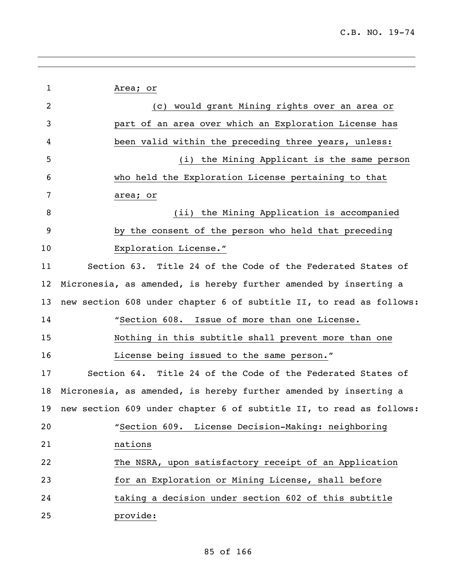| $\mathbf{1}$   | Area; or                                                            |
|----------------|---------------------------------------------------------------------|
| $\overline{c}$ | (c) would grant Mining rights over an area or                       |
| 3              | part of an area over which an Exploration License has               |
| 4              | been valid within the preceding three years, unless:                |
| 5              | (i) the Mining Applicant is the same person                         |
| 6              | who held the Exploration License pertaining to that                 |
| 7              | area; or                                                            |
| 8              | (ii) the Mining Application is accompanied                          |
| 9              | by the consent of the person who held that preceding                |
| 10             | Exploration License."                                               |
| 11             | Section 63. Title 24 of the Code of the Federated States of         |
| 12             | Micronesia, as amended, is hereby further amended by inserting a    |
| 13             | new section 608 under chapter 6 of subtitle II, to read as follows: |
| 14             | "Section 608. Issue of more than one License.                       |
| 15             | Nothing in this subtitle shall prevent more than one                |
| 16             | License being issued to the same person."                           |
| 17             | Section 64. Title 24 of the Code of the Federated States of         |
| 18             | Micronesia, as amended, is hereby further amended by inserting a    |
| 19             | new section 609 under chapter 6 of subtitle II, to read as follows: |
| 20             | "Section 609. License Decision-Making: neighboring                  |
| 21             | nations                                                             |
| 22             | The NSRA, upon satisfactory receipt of an Application               |
| 23             | for an Exploration or Mining License, shall before                  |
| 24             | taking a decision under section 602 of this subtitle                |
| 25             | provide:                                                            |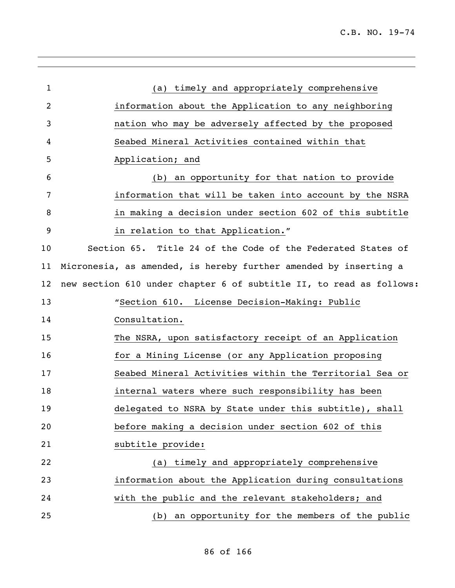| 1              | (a) timely and appropriately comprehensive                          |
|----------------|---------------------------------------------------------------------|
| $\overline{2}$ | information about the Application to any neighboring                |
| 3              | nation who may be adversely affected by the proposed                |
| 4              | Seabed Mineral Activities contained within that                     |
| 5              | Application; and                                                    |
| 6              | (b) an opportunity for that nation to provide                       |
| 7              | information that will be taken into account by the NSRA             |
| 8              | in making a decision under section 602 of this subtitle             |
| 9              | in relation to that Application."                                   |
| 10             | Section 65. Title 24 of the Code of the Federated States of         |
| 11             | Micronesia, as amended, is hereby further amended by inserting a    |
| 12             | new section 610 under chapter 6 of subtitle II, to read as follows: |
| 13             | "Section 610. License Decision-Making: Public                       |
| 14             | Consultation.                                                       |
| 15             | The NSRA, upon satisfactory receipt of an Application               |
| 16             | for a Mining License (or any Application proposing                  |
| 17             | Seabed Mineral Activities within the Territorial Sea or             |
| 18             | internal waters where such responsibility has been                  |
| 19             | delegated to NSRA by State under this subtitle), shall              |
| 20             | before making a decision under section 602 of this                  |
| 21             | subtitle provide:                                                   |
| 22             | timely and appropriately comprehensive<br>(a)                       |
| 23             | information about the Application during consultations              |
| 24             | with the public and the relevant stakeholders; and                  |
| 25             | an opportunity for the members of the public<br>(b)                 |
|                |                                                                     |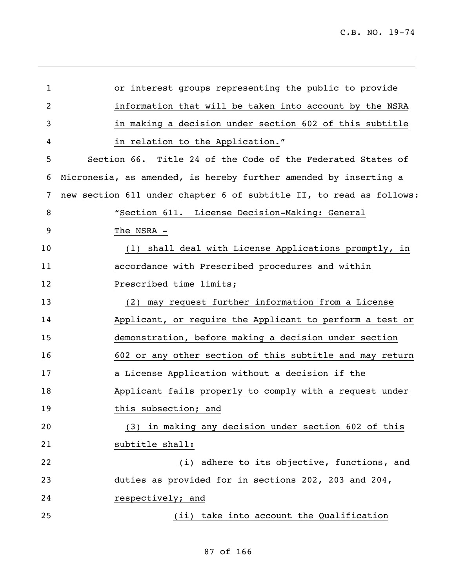| or interest groups representing the public to provide               |
|---------------------------------------------------------------------|
| information that will be taken into account by the NSRA             |
| in making a decision under section 602 of this subtitle             |
| in relation to the Application."                                    |
| Section 66. Title 24 of the Code of the Federated States of         |
| Micronesia, as amended, is hereby further amended by inserting a    |
| new section 611 under chapter 6 of subtitle II, to read as follows: |
| "Section 611. License Decision-Making: General                      |
| The NSRA -                                                          |
| (1) shall deal with License Applications promptly, in               |
| accordance with Prescribed procedures and within                    |
| Prescribed time limits;                                             |
| (2) may request further information from a License                  |
| Applicant, or require the Applicant to perform a test or            |
| demonstration, before making a decision under section               |
| 602 or any other section of this subtitle and may return            |
| a License Application without a decision if the                     |
| Applicant fails properly to comply with a request under             |
| this subsection; and                                                |
| in making any decision under section 602 of this<br>(3)             |
| subtitle shall:                                                     |
| adhere to its objective, functions, and<br>(i)                      |
| duties as provided for in sections 202, 203 and 204,                |
| respectively; and                                                   |
| (ii) take into account the Qualification                            |
|                                                                     |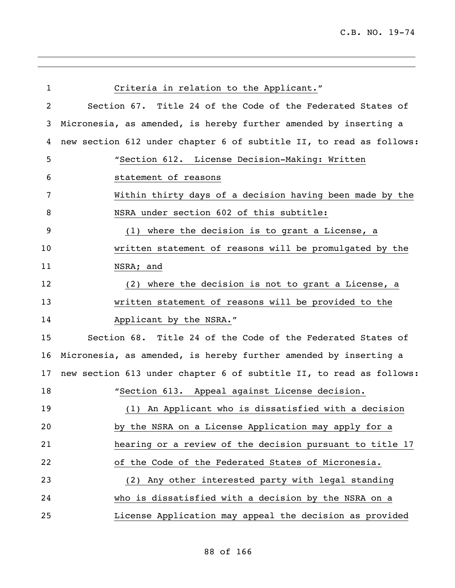| $\mathbf 1$ | Criteria in relation to the Applicant."                             |
|-------------|---------------------------------------------------------------------|
| 2           | Section 67. Title 24 of the Code of the Federated States of         |
| 3           | Micronesia, as amended, is hereby further amended by inserting a    |
| 4           | new section 612 under chapter 6 of subtitle II, to read as follows: |
| 5           | "Section 612. License Decision-Making: Written                      |
| 6           | statement of reasons                                                |
| 7           | Within thirty days of a decision having been made by the            |
| 8           | NSRA under section 602 of this subtitle:                            |
| 9           | (1) where the decision is to grant a License, a                     |
| 10          | written statement of reasons will be promulgated by the             |
| 11          | NSRA; and                                                           |
| 12          | (2) where the decision is not to grant a License, a                 |
| 13          | written statement of reasons will be provided to the                |
| 14          | Applicant by the NSRA."                                             |
| 15          | Section 68. Title 24 of the Code of the Federated States of         |
| 16          | Micronesia, as amended, is hereby further amended by inserting a    |
| 17          | new section 613 under chapter 6 of subtitle II, to read as follows: |
| 18          | "Section 613. Appeal against License decision.                      |
| 19          | (1) An Applicant who is dissatisfied with a decision                |
| 20          | by the NSRA on a License Application may apply for a                |
| 21          | hearing or a review of the decision pursuant to title 17            |
| 22          | of the Code of the Federated States of Micronesia.                  |
| 23          | Any other interested party with legal standing<br>(2)               |
| 24          | who is dissatisfied with a decision by the NSRA on a                |
| 25          | License Application may appeal the decision as provided             |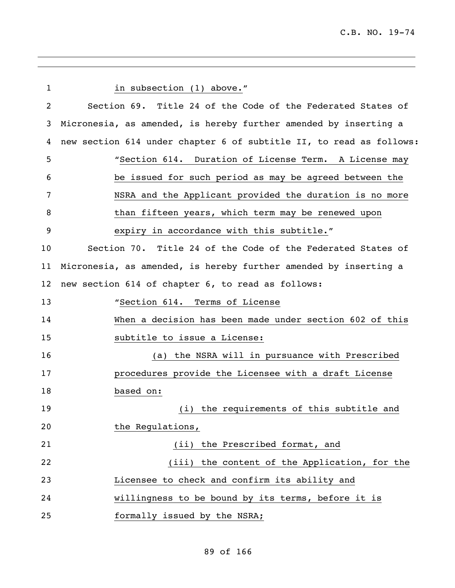| $\mathbf 1$     | in subsection (1) above."                                           |
|-----------------|---------------------------------------------------------------------|
| 2               | Section 69. Title 24 of the Code of the Federated States of         |
| 3               | Micronesia, as amended, is hereby further amended by inserting a    |
| 4               | new section 614 under chapter 6 of subtitle II, to read as follows: |
| 5               | "Section 614. Duration of License Term. A License may               |
| 6               | be issued for such period as may be agreed between the              |
| 7               | NSRA and the Applicant provided the duration is no more             |
| 8               | than fifteen years, which term may be renewed upon                  |
| 9               | expiry in accordance with this subtitle."                           |
| 10              | Section 70. Title 24 of the Code of the Federated States of         |
| 11              | Micronesia, as amended, is hereby further amended by inserting a    |
| 12 <sub>2</sub> | new section 614 of chapter 6, to read as follows:                   |
| 13              | "Section 614. Terms of License                                      |
| 14              | When a decision has been made under section 602 of this             |
| 15              | subtitle to issue a License:                                        |
| 16              | the NSRA will in pursuance with Prescribed<br>(a)                   |
| 17              | procedures provide the Licensee with a draft License                |
| 18              | based on:                                                           |
| 19              | (i) the requirements of this subtitle and                           |
| 20              | the Regulations,                                                    |
| 21              | (ii) the Prescribed format, and                                     |
| 22              | (iii) the content of the Application, for the                       |
| 23              | Licensee to check and confirm its ability and                       |
| 24              | willingness to be bound by its terms, before it is                  |
| 25              | formally issued by the NSRA;                                        |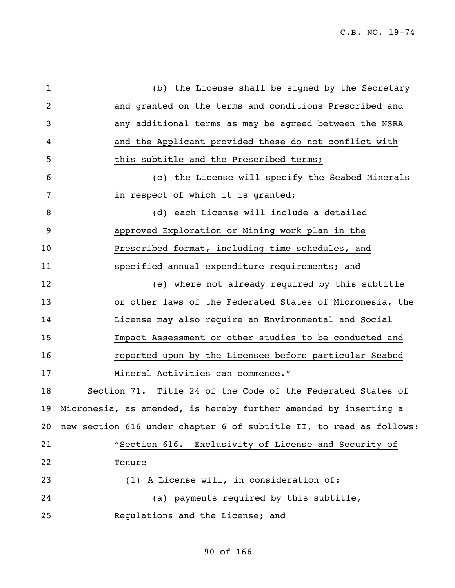| $\mathbf{1}$   | (b) the License shall be signed by the Secretary                    |
|----------------|---------------------------------------------------------------------|
| $\overline{c}$ | and granted on the terms and conditions Prescribed and              |
| 3              | additional terms as may be agreed between the NSRA<br>any           |
| 4              | and the Applicant provided these do not conflict with               |
| 5              | this subtitle and the Prescribed terms;                             |
| 6              | the License will specify the Seabed Minerals<br>(C)                 |
| 7              | in respect of which it is granted;                                  |
| 8              | each License will include a detailed<br>(d)                         |
| 9              | approved Exploration or Mining work plan in the                     |
| 10             | Prescribed format, including time schedules, and                    |
| 11             | specified annual expenditure requirements; and                      |
| 12             | where not already required by this subtitle<br>(e)                  |
| 13             | or other laws of the Federated States of Micronesia, the            |
| 14             | License may also require an Environmental and Social                |
| 15             | Impact Assessment or other studies to be conducted and              |
| 16             | reported upon by the Licensee before particular Seabed              |
| 17             | Mineral Activities can commence."                                   |
| 18             | Section 71. Title 24 of the Code of the Federated States of         |
|                | 19 Micronesia, as amended, is hereby further amended by inserting a |
| 20             | new section 616 under chapter 6 of subtitle II, to read as follows: |
| 21             | "Section 616. Exclusivity of License and Security of                |
| 22             | Tenure                                                              |
| 23             | (1) A License will, in consideration of:                            |
| 24             | (a) payments required by this subtitle,                             |
| 25             | Regulations and the License; and                                    |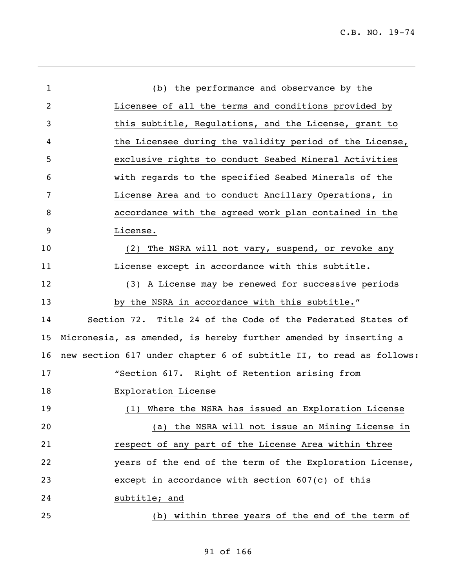| $\mathbf{1}$ | (b) the performance and observance by the                           |
|--------------|---------------------------------------------------------------------|
| 2            | Licensee of all the terms and conditions provided by                |
| 3            | this subtitle, Requlations, and the License, grant to               |
| 4            | the Licensee during the validity period of the License,             |
| 5            | exclusive rights to conduct Seabed Mineral Activities               |
| 6            | with regards to the specified Seabed Minerals of the                |
| 7            | License Area and to conduct Ancillary Operations, in                |
| 8            | accordance with the agreed work plan contained in the               |
| 9            | License.                                                            |
| 10           | The NSRA will not vary, suspend, or revoke any<br>(2)               |
| 11           | License except in accordance with this subtitle.                    |
| 12           | (3) A License may be renewed for successive periods                 |
| 13           | by the NSRA in accordance with this subtitle."                      |
| 14           | Section 72. Title 24 of the Code of the Federated States of         |
| 15           | Micronesia, as amended, is hereby further amended by inserting a    |
| 16           | new section 617 under chapter 6 of subtitle II, to read as follows: |
| 17           | "Section 617. Right of Retention arising from                       |
| 18           | Exploration License                                                 |
| 19           | (1) Where the NSRA has issued an Exploration License                |
| 20           | (a) the NSRA will not issue an Mining License in                    |
| 21           | respect of any part of the License Area within three                |
| 22           | years of the end of the term of the Exploration License,            |
| 23           | except in accordance with section $607(c)$ of this                  |
| 24           | subtitle; and                                                       |
| 25           | within three years of the end of the term of<br>(b)                 |

,我们也不会有什么。""我们的人,我们也不会有什么?""我们的人,我们也不会有什么?""我们的人,我们也不会有什么?""我们的人,我们也不会有什么?""我们的人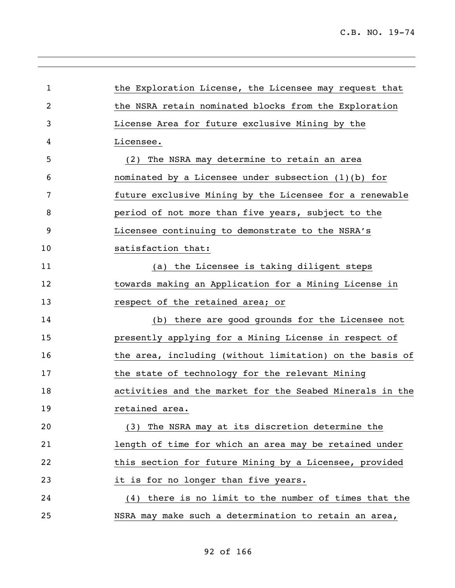| 1              | the Exploration License, the Licensee may request that   |
|----------------|----------------------------------------------------------|
| $\overline{2}$ | the NSRA retain nominated blocks from the Exploration    |
| 3              | License Area for future exclusive Mining by the          |
| 4              | Licensee.                                                |
| 5              | The NSRA may determine to retain an area<br>(2)          |
| 6              | nominated by a Licensee under subsection (1)(b) for      |
| 7              | future exclusive Mining by the Licensee for a renewable  |
| 8              | period of not more than five years, subject to the       |
| 9              | Licensee continuing to demonstrate to the NSRA's         |
| 10             | satisfaction that:                                       |
| 11             | (a) the Licensee is taking diligent steps                |
| 12             | towards making an Application for a Mining License in    |
| 13             | respect of the retained area; or                         |
| 14             | (b) there are good grounds for the Licensee not          |
| 15             | presently applying for a Mining License in respect of    |
| 16             | the area, including (without limitation) on the basis of |
| 17             | the state of technology for the relevant Mining          |
| 18             | activities and the market for the Seabed Minerals in the |
| 19             | retained area.                                           |
| 20             | (3) The NSRA may at its discretion determine the         |
| 21             | length of time for which an area may be retained under   |
| 22             | this section for future Mining by a Licensee, provided   |
| 23             | it is for no longer than five years.                     |
| 24             | (4) there is no limit to the number of times that the    |
| 25             | NSRA may make such a determination to retain an area,    |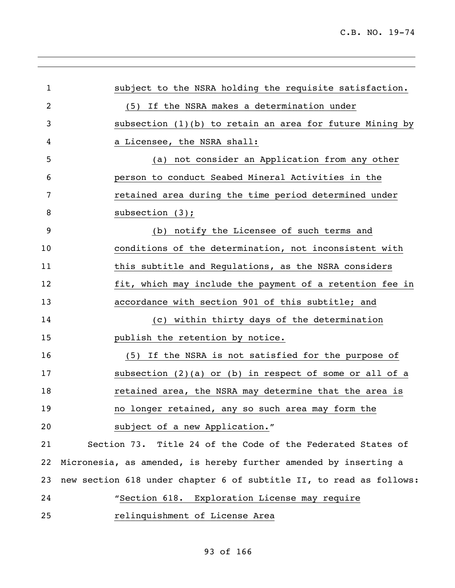| 1              | subject to the NSRA holding the requisite satisfaction.             |
|----------------|---------------------------------------------------------------------|
| $\overline{2}$ | (5) If the NSRA makes a determination under                         |
| 3              | subsection (1)(b) to retain an area for future Mining by            |
| 4              | a Licensee, the NSRA shall:                                         |
| 5              | (a) not consider an Application from any other                      |
| 6              | person to conduct Seabed Mineral Activities in the                  |
| 7              | retained area during the time period determined under               |
| 8              | subsection $(3)$ ;                                                  |
| 9              | (b) notify the Licensee of such terms and                           |
| 10             | conditions of the determination, not inconsistent with              |
| 11             | this subtitle and Regulations, as the NSRA considers                |
| 12             | fit, which may include the payment of a retention fee in            |
| 13             | accordance with section 901 of this subtitle; and                   |
| 14             | (c) within thirty days of the determination                         |
| 15             | publish the retention by notice.                                    |
| 16             | (5) If the NSRA is not satisfied for the purpose of                 |
| 17             | subsection $(2)(a)$ or $(b)$ in respect of some or all of a         |
| 18             | retained area, the NSRA may determine that the area is              |
| 19             | no longer retained, any so such area may form the                   |
| 20             | subject of a new Application."                                      |
| 21             | Section 73. Title 24 of the Code of the Federated States of         |
| 22             | Micronesia, as amended, is hereby further amended by inserting a    |
| 23             | new section 618 under chapter 6 of subtitle II, to read as follows: |
| 24             | "Section 618. Exploration License may require                       |
| 25             | relinquishment of License Area                                      |
|                |                                                                     |

## of 166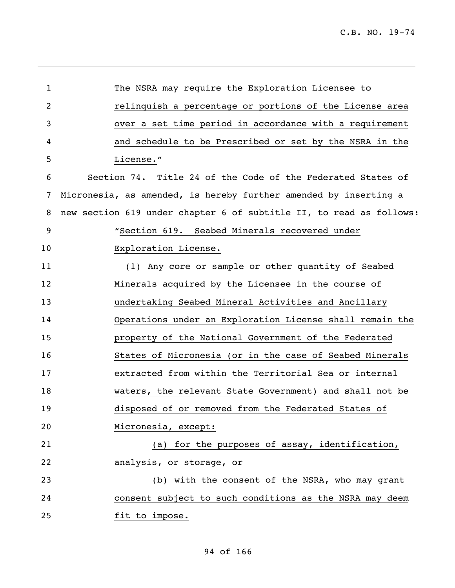| 1              | The NSRA may require the Exploration Licensee to                    |
|----------------|---------------------------------------------------------------------|
| $\overline{2}$ | relinquish a percentage or portions of the License area             |
| 3              | over a set time period in accordance with a requirement             |
| 4              | and schedule to be Prescribed or set by the NSRA in the             |
| 5              | License."                                                           |
| 6              | Section 74. Title 24 of the Code of the Federated States of         |
| 7              | Micronesia, as amended, is hereby further amended by inserting a    |
| 8              | new section 619 under chapter 6 of subtitle II, to read as follows: |
| 9              | "Section 619. Seabed Minerals recovered under                       |
| 10             | Exploration License.                                                |
| 11             | (1) Any core or sample or other quantity of Seabed                  |
| 12             | Minerals acquired by the Licensee in the course of                  |
| 13             | undertaking Seabed Mineral Activities and Ancillary                 |
| 14             | Operations under an Exploration License shall remain the            |
| 15             | property of the National Government of the Federated                |
| 16             | States of Micronesia (or in the case of Seabed Minerals             |
| 17             | extracted from within the Territorial Sea or internal               |
| 18             | waters, the relevant State Government) and shall not be             |
| 19             | disposed of or removed from the Federated States of                 |
| 20             | Micronesia, except:                                                 |
| 21             | for the purposes of assay, identification,<br>(a)                   |
| 22             | analysis, or storage, or                                            |
| 23             | (b) with the consent of the NSRA, who may grant                     |
| 24             | consent subject to such conditions as the NSRA may deem             |
| 25             | fit to impose.                                                      |
|                |                                                                     |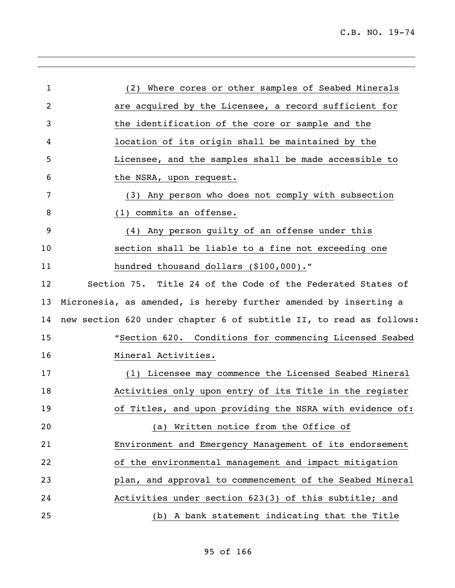| 1  | (2) Where cores or other samples of Seabed Minerals                 |
|----|---------------------------------------------------------------------|
| 2  | are acquired by the Licensee, a record sufficient for               |
| 3  | the identification of the core or sample and the                    |
| 4  | location of its origin shall be maintained by the                   |
| 5  | Licensee, and the samples shall be made accessible to               |
| 6  | the NSRA, upon request.                                             |
| 7  | (3) Any person who does not comply with subsection                  |
| 8  | (1) commits an offense.                                             |
| 9  | (4) Any person guilty of an offense under this                      |
| 10 | section shall be liable to a fine not exceeding one                 |
| 11 | hundred thousand dollars (\$100,000)."                              |
| 12 | Section 75. Title 24 of the Code of the Federated States of         |
| 13 | Micronesia, as amended, is hereby further amended by inserting a    |
| 14 | new section 620 under chapter 6 of subtitle II, to read as follows: |
| 15 | "Section 620. Conditions for commencing Licensed Seabed             |
| 16 | Mineral Activities.                                                 |
| 17 | (1) Licensee may commence the Licensed Seabed Mineral               |
| 18 | Activities only upon entry of its Title in the register             |
| 19 | of Titles, and upon providing the NSRA with evidence of:            |
| 20 | (a) Written notice from the Office of                               |
| 21 | Environment and Emergency Management of its endorsement             |
| 22 | of the environmental management and impact mitigation               |
| 23 | plan, and approval to commencement of the Seabed Mineral            |
| 24 | Activities under section 623(3) of this subtitle; and               |
| 25 | (b) A bank statement indicating that the Title                      |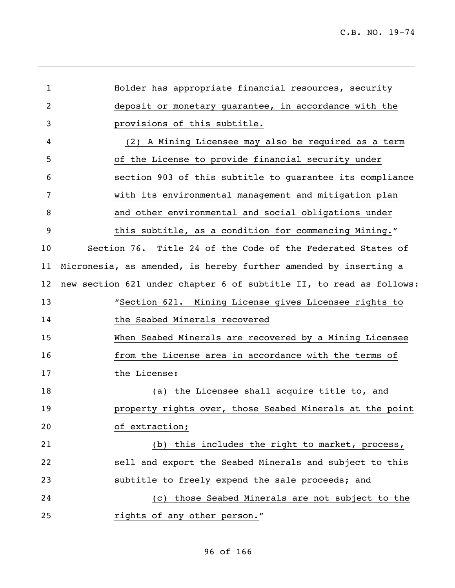| $\mathbf{1}$   | Holder has appropriate financial resources, security                |
|----------------|---------------------------------------------------------------------|
| $\overline{c}$ | deposit or monetary quarantee, in accordance with the               |
| 3              | provisions of this subtitle.                                        |
| 4              | (2) A Mining Licensee may also be required as a term                |
| 5              | of the License to provide financial security under                  |
| 6              | section 903 of this subtitle to guarantee its compliance            |
| 7              | with its environmental management and mitigation plan               |
| 8              | and other environmental and social obligations under                |
| 9              | this subtitle, as a condition for commencing Mining."               |
| 10             | Section 76. Title 24 of the Code of the Federated States of         |
| 11             | Micronesia, as amended, is hereby further amended by inserting a    |
| 12             | new section 621 under chapter 6 of subtitle II, to read as follows: |
| 13             | "Section 621. Mining License gives Licensee rights to               |
| 14             | the Seabed Minerals recovered                                       |
| 15             | When Seabed Minerals are recovered by a Mining Licensee             |
| 16             | from the License area in accordance with the terms of               |
| 17             | the License:                                                        |
| 18             | the Licensee shall acquire title to, and<br>(a)                     |
| 19             | property rights over, those Seabed Minerals at the point            |
| 20             | of extraction;                                                      |
| 21             | this includes the right to market, process,<br>(b)                  |
| 22             | sell and export the Seabed Minerals and subject to this             |
| 23             | subtitle to freely expend the sale proceeds; and                    |
| 24             | those Seabed Minerals are not subject to the<br>(C)                 |
| 25             | rights of any other person."                                        |
|                |                                                                     |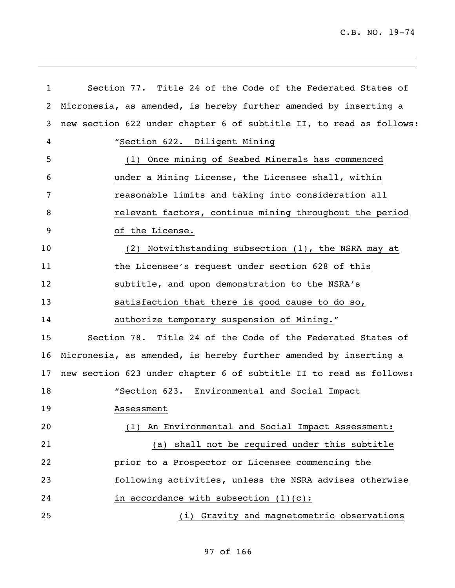| $\mathbf{1}$ | Section 77. Title 24 of the Code of the Federated States of         |
|--------------|---------------------------------------------------------------------|
| 2            | Micronesia, as amended, is hereby further amended by inserting a    |
| 3            | new section 622 under chapter 6 of subtitle II, to read as follows: |
| 4            | "Section 622. Diligent Mining                                       |
| 5            | (1) Once mining of Seabed Minerals has commenced                    |
| 6            | under a Mining License, the Licensee shall, within                  |
| 7            | reasonable limits and taking into consideration all                 |
| 8            | relevant factors, continue mining throughout the period             |
| 9            | of the License.                                                     |
| 10           | (2) Notwithstanding subsection (1), the NSRA may at                 |
| 11           | the Licensee's request under section 628 of this                    |
| 12           | subtitle, and upon demonstration to the NSRA's                      |
| 13           | satisfaction that there is good cause to do so,                     |
| 14           | authorize temporary suspension of Mining."                          |
| 15           | Section 78. Title 24 of the Code of the Federated States of         |
| 16           | Micronesia, as amended, is hereby further amended by inserting a    |
| 17           | new section 623 under chapter 6 of subtitle II to read as follows:  |
| 18           | "Section 623. Environmental and Social Impact                       |
| 19           | Assessment                                                          |
| 20           | (1) An Environmental and Social Impact Assessment:                  |
| 21           | (a) shall not be required under this subtitle                       |
| 22           | prior to a Prospector or Licensee commencing the                    |
| 23           | following activities, unless the NSRA advises otherwise             |
| 24           | in accordance with subsection $(1)(c)$ :                            |
| 25           | (i) Gravity and magnetometric observations                          |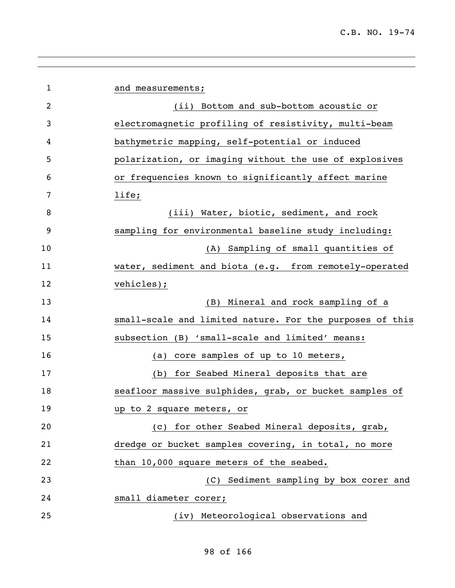| $\mathbf{1}$   | and measurements;                                        |
|----------------|----------------------------------------------------------|
| $\overline{2}$ | (ii) Bottom and sub-bottom acoustic or                   |
| 3              | electromagnetic profiling of resistivity, multi-beam     |
| 4              | bathymetric mapping, self-potential or induced           |
| 5              | polarization, or imaging without the use of explosives   |
| 6              | or frequencies known to significantly affect marine      |
| 7              | life;                                                    |
| 8              | (iii) Water, biotic, sediment, and rock                  |
| 9              | sampling for environmental baseline study including:     |
| 10             | (A) Sampling of small quantities of                      |
| 11             | water, sediment and biota (e.g. from remotely-operated   |
| 12             | vehicles);                                               |
| 13             | (B) Mineral and rock sampling of a                       |
| 14             | small-scale and limited nature. For the purposes of this |
| 15             | subsection (B) 'small-scale and limited' means:          |
| 16             | core samples of up to 10 meters,<br>(a)                  |
| 17             | for Seabed Mineral deposits that are<br>(b)              |
| 18             | seafloor massive sulphides, grab, or bucket samples of   |
| 19             | up to 2 square meters, or                                |
| 20             | (c) for other Seabed Mineral deposits, grab,             |
| 21             | dredge or bucket samples covering, in total, no more     |
| 22             | than 10,000 square meters of the seabed.                 |
| 23             | (C) Sediment sampling by box corer and                   |
| 24             | small diameter corer;                                    |
| 25             | (iv) Meteorological observations and                     |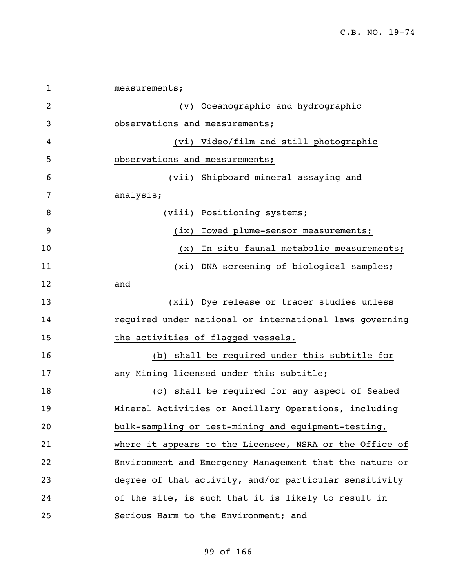| 1  | measurements;                                           |
|----|---------------------------------------------------------|
| 2  | (v) Oceanographic and hydrographic                      |
| 3  | observations and measurements;                          |
| 4  | (vi) Video/film and still photographic                  |
| 5  | observations and measurements;                          |
| 6  | (vii) Shipboard mineral assaying and                    |
| 7  | analysis;                                               |
| 8  | (viii) Positioning systems;                             |
| 9  | (ix) Towed plume-sensor measurements;                   |
| 10 | In situ faunal metabolic measurements;<br>(x)           |
| 11 | (xi) DNA screening of biological samples;               |
| 12 | and                                                     |
| 13 | (xii) Dye release or tracer studies unless              |
| 14 | required under national or international laws governing |
| 15 | the activities of flagged vessels.                      |
| 16 | (b) shall be required under this subtitle for           |
| 17 | any Mining licensed under this subtitle;                |
| 18 | (c) shall be required for any aspect of Seabed          |
| 19 | Mineral Activities or Ancillary Operations, including   |
| 20 | bulk-sampling or test-mining and equipment-testing,     |
| 21 | where it appears to the Licensee, NSRA or the Office of |
| 22 | Environment and Emergency Management that the nature or |
| 23 | degree of that activity, and/or particular sensitivity  |
| 24 | of the site, is such that it is likely to result in     |
| 25 | Serious Harm to the Environment; and                    |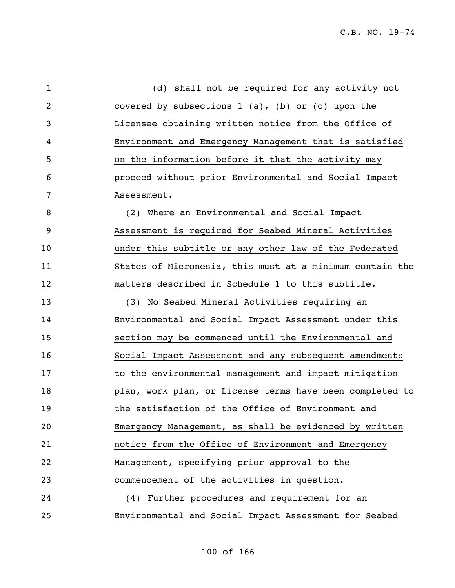| $\mathbf{1}$   | (d) shall not be required for any activity not           |
|----------------|----------------------------------------------------------|
| $\overline{c}$ | covered by subsections $1$ (a), (b) or (c) upon the      |
| 3              | Licensee obtaining written notice from the Office of     |
| 4              | Environment and Emergency Management that is satisfied   |
| 5              | on the information before it that the activity may       |
| 6              | proceed without prior Environmental and Social Impact    |
| 7              | Assessment.                                              |
| 8              | (2) Where an Environmental and Social Impact             |
| 9              | Assessment is required for Seabed Mineral Activities     |
| 10             | under this subtitle or any other law of the Federated    |
| 11             | States of Micronesia, this must at a minimum contain the |
| 12             | matters described in Schedule 1 to this subtitle.        |
| 13             | (3) No Seabed Mineral Activities requiring an            |
| 14             | Environmental and Social Impact Assessment under this    |
| 15             | section may be commenced until the Environmental and     |
| 16             | Social Impact Assessment and any subsequent amendments   |
| 17             | to the environmental management and impact mitigation    |
| 18             | plan, work plan, or License terms have been completed to |
| 19             | the satisfaction of the Office of Environment and        |
| 20             | Emergency Management, as shall be evidenced by written   |
| 21             | notice from the Office of Environment and Emergency      |
| 22             | Management, specifying prior approval to the             |
| 23             | commencement of the activities in question.              |
| 24             | (4) Further procedures and requirement for an            |
| 25             | Environmental and Social Impact Assessment for Seabed    |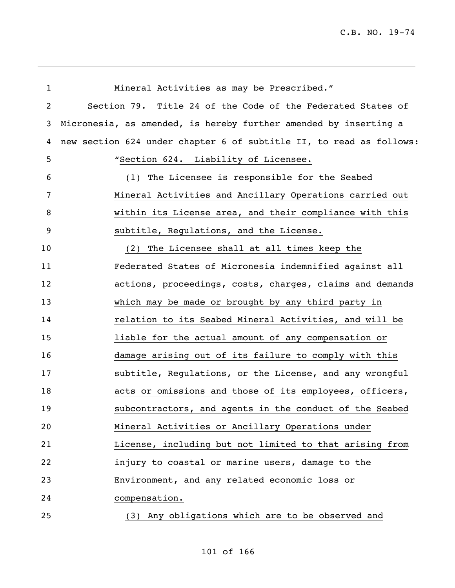| $\mathbf{1}$ | Mineral Activities as may be Prescribed."                           |
|--------------|---------------------------------------------------------------------|
| 2            | Section 79. Title 24 of the Code of the Federated States of         |
| 3            | Micronesia, as amended, is hereby further amended by inserting a    |
| 4            | new section 624 under chapter 6 of subtitle II, to read as follows: |
| 5            | "Section 624. Liability of Licensee.                                |
| 6            | (1) The Licensee is responsible for the Seabed                      |
| 7            | Mineral Activities and Ancillary Operations carried out             |
| 8            | within its License area, and their compliance with this             |
| 9            | subtitle, Regulations, and the License.                             |
| 10           | The Licensee shall at all times keep the<br>(2)                     |
| 11           | Federated States of Micronesia indemnified against all              |
| 12           | actions, proceedings, costs, charges, claims and demands            |
| 13           | which may be made or brought by any third party in                  |
| 14           | relation to its Seabed Mineral Activities, and will be              |
| 15           | liable for the actual amount of any compensation or                 |
| 16           | damage arising out of its failure to comply with this               |
| 17           | subtitle, Regulations, or the License, and any wrongful             |
| 18           | acts or omissions and those of its employees, officers,             |
| 19           | subcontractors, and agents in the conduct of the Seabed             |
| 20           | Mineral Activities or Ancillary Operations under                    |
| 21           | License, including but not limited to that arising from             |
| 22           | injury to coastal or marine users, damage to the                    |
| 23           | Environment, and any related economic loss or                       |
| 24           | compensation.                                                       |
| 25           | (3) Any obligations which are to be observed and                    |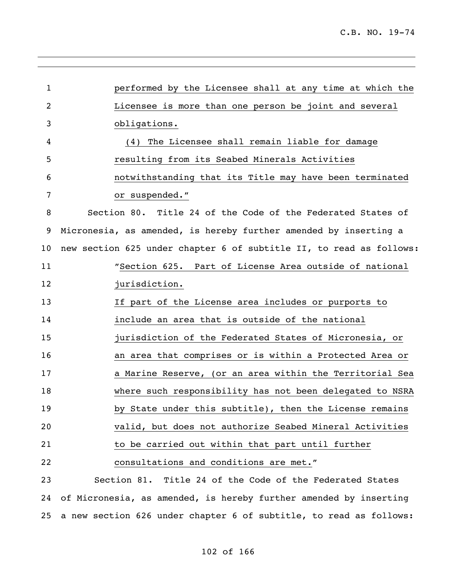| 1  | performed by the Licensee shall at any time at which the            |
|----|---------------------------------------------------------------------|
| 2  | Licensee is more than one person be joint and several               |
| 3  | obligations.                                                        |
| 4  | (4) The Licensee shall remain liable for damage                     |
| 5  | resulting from its Seabed Minerals Activities                       |
| 6  | notwithstanding that its Title may have been terminated             |
| 7  | or suspended."                                                      |
| 8  | Section 80. Title 24 of the Code of the Federated States of         |
| 9  | Micronesia, as amended, is hereby further amended by inserting a    |
| 10 | new section 625 under chapter 6 of subtitle II, to read as follows: |
| 11 | "Section 625. Part of License Area outside of national              |
| 12 | jurisdiction.                                                       |
| 13 | If part of the License area includes or purports to                 |
| 14 | include an area that is outside of the national                     |
| 15 | jurisdiction of the Federated States of Micronesia, or              |
| 16 | an area that comprises or is within a Protected Area or             |
| 17 | a Marine Reserve, (or an area within the Territorial Sea            |
| 18 | where such responsibility has not been delegated to NSRA            |
| 19 | by State under this subtitle), then the License remains             |
| 20 | valid, but does not authorize Seabed Mineral Activities             |
| 21 | to be carried out within that part until further                    |
| 22 | consultations and conditions are met."                              |
| 23 | Title 24 of the Code of the Federated States<br>Section 81.         |
| 24 | of Micronesia, as amended, is hereby further amended by inserting   |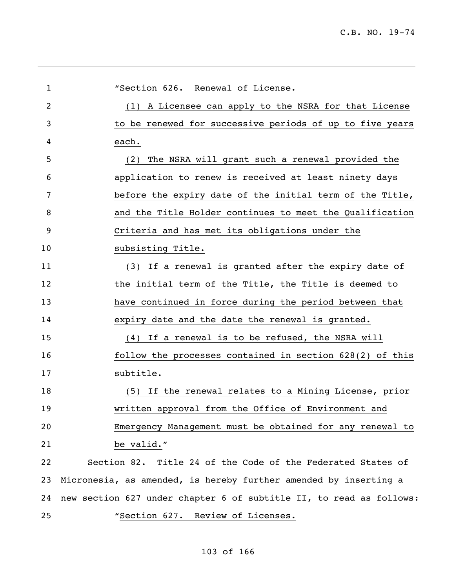l,

| $\mathbf{1}$ | "Section 626. Renewal of License.                                   |
|--------------|---------------------------------------------------------------------|
| 2            | (1) A Licensee can apply to the NSRA for that License               |
| 3            | to be renewed for successive periods of up to five years            |
| 4            | each.                                                               |
| 5            | (2) The NSRA will grant such a renewal provided the                 |
| 6            | application to renew is received at least ninety days               |
| 7            | before the expiry date of the initial term of the Title,            |
| 8            | and the Title Holder continues to meet the Qualification            |
| 9            | Criteria and has met its obligations under the                      |
| 10           | subsisting Title.                                                   |
| 11           | (3) If a renewal is granted after the expiry date of                |
| 12           | the initial term of the Title, the Title is deemed to               |
| 13           | have continued in force during the period between that              |
| 14           | expiry date and the date the renewal is granted.                    |
| 15           | (4) If a renewal is to be refused, the NSRA will                    |
| 16           | follow the processes contained in section 628(2) of this            |
| 17           | subtitle.                                                           |
| 18           | (5) If the renewal relates to a Mining License, prior               |
| 19           | written approval from the Office of Environment and                 |
| 20           | Emergency Management must be obtained for any renewal to            |
| 21           | be valid."                                                          |
| 22           | Section 82. Title 24 of the Code of the Federated States of         |
| 23           | Micronesia, as amended, is hereby further amended by inserting a    |
| 24           | new section 627 under chapter 6 of subtitle II, to read as follows: |
| 25           | "Section 627. Review of Licenses.                                   |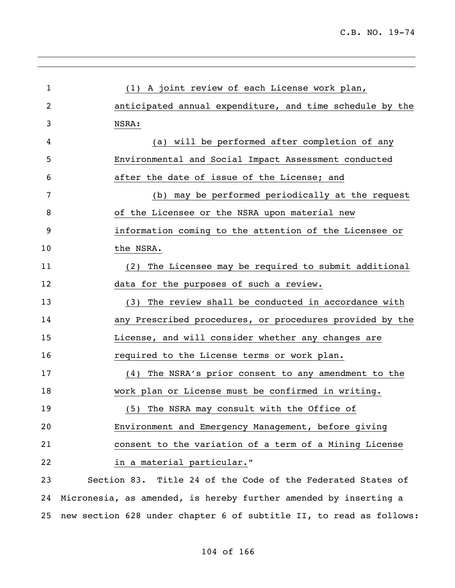| 1  | (1) A joint review of each License work plan,                    |
|----|------------------------------------------------------------------|
| 2  | anticipated annual expenditure, and time schedule by the         |
| 3  | NSRA:                                                            |
| 4  | (a) will be performed after completion of any                    |
| 5  | Environmental and Social Impact Assessment conducted             |
| 6  | after the date of issue of the License; and                      |
| 7  | (b) may be performed periodically at the request                 |
| 8  | of the Licensee or the NSRA upon material new                    |
| 9  | information coming to the attention of the Licensee or           |
| 10 | the NSRA.                                                        |
| 11 | (2) The Licensee may be required to submit additional            |
| 12 | data for the purposes of such a review.                          |
| 13 | (3) The review shall be conducted in accordance with             |
| 14 | any Prescribed procedures, or procedures provided by the         |
| 15 | License, and will consider whether any changes are               |
| 16 | required to the License terms or work plan.                      |
| 17 | (4) The NSRA's prior consent to any amendment to the             |
| 18 | work plan or License must be confirmed in writing.               |
| 19 | The NSRA may consult with the Office of<br>(5)                   |
| 20 | Environment and Emergency Management, before giving              |
| 21 | consent to the variation of a term of a Mining License           |
| 22 | in a material particular."                                       |
| 23 | Section 83. Title 24 of the Code of the Federated States of      |
| 24 | Micronesia, as amended, is hereby further amended by inserting a |

new section 628 under chapter 6 of subtitle II, to read as follows: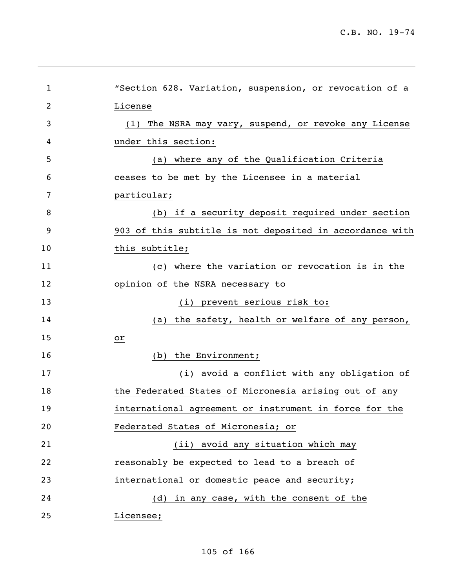l,

| 1  | "Section 628. Variation, suspension, or revocation of a  |
|----|----------------------------------------------------------|
| 2  | License                                                  |
| 3  | The NSRA may vary, suspend, or revoke any License<br>(1) |
| 4  | under this section:                                      |
| 5  | (a) where any of the Qualification Criteria              |
| 6  | ceases to be met by the Licensee in a material           |
| 7  | particular;                                              |
| 8  | (b) if a security deposit required under section         |
| 9  | 903 of this subtitle is not deposited in accordance with |
| 10 | this subtitle;                                           |
| 11 | (c) where the variation or revocation is in the          |
| 12 | opinion of the NSRA necessary to                         |
| 13 | (i) prevent serious risk to:                             |
| 14 | (a) the safety, health or welfare of any person,         |
| 15 | or                                                       |
| 16 | (b) the Environment;                                     |
| 17 | (i) avoid a conflict with any obligation of              |
| 18 | the Federated States of Micronesia arising out of any    |
| 19 | international agreement or instrument in force for the   |
| 20 | Federated States of Micronesia; or                       |
| 21 | avoid any situation which may<br>(iii)                   |
| 22 | reasonably be expected to lead to a breach of            |
| 23 | international or domestic peace and security;            |
| 24 | (d) in any case, with the consent of the                 |
| 25 | Licensee;                                                |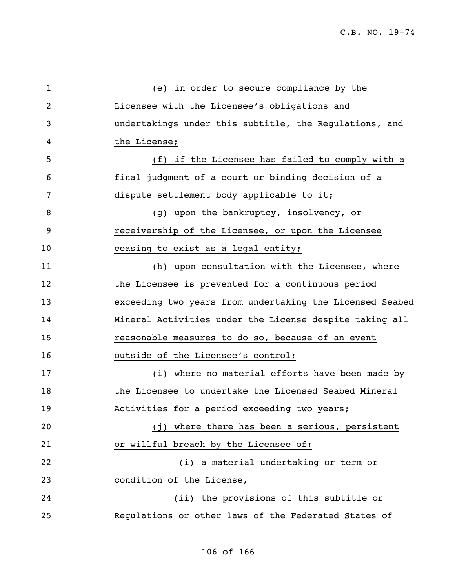| 1  | (e) in order to secure compliance by the                 |
|----|----------------------------------------------------------|
| 2  | Licensee with the Licensee's obligations and             |
| 3  | undertakings under this subtitle, the Regulations, and   |
| 4  | the License;                                             |
| 5  | (f) if the Licensee has failed to comply with a          |
| 6  | final judgment of a court or binding decision of a       |
| 7  | dispute settlement body applicable to it;                |
| 8  | (g) upon the bankruptcy, insolvency, or                  |
| 9  | receivership of the Licensee, or upon the Licensee       |
| 10 | ceasing to exist as a legal entity;                      |
| 11 | (h) upon consultation with the Licensee, where           |
| 12 | the Licensee is prevented for a continuous period        |
| 13 | exceeding two years from undertaking the Licensed Seabed |
| 14 | Mineral Activities under the License despite taking all  |
| 15 | reasonable measures to do so, because of an event        |
| 16 | outside of the Licensee's control;                       |
| 17 | (i) where no material efforts have been made by          |
| 18 | the Licensee to undertake the Licensed Seabed Mineral    |
| 19 | Activities for a period exceeding two years;             |
| 20 | (j) where there has been a serious, persistent           |
| 21 | or willful breach by the Licensee of:                    |
| 22 | (i) a material undertaking or term or                    |
| 23 | condition of the License,                                |
| 24 | (ii) the provisions of this subtitle or                  |
| 25 | Regulations or other laws of the Federated States of     |
|    |                                                          |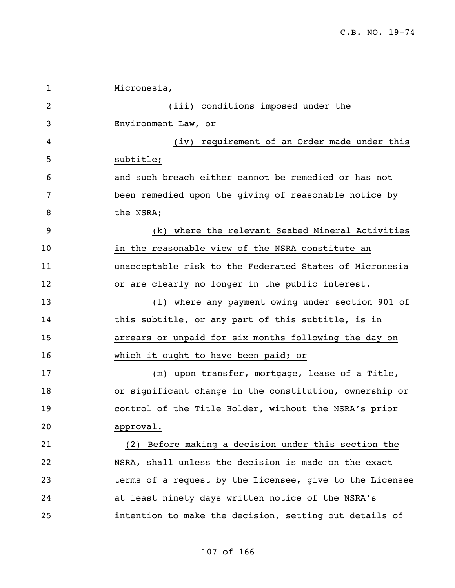| $\mathbf{1}$ | Micronesia,                                              |
|--------------|----------------------------------------------------------|
| 2            | (iii) conditions imposed under the                       |
| 3            | Environment Law, or                                      |
| 4            | (iv) requirement of an Order made under this             |
| 5            | subtitle;                                                |
| 6            | and such breach either cannot be remedied or has not     |
| 7            | been remedied upon the giving of reasonable notice by    |
| 8            | the NSRA;                                                |
| 9            | (k) where the relevant Seabed Mineral Activities         |
| 10           | in the reasonable view of the NSRA constitute an         |
| 11           | unacceptable risk to the Federated States of Micronesia  |
| 12           | or are clearly no longer in the public interest.         |
| 13           | (1) where any payment owing under section 901 of         |
| 14           | this subtitle, or any part of this subtitle, is in       |
| 15           | arrears or unpaid for six months following the day on    |
| 16           | which it ought to have been paid; or                     |
| 17           | (m) upon transfer, mortgage, lease of a Title,           |
| 18           | or significant change in the constitution, ownership or  |
| 19           | control of the Title Holder, without the NSRA's prior    |
| 20           | approval.                                                |
| 21           | (2) Before making a decision under this section the      |
| 22           | NSRA, shall unless the decision is made on the exact     |
| 23           | terms of a request by the Licensee, give to the Licensee |
| 24           | at least ninety days written notice of the NSRA's        |
| 25           | intention to make the decision, setting out details of   |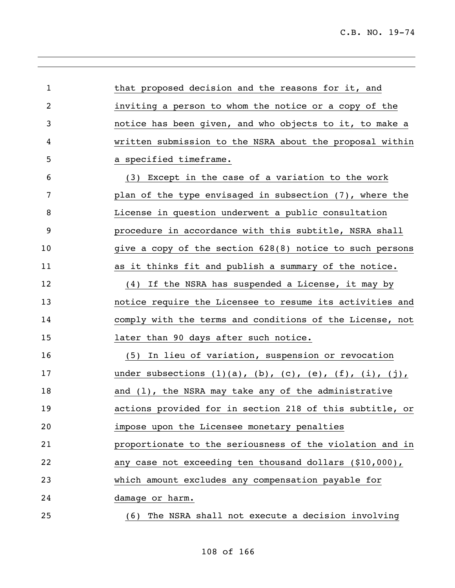| $\mathbf{1}$ | that proposed decision and the reasons for it, and                           |
|--------------|------------------------------------------------------------------------------|
| 2            | inviting a person to whom the notice or a copy of the                        |
| 3            | notice has been given, and who objects to it, to make a                      |
| 4            | written submission to the NSRA about the proposal within                     |
| 5            | a specified timeframe.                                                       |
| 6            | (3) Except in the case of a variation to the work                            |
| 7            | plan of the type envisaged in subsection (7), where the                      |
| 8            | License in question underwent a public consultation                          |
| 9            | procedure in accordance with this subtitle, NSRA shall                       |
| 10           | give a copy of the section 628(8) notice to such persons                     |
| 11           | as it thinks fit and publish a summary of the notice.                        |
| 12           | (4) If the NSRA has suspended a License, it may by                           |
| 13           | notice require the Licensee to resume its activities and                     |
| 14           | comply with the terms and conditions of the License, not                     |
| 15           | later than 90 days after such notice.                                        |
| 16           | In lieu of variation, suspension or revocation<br>(5)                        |
| 17           | under subsections $(1)(a)$ , $(b)$ , $(c)$ , $(e)$ , $(f)$ , $(i)$ , $(j)$ , |
| 18           | and $(1)$ , the NSRA may take any of the administrative                      |
| 19           | actions provided for in section 218 of this subtitle, or                     |
| 20           | impose upon the Licensee monetary penalties                                  |
| 21           | proportionate to the seriousness of the violation and in                     |
| 22           | any case not exceeding ten thousand dollars (\$10,000),                      |
| 23           | which amount excludes any compensation payable for                           |
| 24           | damage or harm.                                                              |
| 25           | (6) The NSRA shall not execute a decision involving                          |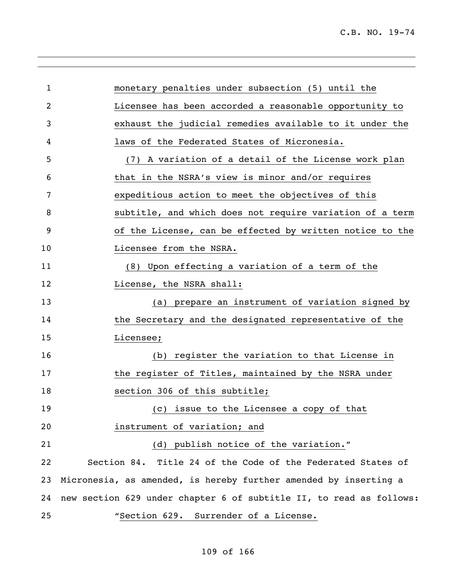l,

| $\mathbf{1}$ | monetary penalties under subsection (5) until the                   |
|--------------|---------------------------------------------------------------------|
| 2            | Licensee has been accorded a reasonable opportunity to              |
| 3            | exhaust the judicial remedies available to it under the             |
| 4            | laws of the Federated States of Micronesia.                         |
| 5            | (7) A variation of a detail of the License work plan                |
| 6            | that in the NSRA's view is minor and/or requires                    |
| 7            | expeditious action to meet the objectives of this                   |
| 8            | subtitle, and which does not require variation of a term            |
| 9            | of the License, can be effected by written notice to the            |
| 10           | Licensee from the NSRA.                                             |
| 11           | (8) Upon effecting a variation of a term of the                     |
| 12           | License, the NSRA shall:                                            |
| 13           | (a) prepare an instrument of variation signed by                    |
| 14           | the Secretary and the designated representative of the              |
| 15           | Licensee;                                                           |
| 16           | (b) register the variation to that License in                       |
| 17           | the register of Titles, maintained by the NSRA under                |
| 18           | section 306 of this subtitle;                                       |
| 19           | (c) issue to the Licensee a copy of that                            |
| 20           | instrument of variation; and                                        |
| 21           | (d) publish notice of the variation."                               |
| 22           | Section 84. Title 24 of the Code of the Federated States of         |
| 23           | Micronesia, as amended, is hereby further amended by inserting a    |
| 24           | new section 629 under chapter 6 of subtitle II, to read as follows: |
| 25           | "Section 629. Surrender of a License.                               |
|              |                                                                     |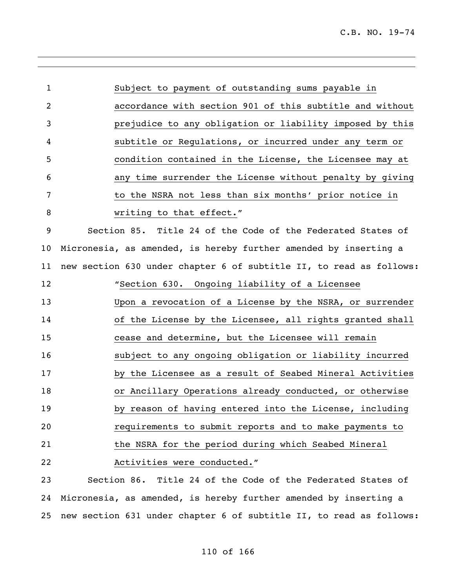| 1        | Subject to payment of outstanding sums payable in                   |
|----------|---------------------------------------------------------------------|
| 2        | accordance with section 901 of this subtitle and without            |
| 3        | prejudice to any obligation or liability imposed by this            |
| 4        | subtitle or Regulations, or incurred under any term or              |
| 5        | condition contained in the License, the Licensee may at             |
| 6        | any time surrender the License without penalty by giving            |
| 7        | to the NSRA not less than six months' prior notice in               |
| 8        | writing to that effect."                                            |
| 9        | Section 85. Title 24 of the Code of the Federated States of         |
| 10       | Micronesia, as amended, is hereby further amended by inserting a    |
| 11       | new section 630 under chapter 6 of subtitle II, to read as follows: |
| 12       | "Section 630. Ongoing liability of a Licensee                       |
| 13       | Upon a revocation of a License by the NSRA, or surrender            |
| 14       | of the License by the Licensee, all rights granted shall            |
| 15       | cease and determine, but the Licensee will remain                   |
| 16       | subject to any ongoing obligation or liability incurred             |
| 17       | by the Licensee as a result of Seabed Mineral Activities            |
| 18       | or Ancillary Operations already conducted, or otherwise             |
| 19       | by reason of having entered into the License, including             |
| 20       | requirements to submit reports and to make payments to              |
| 21       | the NSRA for the period during which Seabed Mineral                 |
| 22       | Activities were conducted."                                         |
| $\Omega$ |                                                                     |

 Section 86. Title 24 of the Code of the Federated States of Micronesia, as amended, is hereby further amended by inserting a new section 631 under chapter 6 of subtitle II, to read as follows: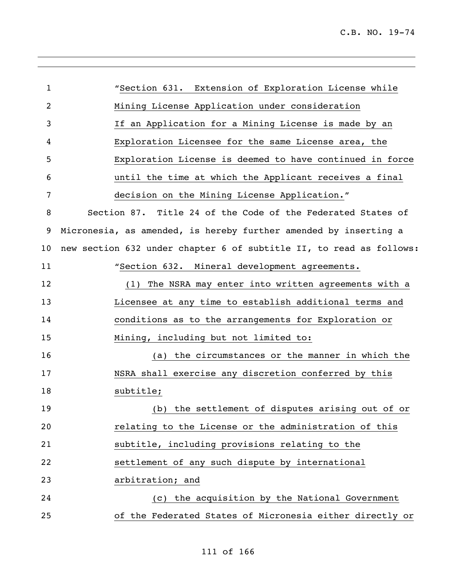| "Section 631. Extension of Exploration License while                |
|---------------------------------------------------------------------|
| Mining License Application under consideration                      |
| If an Application for a Mining License is made by an                |
| Exploration Licensee for the same License area, the                 |
| Exploration License is deemed to have continued in force            |
| until the time at which the Applicant receives a final              |
| decision on the Mining License Application."                        |
| Section 87. Title 24 of the Code of the Federated States of         |
| Micronesia, as amended, is hereby further amended by inserting a    |
| new section 632 under chapter 6 of subtitle II, to read as follows: |
| "Section 632. Mineral development agreements.                       |
| The NSRA may enter into written agreements with a<br>(1)            |
| Licensee at any time to establish additional terms and              |
| conditions as to the arrangements for Exploration or                |
| Mining, including but not limited to:                               |
| (a) the circumstances or the manner in which the                    |
| NSRA shall exercise any discretion conferred by this                |
| subtitle;                                                           |
| (b) the settlement of disputes arising out of or                    |
| relating to the License or the administration of this               |
| subtitle, including provisions relating to the                      |
| settlement of any such dispute by international                     |
| arbitration; and                                                    |
| (c) the acquisition by the National Government                      |
| of the Federated States of Micronesia either directly or            |
|                                                                     |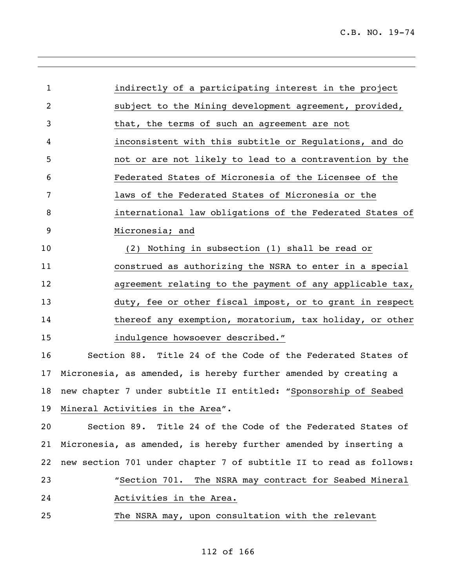| $\mathbf{1}$ | indirectly of a participating interest in the project              |
|--------------|--------------------------------------------------------------------|
| 2            | subject to the Mining development agreement, provided,             |
| 3            | that, the terms of such an agreement are not                       |
| 4            | inconsistent with this subtitle or Regulations, and do             |
| 5            | not or are not likely to lead to a contravention by the            |
| 6            | Federated States of Micronesia of the Licensee of the              |
| 7            | laws of the Federated States of Micronesia or the                  |
| 8            | international law obligations of the Federated States of           |
| 9            | Micronesia; and                                                    |
| 10           | (2) Nothing in subsection (1) shall be read or                     |
| 11           | construed as authorizing the NSRA to enter in a special            |
| 12           | agreement relating to the payment of any applicable tax,           |
| 13           | duty, fee or other fiscal impost, or to grant in respect           |
| 14           | thereof any exemption, moratorium, tax holiday, or other           |
| 15           | indulgence howsoever described."                                   |
| 16           | Section 88. Title 24 of the Code of the Federated States of        |
| 17           | Micronesia, as amended, is hereby further amended by creating a    |
| 18           | new chapter 7 under subtitle II entitled: "Sponsorship of Seabed   |
|              | 19 Mineral Activities in the Area".                                |
| 20           | Section 89. Title 24 of the Code of the Federated States of        |
| 21           | Micronesia, as amended, is hereby further amended by inserting a   |
| 22           | new section 701 under chapter 7 of subtitle II to read as follows: |
| 23           | "Section 701. The NSRA may contract for Seabed Mineral             |
| 24           | Activities in the Area.                                            |
| 25           | The NSRA may, upon consultation with the relevant                  |

,我们也不会有什么。""我们的人,我们也不会有什么?""我们的人,我们也不会有什么?""我们的人,我们也不会有什么?""我们的人,我们也不会有什么?""我们的人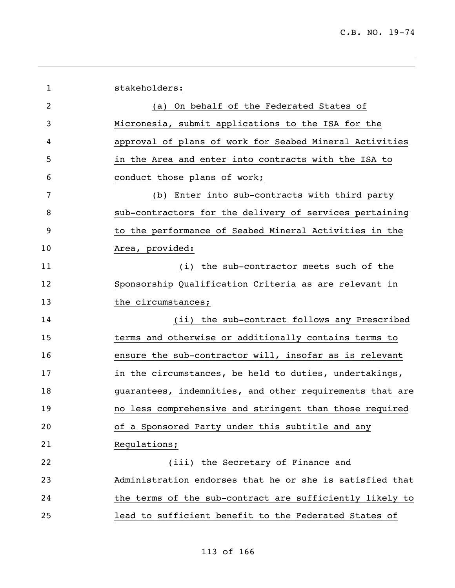|    | stakeholders:                                            |
|----|----------------------------------------------------------|
| 1  |                                                          |
| 2  | (a) On behalf of the Federated States of                 |
| 3  | Micronesia, submit applications to the ISA for the       |
| 4  | approval of plans of work for Seabed Mineral Activities  |
| 5  | in the Area and enter into contracts with the ISA to     |
| 6  | conduct those plans of work;                             |
| 7  | (b) Enter into sub-contracts with third party            |
| 8  | sub-contractors for the delivery of services pertaining  |
| 9  | to the performance of Seabed Mineral Activities in the   |
| 10 | Area, provided:                                          |
| 11 | (i) the sub-contractor meets such of the                 |
| 12 | Sponsorship Qualification Criteria as are relevant in    |
| 13 | the circumstances;                                       |
| 14 | (ii) the sub-contract follows any Prescribed             |
| 15 | terms and otherwise or additionally contains terms to    |
| 16 | ensure the sub-contractor will, insofar as is relevant   |
| 17 | in the circumstances, be held to duties, undertakings,   |
| 18 | guarantees, indemnities, and other requirements that are |
| 19 | no less comprehensive and stringent than those required  |
| 20 | of a Sponsored Party under this subtitle and any         |
| 21 | Regulations;                                             |
| 22 | (iii) the Secretary of Finance and                       |
| 23 | Administration endorses that he or she is satisfied that |
| 24 | the terms of the sub-contract are sufficiently likely to |
| 25 | lead to sufficient benefit to the Federated States of    |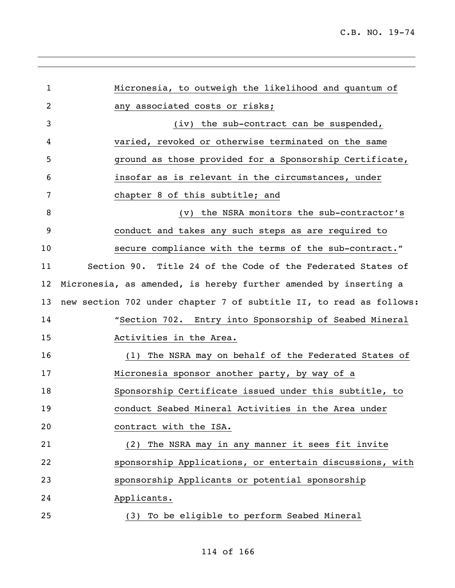| Micronesia, to outweigh the likelihood and quantum of               |
|---------------------------------------------------------------------|
| any associated costs or risks;                                      |
| (iv) the sub-contract can be suspended,                             |
| varied, revoked or otherwise terminated on the same                 |
| ground as those provided for a Sponsorship Certificate,             |
| insofar as is relevant in the circumstances, under                  |
| chapter 8 of this subtitle; and                                     |
| (v) the NSRA monitors the sub-contractor's                          |
| conduct and takes any such steps as are required to                 |
| secure compliance with the terms of the sub-contract."              |
| Section 90. Title 24 of the Code of the Federated States of         |
| Micronesia, as amended, is hereby further amended by inserting a    |
| new section 702 under chapter 7 of subtitle II, to read as follows: |
| "Section 702. Entry into Sponsorship of Seabed Mineral              |
| Activities in the Area.                                             |
| (1) The NSRA may on behalf of the Federated States of               |
| Micronesia sponsor another party, by way of a                       |
| Sponsorship Certificate issued under this subtitle, to              |
| conduct Seabed Mineral Activities in the Area under                 |
| contract with the ISA.                                              |
| (2) The NSRA may in any manner it sees fit invite                   |
| sponsorship Applications, or entertain discussions, with            |
| sponsorship Applicants or potential sponsorship                     |
| Applicants.                                                         |
| (3) To be eligible to perform Seabed Mineral                        |
|                                                                     |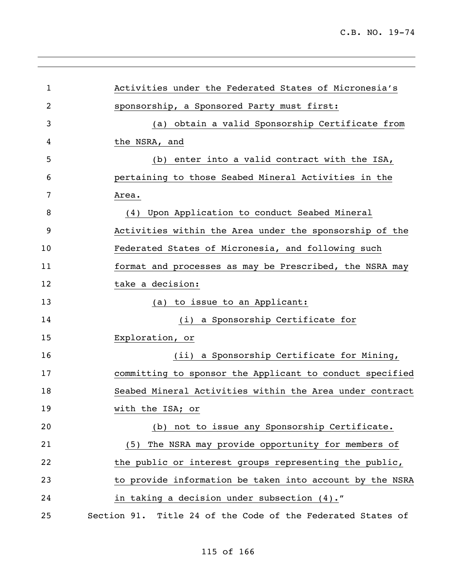| $\mathbf 1$ | Activities under the Federated States of Micronesia's       |
|-------------|-------------------------------------------------------------|
| 2           | sponsorship, a Sponsored Party must first:                  |
| 3           | (a) obtain a valid Sponsorship Certificate from             |
| 4           | the NSRA, and                                               |
| 5           | (b) enter into a valid contract with the ISA,               |
| 6           | pertaining to those Seabed Mineral Activities in the        |
| 7           | Area.                                                       |
| 8           | (4) Upon Application to conduct Seabed Mineral              |
| 9           | Activities within the Area under the sponsorship of the     |
| 10          | Federated States of Micronesia, and following such          |
| 11          | format and processes as may be Prescribed, the NSRA may     |
| 12          | take a decision:                                            |
| 13          | (a) to issue to an Applicant:                               |
| 14          | (i) a Sponsorship Certificate for                           |
| 15          | Exploration, or                                             |
| 16          | (ii) a Sponsorship Certificate for Mining,                  |
| 17          | committing to sponsor the Applicant to conduct specified    |
| 18          | Seabed Mineral Activities within the Area under contract    |
| 19          | with the ISA; or                                            |
| 20          | (b) not to issue any Sponsorship Certificate.               |
| 21          | (5) The NSRA may provide opportunity for members of         |
| 22          | the public or interest groups representing the public,      |
| 23          | to provide information be taken into account by the NSRA    |
| 24          | in taking a decision under subsection (4)."                 |
| 25          | Section 91. Title 24 of the Code of the Federated States of |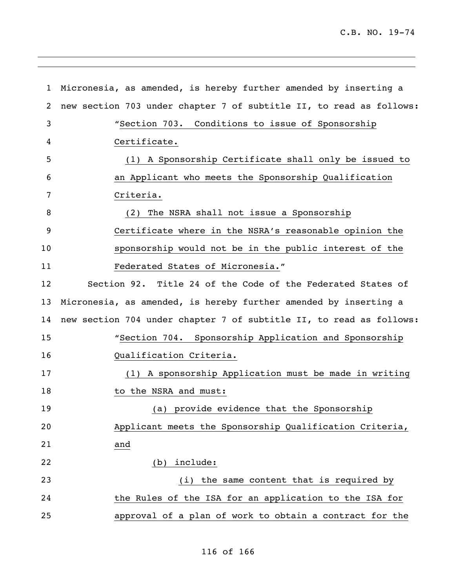C.B. NO. 19-74

 Micronesia, as amended, is hereby further amended by inserting a new section 703 under chapter 7 of subtitle II, to read as follows: "Section 703. Conditions to issue of Sponsorship Certificate. (1) A Sponsorship Certificate shall only be issued to an Applicant who meets the Sponsorship Qualification Criteria. (2) The NSRA shall not issue a Sponsorship Certificate where in the NSRA's reasonable opinion the sponsorship would not be in the public interest of the Federated States of Micronesia." Section 92. Title 24 of the Code of the Federated States of Micronesia, as amended, is hereby further amended by inserting a new section 704 under chapter 7 of subtitle II, to read as follows: "Section 704. Sponsorship Application and Sponsorship Qualification Criteria. (1) A sponsorship Application must be made in writing 18 to the NSRA and must: (a) provide evidence that the Sponsorship Applicant meets the Sponsorship Qualification Criteria, and (b) include: (i) the same content that is required by the Rules of the ISA for an application to the ISA for approval of a plan of work to obtain a contract for the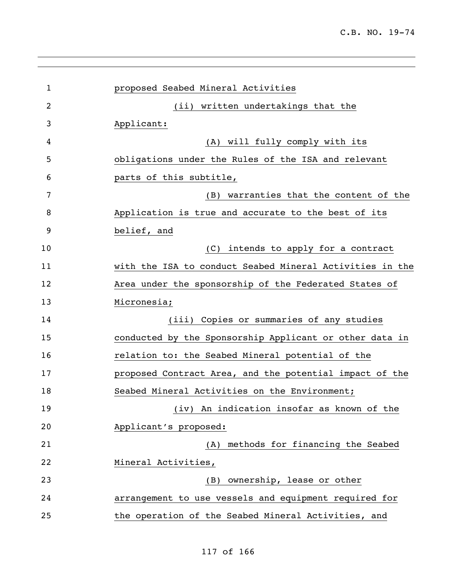| 1  | proposed Seabed Mineral Activities                       |
|----|----------------------------------------------------------|
| 2  | (ii) written undertakings that the                       |
| 3  | Applicant:                                               |
| 4  | (A) will fully comply with its                           |
| 5  | obligations under the Rules of the ISA and relevant      |
| 6  | parts of this subtitle,                                  |
| 7  | (B) warranties that the content of the                   |
| 8  | Application is true and accurate to the best of its      |
| 9  | belief, and                                              |
| 10 | (C) intends to apply for a contract                      |
| 11 | with the ISA to conduct Seabed Mineral Activities in the |
| 12 | Area under the sponsorship of the Federated States of    |
| 13 | Micronesia;                                              |
| 14 | (iii) Copies or summaries of any studies                 |
| 15 | conducted by the Sponsorship Applicant or other data in  |
| 16 | relation to: the Seabed Mineral potential of the         |
| 17 | proposed Contract Area, and the potential impact of the  |
| 18 | Seabed Mineral Activities on the Environment;            |
| 19 | An indication insofar as known of the<br>(iv)            |
| 20 | Applicant's proposed:                                    |
| 21 | methods for financing the Seabed<br>(A)                  |
| 22 | Mineral Activities,                                      |
| 23 | ownership, lease or other<br>(B)                         |
| 24 | arrangement to use vessels and equipment required for    |
| 25 | the operation of the Seabed Mineral Activities, and      |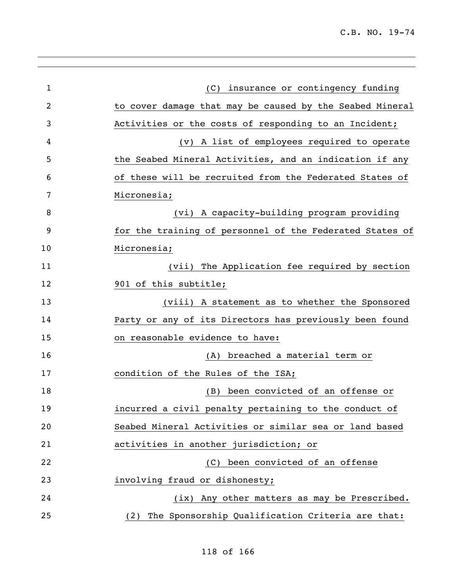l,

| $\mathbf{1}$ | (C) insurance or contingency funding                     |
|--------------|----------------------------------------------------------|
| 2            | to cover damage that may be caused by the Seabed Mineral |
| 3            | Activities or the costs of responding to an Incident;    |
| 4            | (v) A list of employees required to operate              |
| 5            | the Seabed Mineral Activities, and an indication if any  |
| 6            | of these will be recruited from the Federated States of  |
| 7            | Micronesia;                                              |
| 8            | (vi) A capacity-building program providing               |
| 9            | for the training of personnel of the Federated States of |
| 10           | Micronesia;                                              |
| 11           | (vii) The Application fee required by section            |
| 12           | 901 of this subtitle;                                    |
| 13           | (viii) A statement as to whether the Sponsored           |
| 14           | Party or any of its Directors has previously been found  |
| 15           | on reasonable evidence to have:                          |
| 16           | (A) breached a material term or                          |
| 17           | condition of the Rules of the ISA;                       |
| 18           | been convicted of an offense or<br>(B)                   |
| 19           | incurred a civil penalty pertaining to the conduct of    |
| 20           | Seabed Mineral Activities or similar sea or land based   |
| 21           | activities in another jurisdiction; or                   |
| 22           | been convicted of an offense<br>(C)                      |
| 23           | involving fraud or dishonesty;                           |
| 24           | (ix) Any other matters as may be Prescribed.             |
| 25           | The Sponsorship Qualification Criteria are that:<br>(2)  |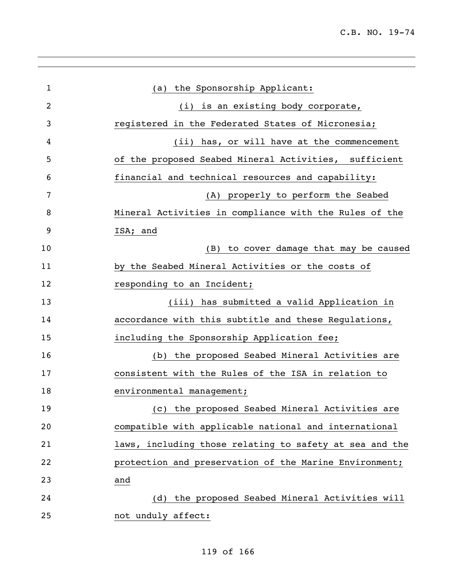| $\mathbf{1}$ | the Sponsorship Applicant:<br>(a)                       |
|--------------|---------------------------------------------------------|
| 2            | (i) is an existing body corporate,                      |
| 3            | registered in the Federated States of Micronesia;       |
| 4            | (ii) has, or will have at the commencement              |
| 5            | of the proposed Seabed Mineral Activities, sufficient   |
| 6            | financial and technical resources and capability:       |
| 7            | (A) properly to perform the Seabed                      |
| 8            | Mineral Activities in compliance with the Rules of the  |
| 9            | ISA; and                                                |
| 10           | to cover damage that may be caused<br>(B)               |
| 11           | by the Seabed Mineral Activities or the costs of        |
| 12           | responding to an Incident;                              |
| 13           | (iii) has submitted a valid Application in              |
| 14           | accordance with this subtitle and these Regulations,    |
| 15           | including the Sponsorship Application fee;              |
| 16           | (b) the proposed Seabed Mineral Activities are          |
| 17           | consistent with the Rules of the ISA in relation to     |
| 18           | environmental management;                               |
| 19           | (c) the proposed Seabed Mineral Activities are          |
| 20           | compatible with applicable national and international   |
| 21           | laws, including those relating to safety at sea and the |
| 22           | protection and preservation of the Marine Environment;  |
| 23           | and                                                     |
| 24           | (d) the proposed Seabed Mineral Activities will         |
| 25           | not unduly affect:                                      |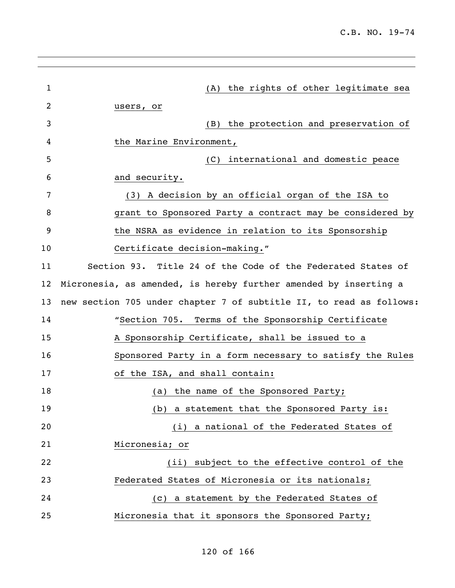| 1  | (A) the rights of other legitimate sea                              |
|----|---------------------------------------------------------------------|
| 2  | users, or                                                           |
| 3  | (B) the protection and preservation of                              |
| 4  | the Marine Environment,                                             |
| 5  | (C) international and domestic peace                                |
| 6  | and security.                                                       |
| 7  | (3) A decision by an official organ of the ISA to                   |
| 8  | grant to Sponsored Party a contract may be considered by            |
| 9  | the NSRA as evidence in relation to its Sponsorship                 |
| 10 | Certificate decision-making."                                       |
| 11 | Section 93. Title 24 of the Code of the Federated States of         |
| 12 | Micronesia, as amended, is hereby further amended by inserting a    |
| 13 | new section 705 under chapter 7 of subtitle II, to read as follows: |
| 14 | "Section 705. Terms of the Sponsorship Certificate                  |
| 15 | A Sponsorship Certificate, shall be issued to a                     |
| 16 | Sponsored Party in a form necessary to satisfy the Rules            |
| 17 | of the ISA, and shall contain:                                      |
| 18 | the name of the Sponsored Party;<br>(a)                             |
| 19 | a statement that the Sponsored Party is:<br>(b)                     |
| 20 | a national of the Federated States of<br>(i)                        |
| 21 | Micronesia; or                                                      |
| 22 | subject to the effective control of the<br>(iii)                    |
| 23 | Federated States of Micronesia or its nationals;                    |
| 24 | a statement by the Federated States of<br>(C)                       |
| 25 | Micronesia that it sponsors the Sponsored Party;                    |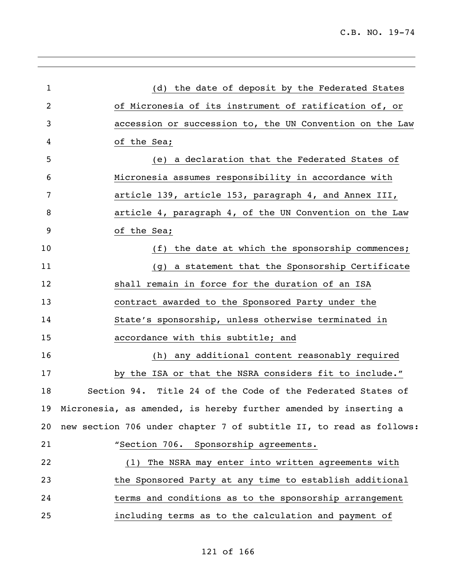| (d) the date of deposit by the Federated States                     |
|---------------------------------------------------------------------|
| of Micronesia of its instrument of ratification of, or              |
| accession or succession to, the UN Convention on the Law            |
| of the Sea;                                                         |
| (e) a declaration that the Federated States of                      |
| Micronesia assumes responsibility in accordance with                |
| article 139, article 153, paragraph 4, and Annex III,               |
| article 4, paragraph 4, of the UN Convention on the Law             |
| of the Sea;                                                         |
| (f) the date at which the sponsorship commences;                    |
| (g) a statement that the Sponsorship Certificate                    |
| shall remain in force for the duration of an ISA                    |
| contract awarded to the Sponsored Party under the                   |
| State's sponsorship, unless otherwise terminated in                 |
| accordance with this subtitle; and                                  |
| (h) any additional content reasonably required                      |
| by the ISA or that the NSRA considers fit to include."              |
| Section 94. Title 24 of the Code of the Federated States of         |
| 19 Micronesia, as amended, is hereby further amended by inserting a |
| new section 706 under chapter 7 of subtitle II, to read as follows: |
| "Section 706. Sponsorship agreements.                               |
| The NSRA may enter into written agreements with<br>(1)              |
| the Sponsored Party at any time to establish additional             |
| terms and conditions as to the sponsorship arrangement              |
| including terms as to the calculation and payment of                |
|                                                                     |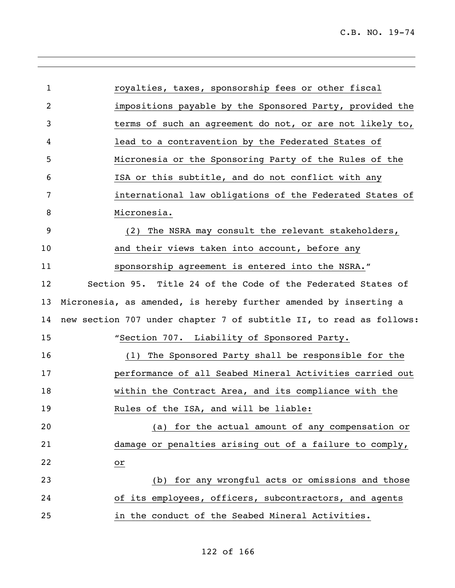| $\mathbf{1}$ | royalties, taxes, sponsorship fees or other fiscal                  |
|--------------|---------------------------------------------------------------------|
| 2            | impositions payable by the Sponsored Party, provided the            |
| 3            | terms of such an agreement do not, or are not likely to,            |
| 4            | lead to a contravention by the Federated States of                  |
| 5            | Micronesia or the Sponsoring Party of the Rules of the              |
| 6            | ISA or this subtitle, and do not conflict with any                  |
| 7            | international law obligations of the Federated States of            |
| 8            | Micronesia.                                                         |
| 9            | (2) The NSRA may consult the relevant stakeholders,                 |
| 10           | and their views taken into account, before any                      |
| 11           | sponsorship agreement is entered into the NSRA."                    |
| 12           | Section 95. Title 24 of the Code of the Federated States of         |
| 13           | Micronesia, as amended, is hereby further amended by inserting a    |
| 14           | new section 707 under chapter 7 of subtitle II, to read as follows: |
| 15           | "Section 707. Liability of Sponsored Party.                         |
| 16           | (1) The Sponsored Party shall be responsible for the                |
| 17           | performance of all Seabed Mineral Activities carried out            |
| 18           | within the Contract Area, and its compliance with the               |
| 19           | Rules of the ISA, and will be liable:                               |
| 20           | for the actual amount of any compensation or<br>(a)                 |
| 21           | damage or penalties arising out of a failure to comply,             |
| 22           | or                                                                  |
| 23           | for any wrongful acts or omissions and those<br>(b)                 |
| 24           | of its employees, officers, subcontractors, and agents              |
| 25           | in the conduct of the Seabed Mineral Activities.                    |

,我们也不会有什么。""我们的人,我们也不会有什么?""我们的人,我们也不会有什么?""我们的人,我们也不会有什么?""我们的人,我们也不会有什么?""我们的人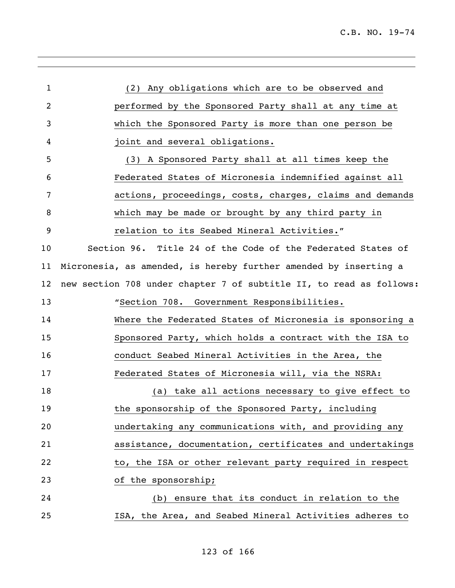| 1              | (2) Any obligations which are to be observed and                    |
|----------------|---------------------------------------------------------------------|
| $\overline{2}$ | performed by the Sponsored Party shall at any time at               |
| 3              | which the Sponsored Party is more than one person be                |
| 4              | joint and several obligations.                                      |
| 5              | (3) A Sponsored Party shall at all times keep the                   |
| 6              | Federated States of Micronesia indemnified against all              |
| 7              | actions, proceedings, costs, charges, claims and demands            |
| 8              | which may be made or brought by any third party in                  |
| 9              | relation to its Seabed Mineral Activities."                         |
| 10             | Section 96. Title 24 of the Code of the Federated States of         |
| 11             | Micronesia, as amended, is hereby further amended by inserting a    |
| 12             | new section 708 under chapter 7 of subtitle II, to read as follows: |
| 13             | "Section 708. Government Responsibilities.                          |
| 14             | Where the Federated States of Micronesia is sponsoring a            |
| 15             | Sponsored Party, which holds a contract with the ISA to             |
| 16             | conduct Seabed Mineral Activities in the Area, the                  |
| 17             | Federated States of Micronesia will, via the NSRA:                  |
| 18             | (a) take all actions necessary to give effect to                    |
| 19             | the sponsorship of the Sponsored Party, including                   |
| 20             | undertaking any communications with, and providing any              |
| 21             | assistance, documentation, certificates and undertakings            |
| 22             | to, the ISA or other relevant party required in respect             |
| 23             | of the sponsorship;                                                 |
| 24             | ensure that its conduct in relation to the<br>(b)                   |
| 25             | ISA, the Area, and Seabed Mineral Activities adheres to             |
|                |                                                                     |

,我们也不会有什么。""我们的人,我们也不会有什么?""我们的人,我们也不会有什么?""我们的人,我们的人,我们的人,我们的人,我们的人,我们的人,我们的人,我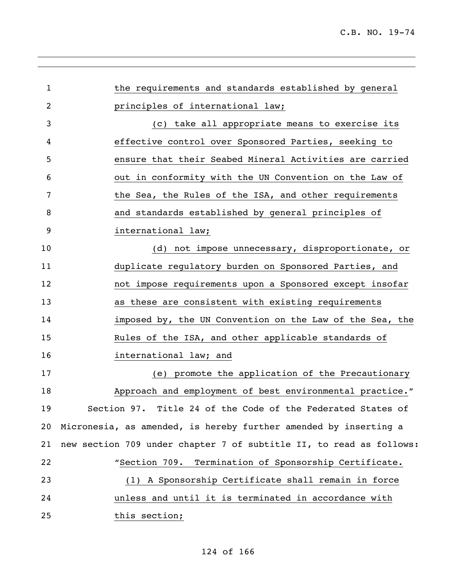| 1  | the requirements and standards established by general               |
|----|---------------------------------------------------------------------|
| 2  | principles of international law;                                    |
| 3  | take all appropriate means to exercise its<br>(C)                   |
| 4  | effective control over Sponsored Parties, seeking to                |
| 5  | ensure that their Seabed Mineral Activities are carried             |
| 6  | out in conformity with the UN Convention on the Law of              |
| 7  | the Sea, the Rules of the ISA, and other requirements               |
| 8  | and standards established by general principles of                  |
| 9  | international law;                                                  |
| 10 | (d) not impose unnecessary, disproportionate, or                    |
| 11 | duplicate regulatory burden on Sponsored Parties, and               |
| 12 | not impose requirements upon a Sponsored except insofar             |
| 13 | as these are consistent with existing requirements                  |
| 14 | imposed by, the UN Convention on the Law of the Sea, the            |
| 15 | Rules of the ISA, and other applicable standards of                 |
| 16 | international law; and                                              |
| 17 | (e) promote the application of the Precautionary                    |
| 18 | Approach and employment of best environmental practice."            |
| 19 | Section 97. Title 24 of the Code of the Federated States of         |
| 20 | Micronesia, as amended, is hereby further amended by inserting a    |
| 21 | new section 709 under chapter 7 of subtitle II, to read as follows: |
| 22 | "Section 709. Termination of Sponsorship Certificate.               |
| 23 | (1) A Sponsorship Certificate shall remain in force                 |
| 24 | unless and until it is terminated in accordance with                |
| 25 | this section;                                                       |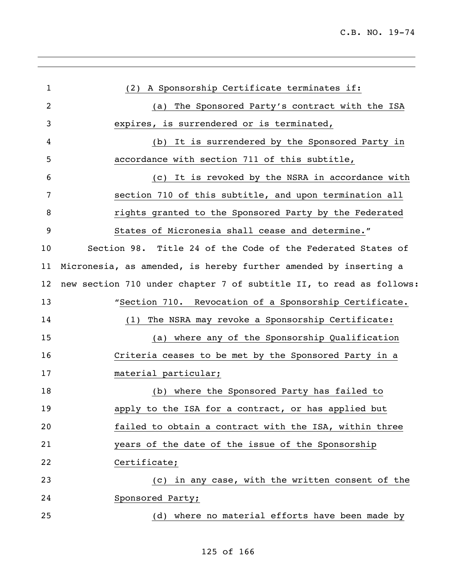| $\mathbf{1}$      | (2) A Sponsorship Certificate terminates if:                        |
|-------------------|---------------------------------------------------------------------|
| 2                 | (a) The Sponsored Party's contract with the ISA                     |
| 3                 | expires, is surrendered or is terminated,                           |
| 4                 | It is surrendered by the Sponsored Party in<br>(b)                  |
| 5                 | accordance with section 711 of this subtitle,                       |
| 6                 | It is revoked by the NSRA in accordance with<br>(C)                 |
| 7                 | section 710 of this subtitle, and upon termination all              |
| 8                 | rights granted to the Sponsored Party by the Federated              |
| 9                 | States of Micronesia shall cease and determine."                    |
| 10                | Section 98. Title 24 of the Code of the Federated States of         |
| 11                | Micronesia, as amended, is hereby further amended by inserting a    |
| $12 \overline{ }$ | new section 710 under chapter 7 of subtitle II, to read as follows: |
| 13                | "Section 710. Revocation of a Sponsorship Certificate.              |
| 14                | The NSRA may revoke a Sponsorship Certificate:<br>(1)               |
| 15                | (a) where any of the Sponsorship Qualification                      |
| 16                | Criteria ceases to be met by the Sponsored Party in a               |
| 17                | material particular;                                                |
| 18                | where the Sponsored Party has failed to<br>(b)                      |
| 19                | apply to the ISA for a contract, or has applied but                 |
| 20                | failed to obtain a contract with the ISA, within three              |
| 21                | years of the date of the issue of the Sponsorship                   |
| 22                | Certificate;                                                        |
| 23                | in any case, with the written consent of the<br>(C)                 |
| 24                | Sponsored Party;                                                    |
| 25                | (d) where no material efforts have been made by                     |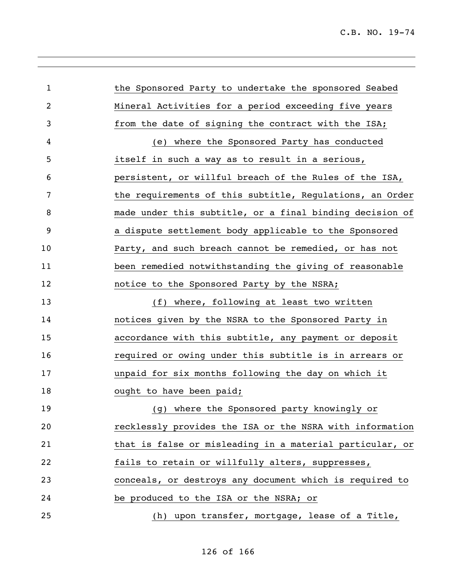l,

| $\mathbf{1}$ | the Sponsored Party to undertake the sponsored Seabed    |
|--------------|----------------------------------------------------------|
| 2            | Mineral Activities for a period exceeding five years     |
| 3            | from the date of signing the contract with the ISA;      |
| 4            | (e) where the Sponsored Party has conducted              |
| 5            | itself in such a way as to result in a serious,          |
| 6            | persistent, or willful breach of the Rules of the ISA,   |
| 7            | the requirements of this subtitle, Regulations, an Order |
| 8            | made under this subtitle, or a final binding decision of |
| 9            | a dispute settlement body applicable to the Sponsored    |
| 10           | Party, and such breach cannot be remedied, or has not    |
| 11           | been remedied notwithstanding the giving of reasonable   |
| 12           | notice to the Sponsored Party by the NSRA;               |
| 13           | (f) where, following at least two written                |
| 14           | notices given by the NSRA to the Sponsored Party in      |
| 15           | accordance with this subtitle, any payment or deposit    |
| 16           | required or owing under this subtitle is in arrears or   |
| 17           | unpaid for six months following the day on which it      |
| 18           | ought to have been paid;                                 |
| 19           | (g) where the Sponsored party knowingly or               |
| 20           | recklessly provides the ISA or the NSRA with information |
| 21           | that is false or misleading in a material particular, or |
| 22           | fails to retain or willfully alters, suppresses,         |
| 23           | conceals, or destroys any document which is required to  |
| 24           | be produced to the ISA or the NSRA; or                   |
| 25           | (h) upon transfer, mortgage, lease of a Title,           |
|              |                                                          |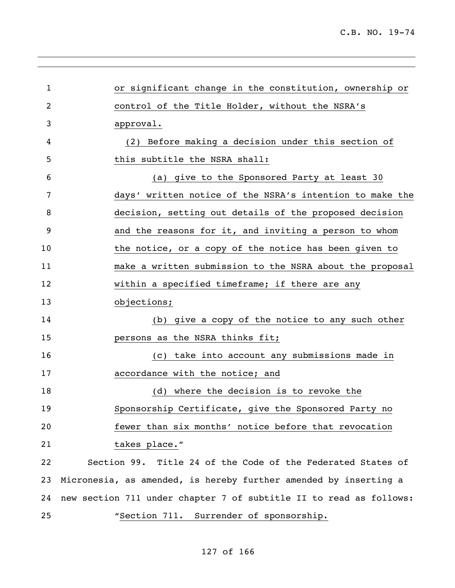| $\mathbf 1$ | or significant change in the constitution, ownership or            |
|-------------|--------------------------------------------------------------------|
| 2           | control of the Title Holder, without the NSRA's                    |
| 3           | approval.                                                          |
| 4           | Before making a decision under this section of<br>(2)              |
| 5           | this subtitle the NSRA shall:                                      |
| 6           | (a) give to the Sponsored Party at least 30                        |
| 7           | days' written notice of the NSRA's intention to make the           |
| 8           | decision, setting out details of the proposed decision             |
| 9           | and the reasons for it, and inviting a person to whom              |
| 10          | the notice, or a copy of the notice has been given to              |
| 11          | make a written submission to the NSRA about the proposal           |
| 12          | within a specified timeframe; if there are any                     |
| 13          | objections;                                                        |
| 14          | (b) give a copy of the notice to any such other                    |
| 15          | persons as the NSRA thinks fit;                                    |
| 16          | take into account any submissions made in<br>(C)                   |
| 17          | accordance with the notice; and                                    |
| 18          | (d) where the decision is to revoke the                            |
| 19          | Sponsorship Certificate, give the Sponsored Party no               |
| 20          | fewer than six months' notice before that revocation               |
| 21          | takes place."                                                      |
| 22          | Section 99. Title 24 of the Code of the Federated States of        |
| 23          | Micronesia, as amended, is hereby further amended by inserting a   |
| 24          | new section 711 under chapter 7 of subtitle II to read as follows: |
| 25          | "Section 711. Surrender of sponsorship.                            |
|             |                                                                    |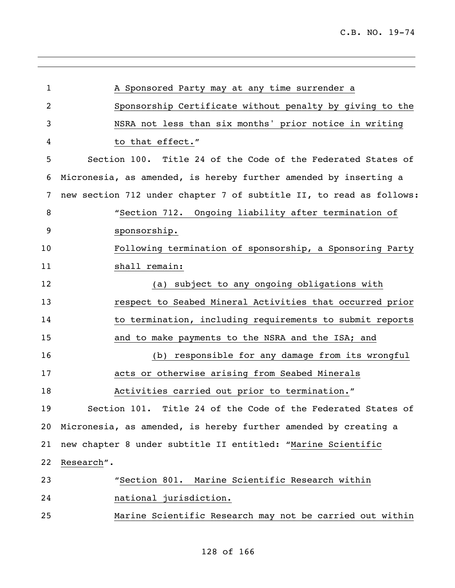l,

| $\mathbf{1}$ | A Sponsored Party may at any time surrender a                       |
|--------------|---------------------------------------------------------------------|
| 2            | Sponsorship Certificate without penalty by giving to the            |
| 3            | NSRA not less than six months' prior notice in writing              |
| 4            | to that effect."                                                    |
| 5            | Section 100. Title 24 of the Code of the Federated States of        |
| 6            | Micronesia, as amended, is hereby further amended by inserting a    |
| 7            | new section 712 under chapter 7 of subtitle II, to read as follows: |
| 8            | "Section 712. Ongoing liability after termination of                |
| 9            | sponsorship.                                                        |
| 10           | Following termination of sponsorship, a Sponsoring Party            |
| 11           | shall remain:                                                       |
| 12           | (a) subject to any ongoing obligations with                         |
| 13           | respect to Seabed Mineral Activities that occurred prior            |
| 14           | to termination, including requirements to submit reports            |
| 15           | and to make payments to the NSRA and the ISA; and                   |
| 16           | responsible for any damage from its wrongful<br>(b)                 |
| 17           | acts or otherwise arising from Seabed Minerals                      |
| 18           | Activities carried out prior to termination."                       |
| 19           | Section 101. Title 24 of the Code of the Federated States of        |
| 20           | Micronesia, as amended, is hereby further amended by creating a     |
| 21           | new chapter 8 under subtitle II entitled: "Marine Scientific        |
| 22           | Research".                                                          |
| 23           | "Section 801. Marine Scientific Research within                     |
| 24           | national jurisdiction.                                              |
| 25           | Marine Scientific Research may not be carried out within            |
|              |                                                                     |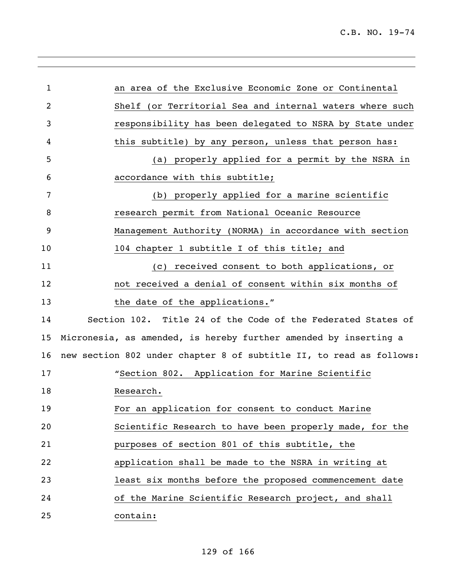| 1  | an area of the Exclusive Economic Zone or Continental               |
|----|---------------------------------------------------------------------|
| 2  | Shelf (or Territorial Sea and internal waters where such            |
| 3  | responsibility has been delegated to NSRA by State under            |
| 4  | this subtitle) by any person, unless that person has:               |
| 5  | properly applied for a permit by the NSRA in<br>(a)                 |
| 6  | accordance with this subtitle;                                      |
| 7  | (b) properly applied for a marine scientific                        |
| 8  | research permit from National Oceanic Resource                      |
| 9  | Management Authority (NORMA) in accordance with section             |
| 10 | 104 chapter 1 subtitle I of this title; and                         |
| 11 | received consent to both applications, or<br>(C)                    |
| 12 | not received a denial of consent within six months of               |
| 13 | the date of the applications."                                      |
| 14 | Section 102. Title 24 of the Code of the Federated States of        |
| 15 | Micronesia, as amended, is hereby further amended by inserting a    |
| 16 | new section 802 under chapter 8 of subtitle II, to read as follows: |
| 17 | "Section 802. Application for Marine Scientific                     |
| 18 | Research.                                                           |
| 19 | For an application for consent to conduct Marine                    |
| 20 | Scientific Research to have been properly made, for the             |
| 21 | purposes of section 801 of this subtitle, the                       |
| 22 | application shall be made to the NSRA in writing at                 |
| 23 | least six months before the proposed commencement date              |
| 24 | of the Marine Scientific Research project, and shall                |
| 25 | contain:                                                            |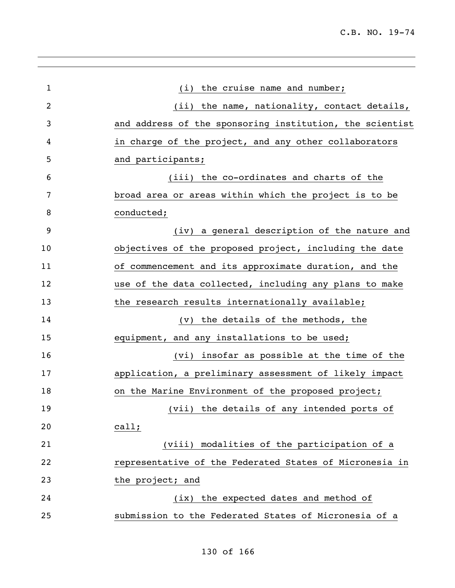| $\mathbf 1$ | (i) the cruise name and number;                          |
|-------------|----------------------------------------------------------|
| 2           | (ii) the name, nationality, contact details,             |
| 3           | and address of the sponsoring institution, the scientist |
| 4           | in charge of the project, and any other collaborators    |
| 5           | and participants;                                        |
| 6           | (iii) the co-ordinates and charts of the                 |
| 7           | broad area or areas within which the project is to be    |
| 8           | conducted;                                               |
| 9           | (iv) a general description of the nature and             |
| 10          | objectives of the proposed project, including the date   |
| 11          | of commencement and its approximate duration, and the    |
| 12          | use of the data collected, including any plans to make   |
| 13          | the research results internationally available;          |
| 14          | (v) the details of the methods, the                      |
| 15          | equipment, and any installations to be used;             |
| 16          | (vi) insofar as possible at the time of the              |
| 17          | application, a preliminary assessment of likely impact   |
| 18          | on the Marine Environment of the proposed project;       |
| 19          | (vii) the details of any intended ports of               |
| 20          | $cal1$ ;                                                 |
| 21          | (viii) modalities of the participation of a              |
| 22          | representative of the Federated States of Micronesia in  |
| 23          | the project; and                                         |
| 24          | (ix) the expected dates and method of                    |
| 25          | submission to the Federated States of Micronesia of a    |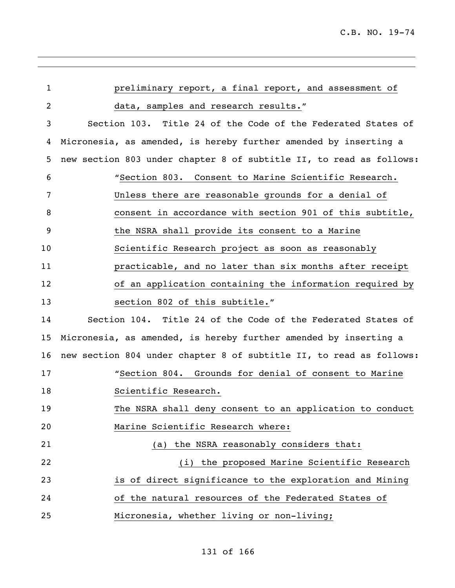| $\mathbf{1}$   | preliminary report, a final report, and assessment of               |
|----------------|---------------------------------------------------------------------|
| $\overline{2}$ | data, samples and research results."                                |
| 3              | Section 103. Title 24 of the Code of the Federated States of        |
| 4              | Micronesia, as amended, is hereby further amended by inserting a    |
| 5              | new section 803 under chapter 8 of subtitle II, to read as follows: |
| 6              | "Section 803. Consent to Marine Scientific Research.                |
| 7              | Unless there are reasonable grounds for a denial of                 |
| 8              | consent in accordance with section 901 of this subtitle,            |
| 9              | the NSRA shall provide its consent to a Marine                      |
| 10             | Scientific Research project as soon as reasonably                   |
| 11             | practicable, and no later than six months after receipt             |
| 12             | of an application containing the information required by            |
| 13             | section 802 of this subtitle."                                      |
| 14             | Section 104. Title 24 of the Code of the Federated States of        |
| 15             | Micronesia, as amended, is hereby further amended by inserting a    |
| 16             | new section 804 under chapter 8 of subtitle II, to read as follows: |
| 17             | "Section 804. Grounds for denial of consent to Marine               |
| 18             | Scientific Research.                                                |
| 19             | The NSRA shall deny consent to an application to conduct            |
| 20             | Marine Scientific Research where:                                   |
| 21             | the NSRA reasonably considers that:<br>(a)                          |
| 22             | (i) the proposed Marine Scientific Research                         |
| 23             | is of direct significance to the exploration and Mining             |
| 24             | of the natural resources of the Federated States of                 |
| 25             | Micronesia, whether living or non-living;                           |

,我们也不会有什么。""我们的人,我们也不会有什么?""我们的人,我们也不会有什么?""我们的人,我们也不会有什么?""我们的人,我们也不会有什么?""我们的人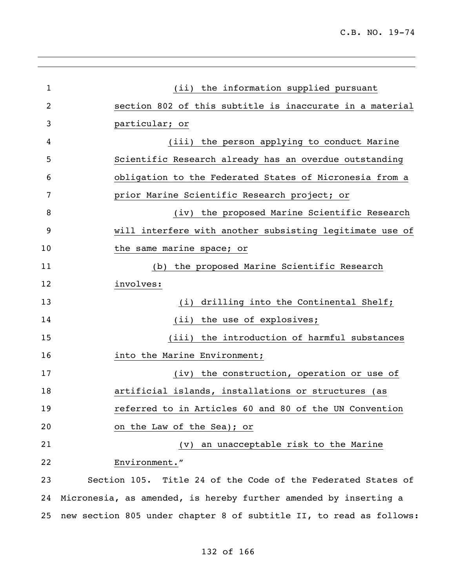| 1  | (ii) the information supplied pursuant                              |
|----|---------------------------------------------------------------------|
| 2  | section 802 of this subtitle is inaccurate in a material            |
| 3  | particular; or                                                      |
| 4  | (iii) the person applying to conduct Marine                         |
| 5  | Scientific Research already has an overdue outstanding              |
| 6  | obligation to the Federated States of Micronesia from a             |
| 7  | prior Marine Scientific Research project; or                        |
| 8  | (iv) the proposed Marine Scientific Research                        |
| 9  | will interfere with another subsisting legitimate use of            |
| 10 | the same marine space; or                                           |
| 11 | (b) the proposed Marine Scientific Research                         |
| 12 | involves:                                                           |
| 13 | (i) drilling into the Continental Shelf;                            |
| 14 | (ii) the use of explosives;                                         |
| 15 | (iii) the introduction of harmful substances                        |
| 16 | into the Marine Environment;                                        |
| 17 | (iv) the construction, operation or use of                          |
| 18 | artificial islands, installations or structures (as                 |
| 19 | referred to in Articles 60 and 80 of the UN Convention              |
| 20 | on the Law of the Sea); or                                          |
| 21 | (v) an unacceptable risk to the Marine                              |
| 22 | Environment."                                                       |
| 23 | Section 105. Title 24 of the Code of the Federated States of        |
| 24 | Micronesia, as amended, is hereby further amended by inserting a    |
| 25 | new section 805 under chapter 8 of subtitle II, to read as follows: |
|    |                                                                     |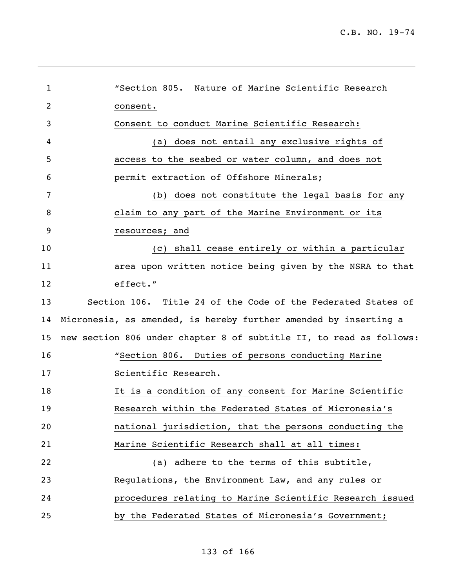l,

| $\mathbf{1}$ | "Section 805. Nature of Marine Scientific Research                  |
|--------------|---------------------------------------------------------------------|
| 2            | consent.                                                            |
| 3            | Consent to conduct Marine Scientific Research:                      |
| 4            | does not entail any exclusive rights of<br>(a)                      |
| 5            | access to the seabed or water column, and does not                  |
| 6            | permit extraction of Offshore Minerals;                             |
| 7            | does not constitute the legal basis for any<br>(b)                  |
| 8            | claim to any part of the Marine Environment or its                  |
| 9            | resources; and                                                      |
| 10           | shall cease entirely or within a particular<br>(C)                  |
| 11           | area upon written notice being given by the NSRA to that            |
| 12           | effect."                                                            |
| 13           | Section 106. Title 24 of the Code of the Federated States of        |
| 14           | Micronesia, as amended, is hereby further amended by inserting a    |
| 15           | new section 806 under chapter 8 of subtitle II, to read as follows: |
| 16           | "Section 806. Duties of persons conducting Marine                   |
| 17           | Scientific Research.                                                |
| 18           | It is a condition of any consent for Marine Scientific              |
| 19           | Research within the Federated States of Micronesia's                |
| 20           | national jurisdiction, that the persons conducting the              |
| 21           | Marine Scientific Research shall at all times:                      |
| 22           | adhere to the terms of this subtitle,<br>(a)                        |
| 23           | Regulations, the Environment Law, and any rules or                  |
| 24           | procedures relating to Marine Scientific Research issued            |
| 25           | by the Federated States of Micronesia's Government;                 |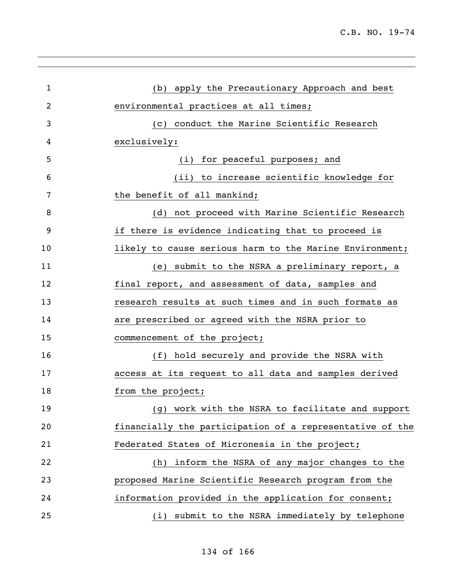| 1  | (b) apply the Precautionary Approach and best            |
|----|----------------------------------------------------------|
| 2  | environmental practices at all times;                    |
| 3  | (c) conduct the Marine Scientific Research               |
| 4  | exclusively:                                             |
| 5  | (i) for peaceful purposes; and                           |
| 6  | (ii) to increase scientific knowledge for                |
| 7  | the benefit of all mankind;                              |
| 8  | (d) not proceed with Marine Scientific Research          |
| 9  | if there is evidence indicating that to proceed is       |
| 10 | likely to cause serious harm to the Marine Environment;  |
| 11 | (e) submit to the NSRA a preliminary report, a           |
| 12 | final report, and assessment of data, samples and        |
| 13 | research results at such times and in such formats as    |
| 14 | are prescribed or agreed with the NSRA prior to          |
| 15 | commencement of the project;                             |
| 16 | (f) hold securely and provide the NSRA with              |
| 17 | access at its request to all data and samples derived    |
| 18 | from the project;                                        |
| 19 | work with the NSRA to facilitate and support<br>(g)      |
| 20 | financially the participation of a representative of the |
| 21 | Federated States of Micronesia in the project;           |
| 22 | inform the NSRA of any major changes to the<br>(h)       |
| 23 | proposed Marine Scientific Research program from the     |
| 24 | information provided in the application for consent;     |
| 25 | submit to the NSRA immediately by telephone<br>(i)       |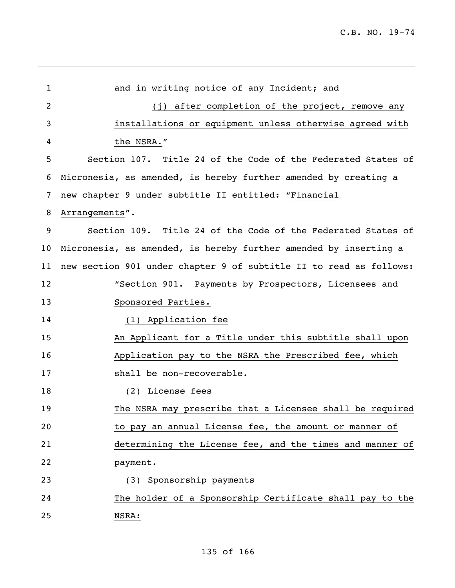| 1  | and in writing notice of any Incident; and                         |
|----|--------------------------------------------------------------------|
| 2  | (j) after completion of the project, remove any                    |
| 3  | installations or equipment unless otherwise agreed with            |
| 4  | the NSRA."                                                         |
| 5  | Section 107. Title 24 of the Code of the Federated States of       |
| 6  | Micronesia, as amended, is hereby further amended by creating a    |
| 7  | new chapter 9 under subtitle II entitled: "Financial               |
| 8  | Arrangements".                                                     |
| 9  | Section 109. Title 24 of the Code of the Federated States of       |
| 10 | Micronesia, as amended, is hereby further amended by inserting a   |
| 11 | new section 901 under chapter 9 of subtitle II to read as follows: |
| 12 | "Section 901. Payments by Prospectors, Licensees and               |
| 13 | Sponsored Parties.                                                 |
| 14 | (1) Application fee                                                |
| 15 | An Applicant for a Title under this subtitle shall upon            |
| 16 | Application pay to the NSRA the Prescribed fee, which              |
| 17 | shall be non-recoverable.                                          |
| 18 | (2) License fees                                                   |
| 19 | The NSRA may prescribe that a Licensee shall be required           |
| 20 | to pay an annual License fee, the amount or manner of              |
| 21 | determining the License fee, and the times and manner of           |
| 22 | payment.                                                           |
| 23 | (3) Sponsorship payments                                           |
| 24 | The holder of a Sponsorship Certificate shall pay to the           |
| 25 | NSRA:                                                              |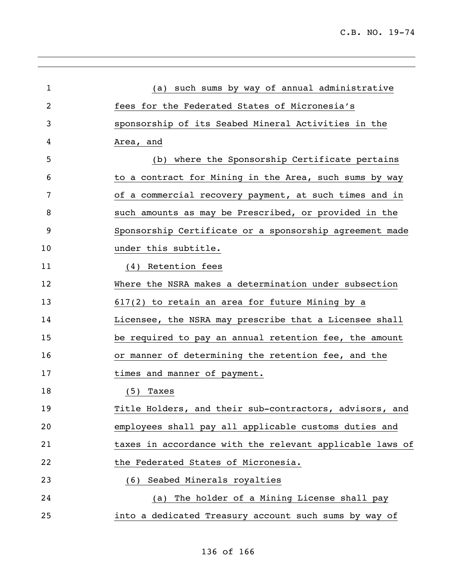| 1  | (a) such sums by way of annual administrative            |
|----|----------------------------------------------------------|
| 2  | fees for the Federated States of Micronesia's            |
| 3  | sponsorship of its Seabed Mineral Activities in the      |
| 4  | Area, and                                                |
| 5  | (b) where the Sponsorship Certificate pertains           |
| 6  | to a contract for Mining in the Area, such sums by way   |
| 7  | of a commercial recovery payment, at such times and in   |
| 8  | such amounts as may be Prescribed, or provided in the    |
| 9  | Sponsorship Certificate or a sponsorship agreement made  |
| 10 | under this subtitle.                                     |
| 11 | (4) Retention fees                                       |
| 12 | Where the NSRA makes a determination under subsection    |
| 13 | 617(2) to retain an area for future Mining by a          |
| 14 | Licensee, the NSRA may prescribe that a Licensee shall   |
| 15 | be required to pay an annual retention fee, the amount   |
| 16 | or manner of determining the retention fee, and the      |
| 17 | times and manner of payment.                             |
| 18 | (5)<br>Taxes                                             |
| 19 | Title Holders, and their sub-contractors, advisors, and  |
| 20 | employees shall pay all applicable customs duties and    |
| 21 | taxes in accordance with the relevant applicable laws of |
| 22 | the Federated States of Micronesia.                      |
| 23 | Seabed Minerals royalties<br>(6)                         |
| 24 | The holder of a Mining License shall pay<br>(a)          |
| 25 | into a dedicated Treasury account such sums by way of    |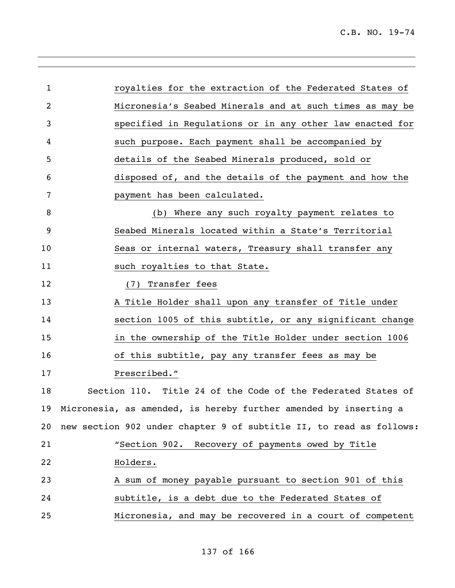| 1  | royalties for the extraction of the Federated States of             |
|----|---------------------------------------------------------------------|
| 2  | Micronesia's Seabed Minerals and at such times as may be            |
| 3  | specified in Regulations or in any other law enacted for            |
| 4  | such purpose. Each payment shall be accompanied by                  |
| 5  | details of the Seabed Minerals produced, sold or                    |
| 6  | disposed of, and the details of the payment and how the             |
| 7  | payment has been calculated.                                        |
| 8  | (b) Where any such royalty payment relates to                       |
| 9  | Seabed Minerals located within a State's Territorial                |
| 10 | Seas or internal waters, Treasury shall transfer any                |
| 11 | such royalties to that State.                                       |
| 12 | Transfer fees<br>(7)                                                |
| 13 | A Title Holder shall upon any transfer of Title under               |
| 14 | section 1005 of this subtitle, or any significant change            |
| 15 | in the ownership of the Title Holder under section 1006             |
| 16 | of this subtitle, pay any transfer fees as may be                   |
| 17 | Prescribed."                                                        |
| 18 | Section 110. Title 24 of the Code of the Federated States of        |
|    | 19 Micronesia, as amended, is hereby further amended by inserting a |
| 20 | new section 902 under chapter 9 of subtitle II, to read as follows: |
| 21 | "Section 902. Recovery of payments owed by Title                    |
| 22 | Holders.                                                            |
| 23 | A sum of money payable pursuant to section 901 of this              |
| 24 | subtitle, is a debt due to the Federated States of                  |
| 25 | Micronesia, and may be recovered in a court of competent            |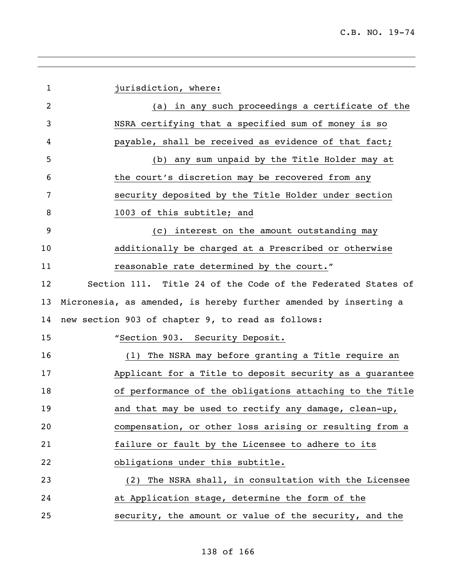| $\mathbf{1}$   | jurisdiction, where:                                             |
|----------------|------------------------------------------------------------------|
| $\overline{2}$ | (a) in any such proceedings a certificate of the                 |
| 3              | NSRA certifying that a specified sum of money is so              |
| 4              | payable, shall be received as evidence of that fact;             |
| 5              | (b) any sum unpaid by the Title Holder may at                    |
| 6              | the court's discretion may be recovered from any                 |
| 7              | security deposited by the Title Holder under section             |
| 8              | 1003 of this subtitle; and                                       |
| 9              | (c) interest on the amount outstanding may                       |
| 10             | additionally be charged at a Prescribed or otherwise             |
| 11             | reasonable rate determined by the court."                        |
| 12             | Section 111. Title 24 of the Code of the Federated States of     |
| 13             | Micronesia, as amended, is hereby further amended by inserting a |
| 14             | new section 903 of chapter 9, to read as follows:                |
| 15             | "Section 903. Security Deposit.                                  |
| 16             | The NSRA may before granting a Title require an<br>(1)           |
| 17             | Applicant for a Title to deposit security as a guarantee         |
| 18             | of performance of the obligations attaching to the Title         |
| 19             | and that may be used to rectify any damage, clean-up,            |
| 20             | compensation, or other loss arising or resulting from a          |
| 21             | failure or fault by the Licensee to adhere to its                |
| 22             | obligations under this subtitle.                                 |
| 23             | (2) The NSRA shall, in consultation with the Licensee            |
| 24             | at Application stage, determine the form of the                  |
| 25             | security, the amount or value of the security, and the           |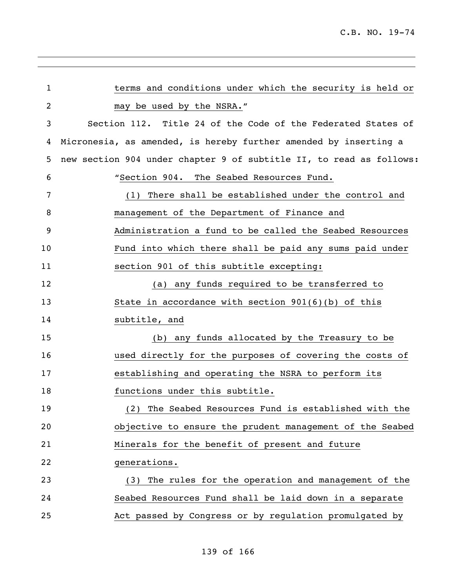l,

| $\mathbf{1}$ | terms and conditions under which the security is held or            |
|--------------|---------------------------------------------------------------------|
| 2            | may be used by the NSRA."                                           |
| 3            | Section 112. Title 24 of the Code of the Federated States of        |
| 4            | Micronesia, as amended, is hereby further amended by inserting a    |
| 5            | new section 904 under chapter 9 of subtitle II, to read as follows: |
| 6            | "Section 904. The Seabed Resources Fund.                            |
| 7            | There shall be established under the control and<br>(1)             |
| 8            | management of the Department of Finance and                         |
| 9            | Administration a fund to be called the Seabed Resources             |
| 10           | Fund into which there shall be paid any sums paid under             |
| 11           | section 901 of this subtitle excepting:                             |
| 12           | (a) any funds required to be transferred to                         |
| 13           | State in accordance with section $901(6)(b)$ of this                |
| 14           | subtitle, and                                                       |
| 15           | (b) any funds allocated by the Treasury to be                       |
| 16           | used directly for the purposes of covering the costs of             |
| 17           | establishing and operating the NSRA to perform its                  |
| 18           | functions under this subtitle.                                      |
| 19           | (2) The Seabed Resources Fund is established with the               |
| 20           | objective to ensure the prudent management of the Seabed            |
| 21           | Minerals for the benefit of present and future                      |
| 22           | generations.                                                        |
| 23           | (3) The rules for the operation and management of the               |
| 24           | Seabed Resources Fund shall be laid down in a separate              |
| 25           | Act passed by Congress or by regulation promulgated by              |
|              |                                                                     |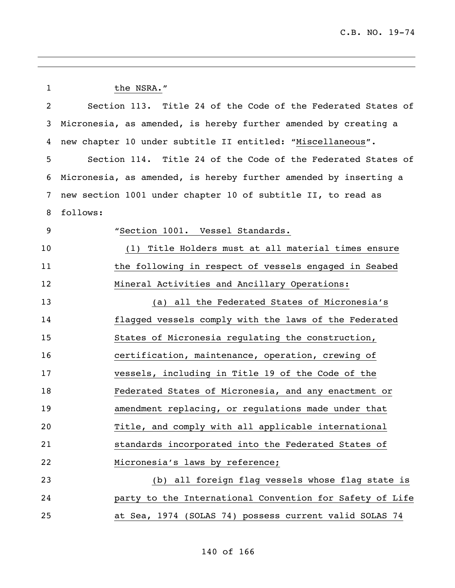1 the NSRA." Section 113. Title 24 of the Code of the Federated States of Micronesia, as amended, is hereby further amended by creating a new chapter 10 under subtitle II entitled: "Miscellaneous". Section 114. Title 24 of the Code of the Federated States of Micronesia, as amended, is hereby further amended by inserting a new section 1001 under chapter 10 of subtitle II, to read as follows: "Section 1001. Vessel Standards. (1) Title Holders must at all material times ensure 11 the following in respect of vessels engaged in Seabed Mineral Activities and Ancillary Operations: (a) all the Federated States of Micronesia's flagged vessels comply with the laws of the Federated States of Micronesia regulating the construction, certification, maintenance, operation, crewing of vessels, including in Title 19 of the Code of the Federated States of Micronesia, and any enactment or amendment replacing, or regulations made under that Title, and comply with all applicable international standards incorporated into the Federated States of Micronesia's laws by reference; (b) all foreign flag vessels whose flag state is party to the International Convention for Safety of Life at Sea, 1974 (SOLAS 74) possess current valid SOLAS 74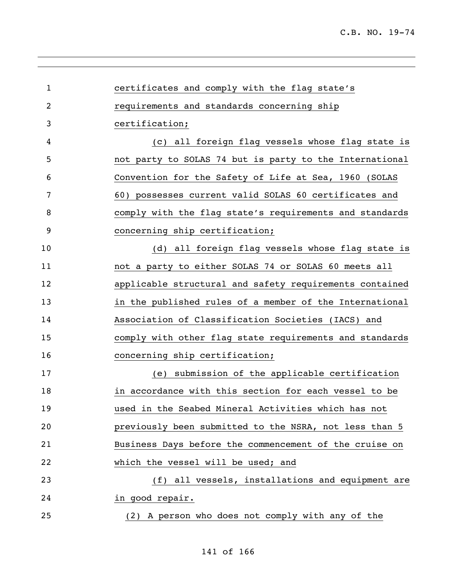| $\mathbf{1}$   | certificates and comply with the flag state's           |
|----------------|---------------------------------------------------------|
| $\overline{2}$ | requirements and standards concerning ship              |
| 3              | certification;                                          |
| 4              | (c) all foreign flag vessels whose flag state is        |
| 5              | not party to SOLAS 74 but is party to the International |
| 6              | Convention for the Safety of Life at Sea, 1960 (SOLAS   |
| 7              | 60) possesses current valid SOLAS 60 certificates and   |
| 8              | comply with the flag state's requirements and standards |
| 9              | concerning ship certification;                          |
| 10             | (d) all foreign flag vessels whose flag state is        |
| 11             | not a party to either SOLAS 74 or SOLAS 60 meets all    |
| 12             | applicable structural and safety requirements contained |
| 13             | in the published rules of a member of the International |
| 14             | Association of Classification Societies (IACS) and      |
| 15             | comply with other flag state requirements and standards |
| 16             | concerning ship certification;                          |
| 17             | submission of the applicable certification<br>(e)       |
| 18             | in accordance with this section for each vessel to be   |
| 19             | used in the Seabed Mineral Activities which has not     |
| 20             | previously been submitted to the NSRA, not less than 5  |
| 21             | Business Days before the commencement of the cruise on  |
| 22             | which the vessel will be used; and                      |
| 23             | (f) all vessels, installations and equipment are        |
| 24             | in good repair.                                         |
| 25             | (2) A person who does not comply with any of the        |
|                |                                                         |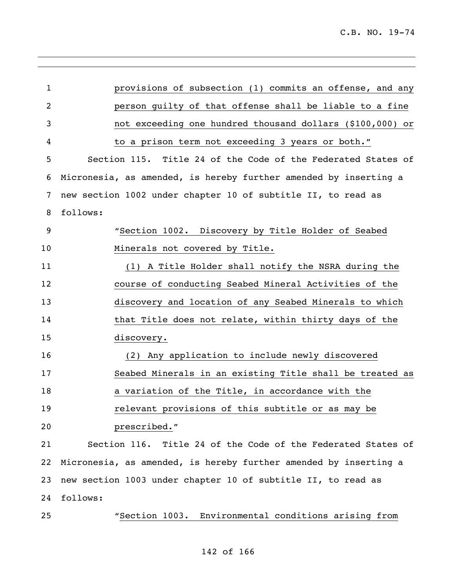| 1  | provisions of subsection (1) commits an offense, and any         |
|----|------------------------------------------------------------------|
| 2  | person guilty of that offense shall be liable to a fine          |
| 3  | not exceeding one hundred thousand dollars (\$100,000) or        |
| 4  | to a prison term not exceeding 3 years or both."                 |
| 5  | Section 115. Title 24 of the Code of the Federated States of     |
| 6  | Micronesia, as amended, is hereby further amended by inserting a |
| 7  | new section 1002 under chapter 10 of subtitle II, to read as     |
| 8  | follows:                                                         |
| 9  | "Section 1002. Discovery by Title Holder of Seabed               |
| 10 | Minerals not covered by Title.                                   |
| 11 | (1) A Title Holder shall notify the NSRA during the              |
| 12 | course of conducting Seabed Mineral Activities of the            |
| 13 | discovery and location of any Seabed Minerals to which           |
| 14 | that Title does not relate, within thirty days of the            |
| 15 | discovery.                                                       |
| 16 | (2) Any application to include newly discovered                  |
| 17 | Seabed Minerals in an existing Title shall be treated as         |
| 18 | a variation of the Title, in accordance with the                 |
| 19 | relevant provisions of this subtitle or as may be                |
| 20 | prescribed."                                                     |
| 21 | Section 116. Title 24 of the Code of the Federated States of     |
| 22 | Micronesia, as amended, is hereby further amended by inserting a |
| 23 | new section 1003 under chapter 10 of subtitle II, to read as     |
| 24 | follows:                                                         |
| 25 | "Section 1003. Environmental conditions arising from             |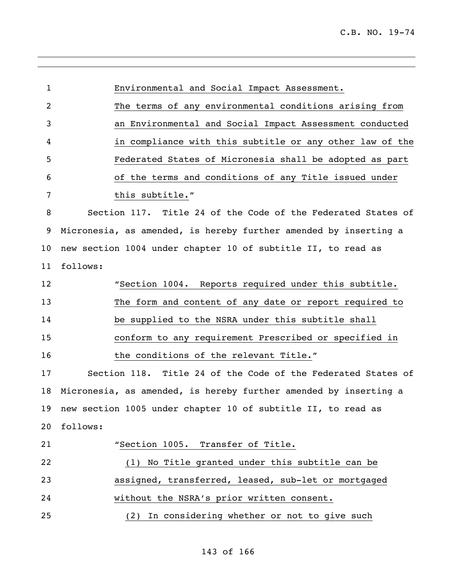| $\mathbf{1}$    | Environmental and Social Impact Assessment.                      |
|-----------------|------------------------------------------------------------------|
| 2               | The terms of any environmental conditions arising from           |
| 3               | an Environmental and Social Impact Assessment conducted          |
| 4               | in compliance with this subtitle or any other law of the         |
| 5               | Federated States of Micronesia shall be adopted as part          |
| 6               | of the terms and conditions of any Title issued under            |
| 7               | this subtitle."                                                  |
| 8               | Section 117. Title 24 of the Code of the Federated States of     |
| 9               | Micronesia, as amended, is hereby further amended by inserting a |
| 10 <sub>o</sub> | new section 1004 under chapter 10 of subtitle II, to read as     |
| 11              | follows:                                                         |
| 12              | "Section 1004. Reports required under this subtitle.             |
| 13              | The form and content of any date or report required to           |
| 14              | be supplied to the NSRA under this subtitle shall                |
| 15              | conform to any requirement Prescribed or specified in            |
| 16              | the conditions of the relevant Title."                           |
| 17              | Section 118. Title 24 of the Code of the Federated States of     |
| 18              | Micronesia, as amended, is hereby further amended by inserting a |
| 19              | new section 1005 under chapter 10 of subtitle II, to read as     |
| 20              | follows:                                                         |
| 21              | "Section 1005. Transfer of Title.                                |
| 22              | (1) No Title granted under this subtitle can be                  |
| 23              | assigned, transferred, leased, sub-let or mortgaged              |
| 24              | without the NSRA's prior written consent.                        |
| 25              | In considering whether or not to give such<br>(2)                |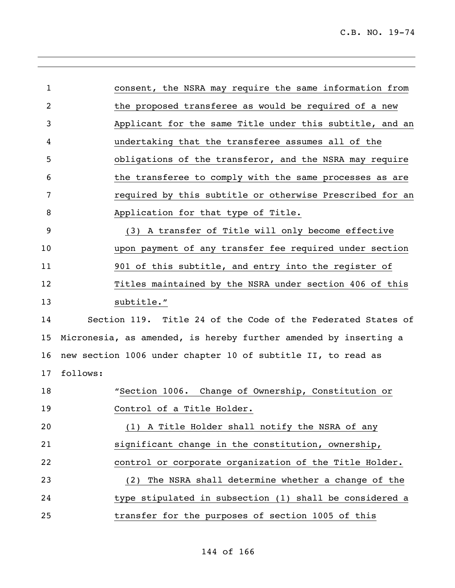| $\mathbf{1}$   | consent, the NSRA may require the same information from          |
|----------------|------------------------------------------------------------------|
| $\overline{2}$ | the proposed transferee as would be required of a new            |
| 3              | Applicant for the same Title under this subtitle, and an         |
| 4              | undertaking that the transferee assumes all of the               |
| 5              | obligations of the transferor, and the NSRA may require          |
| 6              | the transferee to comply with the same processes as are          |
| 7              | required by this subtitle or otherwise Prescribed for an         |
| 8              | Application for that type of Title.                              |
| 9              | (3) A transfer of Title will only become effective               |
| 10             | upon payment of any transfer fee required under section          |
| 11             | 901 of this subtitle, and entry into the register of             |
| 12             | Titles maintained by the NSRA under section 406 of this          |
| 13             | subtitle."                                                       |
| 14             | Section 119. Title 24 of the Code of the Federated States of     |
| 15             | Micronesia, as amended, is hereby further amended by inserting a |
| 16             | new section 1006 under chapter 10 of subtitle II, to read as     |
| 17             | follows:                                                         |
| 18             | "Section 1006. Change of Ownership, Constitution or              |
| 19             | Control of a Title Holder.                                       |
| 20             | (1) A Title Holder shall notify the NSRA of any                  |
| 21             | significant change in the constitution, ownership,               |
| 22             | control or corporate organization of the Title Holder.           |
| 23             | The NSRA shall determine whether a change of the<br>(2)          |
| 24             | type stipulated in subsection (1) shall be considered a          |
| 25             | transfer for the purposes of section 1005 of this                |

,我们也不会有什么。""我们的人,我们也不会有什么?""我们的人,我们也不会有什么?""我们的人,我们也不会有什么?""我们的人,我们也不会有什么?""我们的人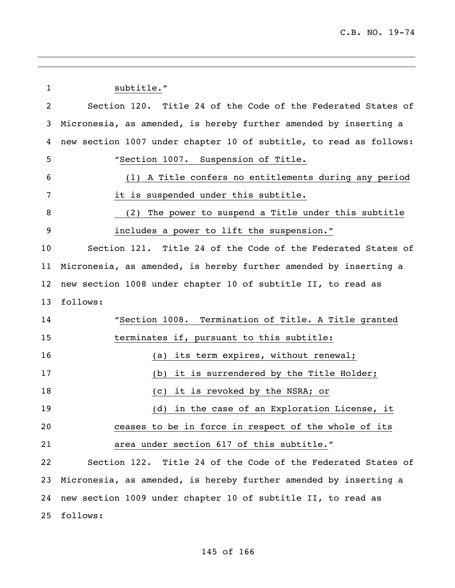1 subtitle." Section 120. Title 24 of the Code of the Federated States of Micronesia, as amended, is hereby further amended by inserting a new section 1007 under chapter 10 of subtitle, to read as follows: "Section 1007. Suspension of Title. (1) A Title confers no entitlements during any period it is suspended under this subtitle. (2) The power to suspend a Title under this subtitle includes a power to lift the suspension." Section 121. Title 24 of the Code of the Federated States of Micronesia, as amended, is hereby further amended by inserting a new section 1008 under chapter 10 of subtitle II, to read as follows: "Section 1008. Termination of Title. A Title granted terminates if, pursuant to this subtitle: 16 (a) its term expires, without renewal; (b) it is surrendered by the Title Holder; 18 (c) it is revoked by the NSRA; or (d) in the case of an Exploration License, it ceases to be in force in respect of the whole of its area under section 617 of this subtitle." Section 122. Title 24 of the Code of the Federated States of Micronesia, as amended, is hereby further amended by inserting a new section 1009 under chapter 10 of subtitle II, to read as follows: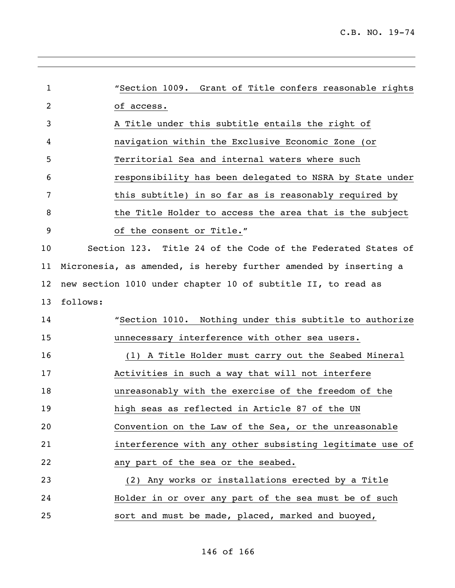| $\mathbf{1}$ | "Section 1009. Grant of Title confers reasonable rights          |
|--------------|------------------------------------------------------------------|
| 2            | of access.                                                       |
| 3            | A Title under this subtitle entails the right of                 |
| 4            | navigation within the Exclusive Economic Zone (or                |
| 5            | Territorial Sea and internal waters where such                   |
| 6            | responsibility has been delegated to NSRA by State under         |
| 7            | this subtitle) in so far as is reasonably required by            |
| 8            | the Title Holder to access the area that is the subject          |
| 9            | of the consent or Title."                                        |
| 10           | Section 123. Title 24 of the Code of the Federated States of     |
| 11           | Micronesia, as amended, is hereby further amended by inserting a |
| 12           | new section 1010 under chapter 10 of subtitle II, to read as     |
| 13           | follows:                                                         |
| 14           | "Section 1010. Nothing under this subtitle to authorize          |
| 15           | unnecessary interference with other sea users.                   |
| 16           | (1) A Title Holder must carry out the Seabed Mineral             |
| 17           | Activities in such a way that will not interfere                 |
| 18           | unreasonably with the exercise of the freedom of the             |
| 19           | high seas as reflected in Article 87 of the UN                   |
| 20           | Convention on the Law of the Sea, or the unreasonable            |
| 21           | interference with any other subsisting legitimate use of         |
| 22           | any part of the sea or the seabed.                               |
| 23           | (2) Any works or installations erected by a Title                |
| 24           | Holder in or over any part of the sea must be of such            |
| 25           | sort and must be made, placed, marked and buoyed,                |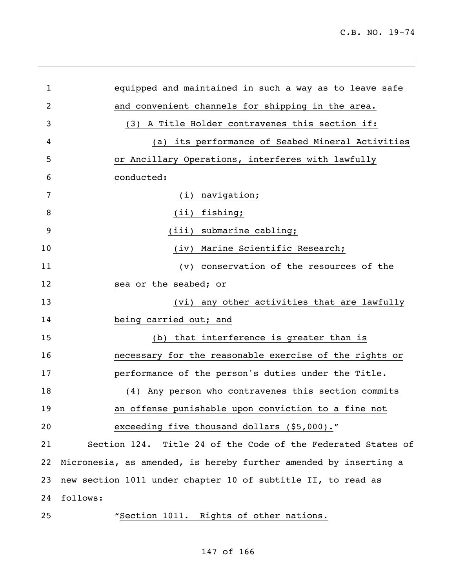| $\mathbf{1}$ | equipped and maintained in such a way as to leave safe           |
|--------------|------------------------------------------------------------------|
| 2            | and convenient channels for shipping in the area.                |
| 3            | (3) A Title Holder contravenes this section if:                  |
| 4            | its performance of Seabed Mineral Activities<br>(a)              |
| 5            | or Ancillary Operations, interferes with lawfully                |
| 6            | conducted:                                                       |
| 7            | (i) navigation;                                                  |
| 8            | (ii) fishing;                                                    |
| 9            | (iii) submarine cabling;                                         |
| 10           | (iv) Marine Scientific Research;                                 |
| 11           | conservation of the resources of the<br>$(\nu)$                  |
| 12           | sea or the seabed; or                                            |
| 13           | (vi) any other activities that are lawfully                      |
| 14           | being carried out; and                                           |
| 15           | that interference is greater than is<br>(b)                      |
| 16           | necessary for the reasonable exercise of the rights or           |
| 17           | performance of the person's duties under the Title.              |
| 18           | (4) Any person who contravenes this section commits              |
| 19           | an offense punishable upon conviction to a fine not              |
| 20           | exceeding five thousand dollars (\$5,000)."                      |
| 21           | Section 124. Title 24 of the Code of the Federated States of     |
| 22           | Micronesia, as amended, is hereby further amended by inserting a |
| 23           | new section 1011 under chapter 10 of subtitle II, to read as     |
| 24           | follows:                                                         |
| 25           | "Section 1011. Rights of other nations.                          |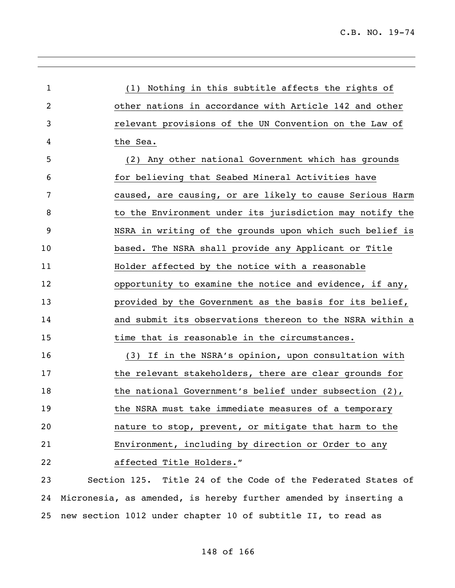| 1  | (1) Nothing in this subtitle affects the rights of               |
|----|------------------------------------------------------------------|
| 2  | other nations in accordance with Article 142 and other           |
| 3  | relevant provisions of the UN Convention on the Law of           |
| 4  | the Sea.                                                         |
| 5  | (2) Any other national Government which has grounds              |
| 6  | for believing that Seabed Mineral Activities have                |
| 7  | caused, are causing, or are likely to cause Serious Harm         |
| 8  | to the Environment under its jurisdiction may notify the         |
| 9  | NSRA in writing of the grounds upon which such belief is         |
| 10 | based. The NSRA shall provide any Applicant or Title             |
| 11 | Holder affected by the notice with a reasonable                  |
| 12 | opportunity to examine the notice and evidence, if any,          |
| 13 | provided by the Government as the basis for its belief,          |
| 14 | and submit its observations thereon to the NSRA within a         |
| 15 | time that is reasonable in the circumstances.                    |
| 16 | (3) If in the NSRA's opinion, upon consultation with             |
| 17 | the relevant stakeholders, there are clear grounds for           |
| 18 | the national Government's belief under subsection $(2)$ ,        |
| 19 | the NSRA must take immediate measures of a temporary             |
| 20 | nature to stop, prevent, or mitigate that harm to the            |
|    |                                                                  |
| 21 | Environment, including by direction or Order to any              |
| 22 | affected Title Holders."                                         |
| 23 | Section 125. Title 24 of the Code of the Federated States of     |
| 24 | Micronesia, as amended, is hereby further amended by inserting a |

25 new section 1012 under chapter 10 of subtitle II, to read as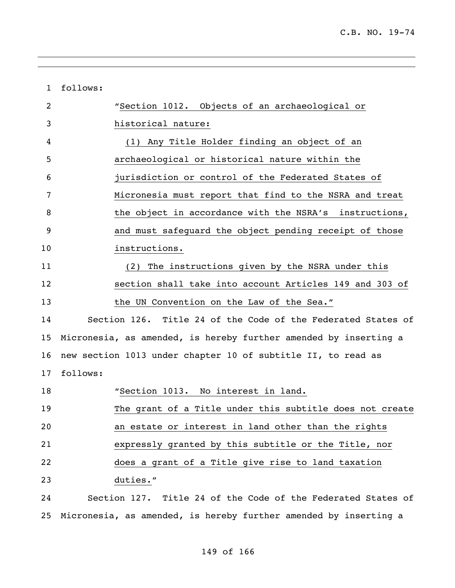| $\mathbf{1}$ | follows:                                                         |
|--------------|------------------------------------------------------------------|
| 2            | "Section 1012. Objects of an archaeological or                   |
| 3            | historical nature:                                               |
| 4            | (1) Any Title Holder finding an object of an                     |
| 5            | archaeological or historical nature within the                   |
| 6            | jurisdiction or control of the Federated States of               |
| 7            | Micronesia must report that find to the NSRA and treat           |
| 8            | the object in accordance with the NSRA's instructions,           |
| 9            | and must safeguard the object pending receipt of those           |
| 10           | instructions.                                                    |
| 11           | The instructions given by the NSRA under this<br>(2)             |
| 12           | section shall take into account Articles 149 and 303 of          |
| 13           | the UN Convention on the Law of the Sea."                        |
| 14           | Section 126. Title 24 of the Code of the Federated States of     |
| 15           | Micronesia, as amended, is hereby further amended by inserting a |
| 16           | new section 1013 under chapter 10 of subtitle II, to read as     |
| 17           | follows:                                                         |
| 18           | "Section 1013. No interest in land.                              |
| 19           | The grant of a Title under this subtitle does not create         |
| 20           | an estate or interest in land other than the rights              |
| 21           | expressly granted by this subtitle or the Title, nor             |
| 22           | does a grant of a Title give rise to land taxation               |
| 23           | duties."                                                         |
| 24           | Section 127. Title 24 of the Code of the Federated States of     |
| 25           | Micronesia, as amended, is hereby further amended by inserting a |

,我们也不会有什么。""我们的人,我们也不会有什么?""我们的人,我们也不会有什么?""我们的人,我们的人,我们的人,我们的人,我们的人,我们的人,我们的人,我

## of 166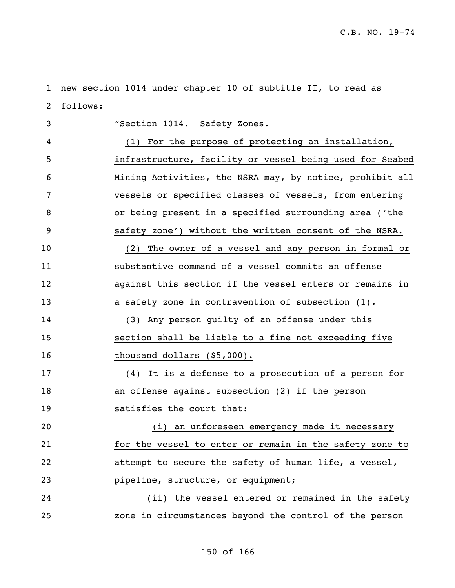| $\mathbf{1}$   | new section 1014 under chapter 10 of subtitle II, to read as |
|----------------|--------------------------------------------------------------|
| $\overline{2}$ | follows:                                                     |
| 3              | "Section 1014. Safety Zones.                                 |
| 4              | (1) For the purpose of protecting an installation,           |
| 5              | infrastructure, facility or vessel being used for Seabed     |
| 6              | Mining Activities, the NSRA may, by notice, prohibit all     |
| 7              | vessels or specified classes of vessels, from entering       |
| 8              | or being present in a specified surrounding area ('the       |
| 9              | safety zone') without the written consent of the NSRA.       |
| 10             | The owner of a vessel and any person in formal or<br>(2)     |
| 11             | substantive command of a vessel commits an offense           |
| 12             | against this section if the vessel enters or remains in      |
| 13             | a safety zone in contravention of subsection (1).            |
| 14             | (3) Any person guilty of an offense under this               |
| 15             | section shall be liable to a fine not exceeding five         |
| 16             | thousand dollars $(55,000)$ .                                |
| 17             | (4) It is a defense to a prosecution of a person for         |
| 18             | an offense against subsection (2) if the person              |
| 19             | satisfies the court that:                                    |
| 20             | (i) an unforeseen emergency made it necessary                |
| 21             | for the vessel to enter or remain in the safety zone to      |
| 22             | attempt to secure the safety of human life, a vessel,        |
| 23             | pipeline, structure, or equipment;                           |
| 24             | (ii) the vessel entered or remained in the safety            |
| 25             | zone in circumstances beyond the control of the person       |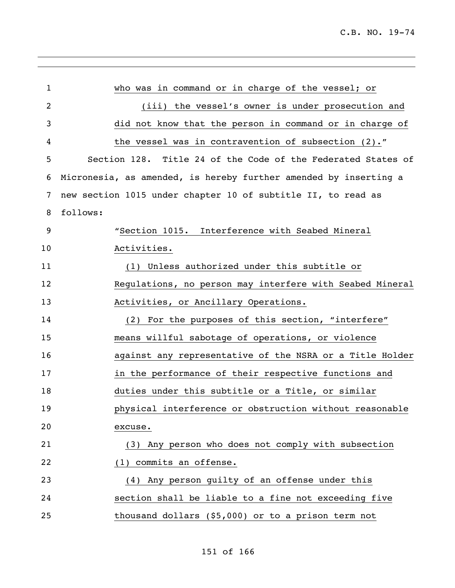| $\mathbf{1}$   | who was in command or in charge of the vessel; or                |
|----------------|------------------------------------------------------------------|
| $\overline{2}$ | (iii) the vessel's owner is under prosecution and                |
| 3              | did not know that the person in command or in charge of          |
| 4              | the vessel was in contravention of subsection (2)."              |
| 5              | Section 128. Title 24 of the Code of the Federated States of     |
| 6              | Micronesia, as amended, is hereby further amended by inserting a |
| 7              | new section 1015 under chapter 10 of subtitle II, to read as     |
| 8              | follows:                                                         |
| 9              | "Section 1015. Interference with Seabed Mineral                  |
| 10             | Activities.                                                      |
| 11             | (1) Unless authorized under this subtitle or                     |
| 12             | Regulations, no person may interfere with Seabed Mineral         |
| 13             | Activities, or Ancillary Operations.                             |
| 14             | (2) For the purposes of this section, "interfere"                |
| 15             | means willful sabotage of operations, or violence                |
| 16             | against any representative of the NSRA or a Title Holder         |
| 17             | in the performance of their respective functions and             |
| 18             | duties under this subtitle or a Title, or similar                |
| 19             | physical interference or obstruction without reasonable          |
| 20             | excuse.                                                          |
| 21             | (3) Any person who does not comply with subsection               |
| 22             | (1) commits an offense.                                          |
| 23             | (4) Any person quilty of an offense under this                   |
| 24             | section shall be liable to a fine not exceeding five             |
| 25             | thousand dollars (\$5,000) or to a prison term not               |
|                |                                                                  |

,我们也不会有什么。""我们的人,我们也不会有什么?""我们的人,我们也不会有什么?""我们的人,我们也不会有什么?""我们的人,我们也不会有什么?""我们的人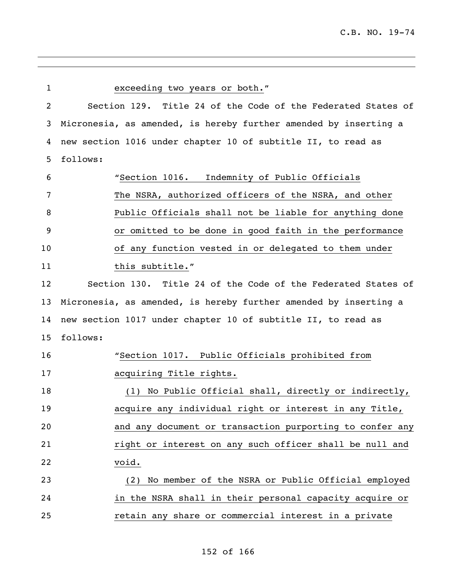| 1              | exceeding two years or both."                                    |
|----------------|------------------------------------------------------------------|
| $\overline{2}$ | Section 129. Title 24 of the Code of the Federated States of     |
| 3              | Micronesia, as amended, is hereby further amended by inserting a |
| 4              | new section 1016 under chapter 10 of subtitle II, to read as     |
| 5              | follows:                                                         |
| 6              | "Section 1016. Indemnity of Public Officials                     |
| 7              | The NSRA, authorized officers of the NSRA, and other             |
| 8              | Public Officials shall not be liable for anything done           |
| 9              | or omitted to be done in good faith in the performance           |
| 10             | of any function vested in or delegated to them under             |
| 11             | this subtitle."                                                  |
| 12             | Section 130. Title 24 of the Code of the Federated States of     |
| 13             | Micronesia, as amended, is hereby further amended by inserting a |
| 14             | new section 1017 under chapter 10 of subtitle II, to read as     |
| 15             | follows:                                                         |
| 16             | "Section 1017. Public Officials prohibited from                  |
| 17             | acquiring Title rights.                                          |
| 18             | (1) No Public Official shall, directly or indirectly,            |
| 19             | acquire any individual right or interest in any Title,           |
| 20             | and any document or transaction purporting to confer any         |
| 21             | right or interest on any such officer shall be null and          |
| 22             | void.                                                            |
| 23             | (2) No member of the NSRA or Public Official employed            |
| 24             | in the NSRA shall in their personal capacity acquire or          |
| 25             | retain any share or commercial interest in a private             |

,我们也不会有什么。""我们的人,我们也不会有什么?""我们的人,我们也不会有什么?""我们的人,我们的人,我们的人,我们的人,我们的人,我们的人,我们的人,我

## of 166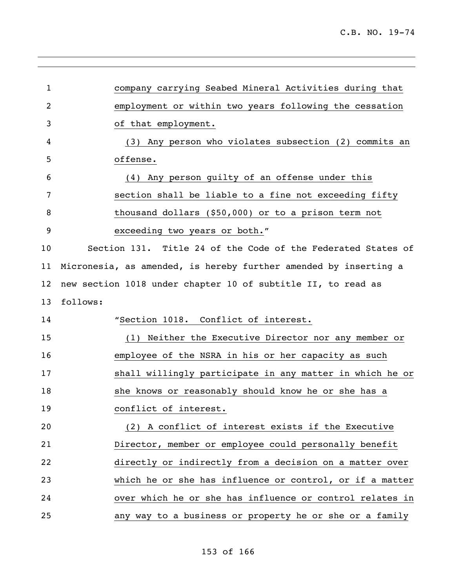| $\mathbf 1$    | company carrying Seabed Mineral Activities during that           |
|----------------|------------------------------------------------------------------|
|                |                                                                  |
| $\overline{2}$ | employment or within two years following the cessation           |
| 3              | of that employment.                                              |
| 4              | (3) Any person who violates subsection (2) commits an            |
| 5              | offense.                                                         |
| 6              | Any person guilty of an offense under this<br>(4)                |
| 7              | section shall be liable to a fine not exceeding fifty            |
| 8              | thousand dollars (\$50,000) or to a prison term not              |
| 9              | exceeding two years or both."                                    |
| 10             | Section 131. Title 24 of the Code of the Federated States of     |
| 11             | Micronesia, as amended, is hereby further amended by inserting a |
| 12             | new section 1018 under chapter 10 of subtitle II, to read as     |
|                |                                                                  |
| 13             | follows:                                                         |
| 14             | "Section 1018. Conflict of interest.                             |
| 15             | (1) Neither the Executive Director nor any member or             |
| 16             | employee of the NSRA in his or her capacity as such              |
| 17             | shall willingly participate in any matter in which he or         |
| 18             | she knows or reasonably should know he or she has a              |
| 19             | conflict of interest.                                            |
| 20             | (2) A conflict of interest exists if the Executive               |
| 21             | Director, member or employee could personally benefit            |
| 22             | directly or indirectly from a decision on a matter over          |
| 23             | which he or she has influence or control, or if a matter         |
| 24             | over which he or she has influence or control relates in         |

## of 166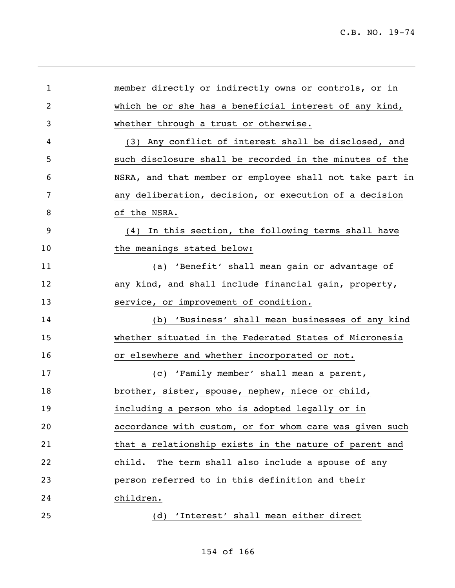| 1  | member directly or indirectly owns or controls, or in    |
|----|----------------------------------------------------------|
| 2  | which he or she has a beneficial interest of any kind,   |
| 3  | whether through a trust or otherwise.                    |
| 4  | (3) Any conflict of interest shall be disclosed, and     |
| 5  | such disclosure shall be recorded in the minutes of the  |
| 6  | NSRA, and that member or employee shall not take part in |
| 7  | any deliberation, decision, or execution of a decision   |
| 8  | of the NSRA.                                             |
| 9  | In this section, the following terms shall have<br>(4)   |
| 10 | the meanings stated below:                               |
| 11 | (a) 'Benefit' shall mean gain or advantage of            |
| 12 | any kind, and shall include financial gain, property,    |
| 13 | service, or improvement of condition.                    |
| 14 | (b) 'Business' shall mean businesses of any kind         |
| 15 | whether situated in the Federated States of Micronesia   |
| 16 | or elsewhere and whether incorporated or not.            |
| 17 | (c) 'Family member' shall mean a parent,                 |
| 18 | brother, sister, spouse, nephew, niece or child,         |
| 19 | including a person who is adopted legally or in          |
| 20 | accordance with custom, or for whom care was given such  |
| 21 | that a relationship exists in the nature of parent and   |
| 22 | child.<br>The term shall also include a spouse of any    |
| 23 | person referred to in this definition and their          |
| 24 | children.                                                |
| 25 | 'Interest' shall mean either direct<br>(d)               |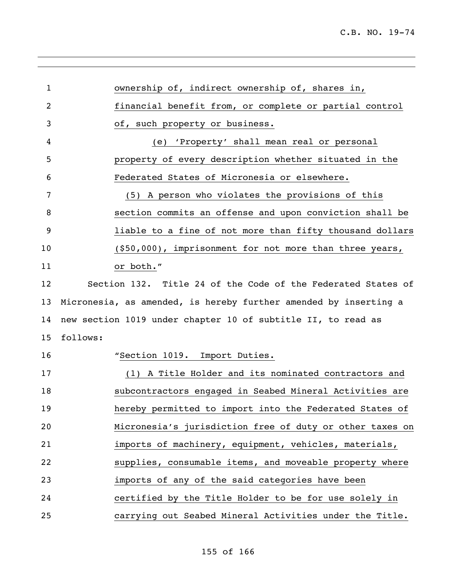| $\mathbf 1$ | ownership of, indirect ownership of, shares in,                  |
|-------------|------------------------------------------------------------------|
| 2           | financial benefit from, or complete or partial control           |
| 3           | of, such property or business.                                   |
| 4           | (e) 'Property' shall mean real or personal                       |
| 5           | property of every description whether situated in the            |
| 6           | Federated States of Micronesia or elsewhere.                     |
| 7           | (5) A person who violates the provisions of this                 |
| 8           | section commits an offense and upon conviction shall be          |
| 9           | liable to a fine of not more than fifty thousand dollars         |
| 10          | $(550,000)$ , imprisonment for not more than three years,        |
| 11          | or both."                                                        |
| 12          | Section 132. Title 24 of the Code of the Federated States of     |
| 13          | Micronesia, as amended, is hereby further amended by inserting a |
| 14          | new section 1019 under chapter 10 of subtitle II, to read as     |
| 15          | follows:                                                         |
| 16          | "Section 1019. Import Duties.                                    |
| 17          | (1) A Title Holder and its nominated contractors and             |
| 18          | subcontractors engaged in Seabed Mineral Activities are          |
| 19          | hereby permitted to import into the Federated States of          |
| 20          | Micronesia's jurisdiction free of duty or other taxes on         |
| 21          | imports of machinery, equipment, vehicles, materials,            |
| 22          | supplies, consumable items, and moveable property where          |
| 23          | imports of any of the said categories have been                  |
| 24          | certified by the Title Holder to be for use solely in            |
| 25          | carrying out Seabed Mineral Activities under the Title.          |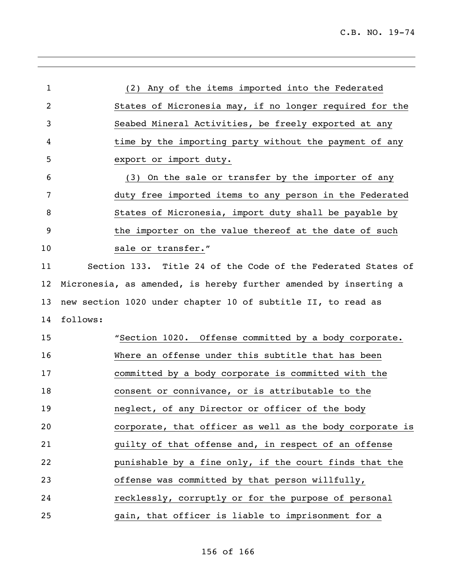| 1  | (2) Any of the items imported into the Federated                 |
|----|------------------------------------------------------------------|
| 2  | States of Micronesia may, if no longer required for the          |
| 3  | Seabed Mineral Activities, be freely exported at any             |
| 4  | time by the importing party without the payment of any           |
| 5  | export or import duty.                                           |
| 6  | (3) On the sale or transfer by the importer of any               |
| 7  | duty free imported items to any person in the Federated          |
| 8  | States of Micronesia, import duty shall be payable by            |
| 9  | the importer on the value thereof at the date of such            |
| 10 | sale or transfer."                                               |
| 11 | Section 133. Title 24 of the Code of the Federated States of     |
| 12 | Micronesia, as amended, is hereby further amended by inserting a |
| 13 | new section 1020 under chapter 10 of subtitle II, to read as     |
| 14 | follows:                                                         |
| 15 | "Section 1020. Offense committed by a body corporate.            |
| 16 | Where an offense under this subtitle that has been               |
| 17 | committed by a body corporate is committed with the              |
| 18 | consent or connivance, or is attributable to the                 |
| 19 | neglect, of any Director or officer of the body                  |
| 20 | corporate, that officer as well as the body corporate is         |
| 21 | guilty of that offense and, in respect of an offense             |
| 22 | punishable by a fine only, if the court finds that the           |
| 23 | offense was committed by that person willfully,                  |
| 24 | recklessly, corruptly or for the purpose of personal             |
| 25 | gain, that officer is liable to imprisonment for a               |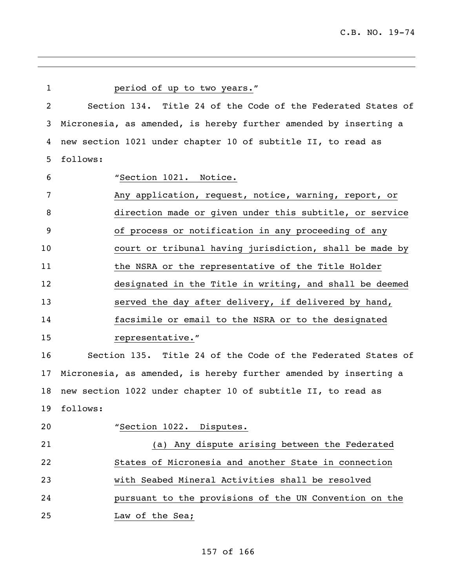| $\mathbf 1$ | period of up to two years."                                      |
|-------------|------------------------------------------------------------------|
| 2           | Section 134. Title 24 of the Code of the Federated States of     |
| 3           | Micronesia, as amended, is hereby further amended by inserting a |
| 4           | new section 1021 under chapter 10 of subtitle II, to read as     |
| 5           | follows:                                                         |
| 6           | "Section 1021. Notice.                                           |
| 7           | Any application, request, notice, warning, report, or            |
| 8           | direction made or given under this subtitle, or service          |
| 9           | of process or notification in any proceeding of any              |
| 10          | court or tribunal having jurisdiction, shall be made by          |
| 11          | the NSRA or the representative of the Title Holder               |
| 12          | designated in the Title in writing, and shall be deemed          |
| 13          | served the day after delivery, if delivered by hand,             |
| 14          | facsimile or email to the NSRA or to the designated              |
| 15          | representative."                                                 |
| 16          | Section 135. Title 24 of the Code of the Federated States of     |
| 17          | Micronesia, as amended, is hereby further amended by inserting a |
| 18          | new section 1022 under chapter 10 of subtitle II, to read as     |
|             | 19 follows:                                                      |
| 20          | "Section 1022. Disputes.                                         |
| 21          | (a) Any dispute arising between the Federated                    |
| 22          | States of Micronesia and another State in connection             |
| 23          | with Seabed Mineral Activities shall be resolved                 |
| 24          | pursuant to the provisions of the UN Convention on the           |
| 25          | Law of the Sea;                                                  |

## of 166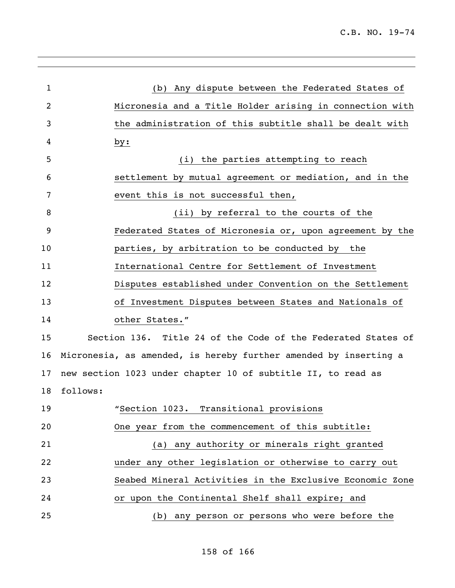| $\mathbf{1}$ | (b) Any dispute between the Federated States of                  |
|--------------|------------------------------------------------------------------|
| 2            | Micronesia and a Title Holder arising in connection with         |
| 3            | the administration of this subtitle shall be dealt with          |
| 4            | by:                                                              |
| 5            | (i) the parties attempting to reach                              |
| 6            | settlement by mutual agreement or mediation, and in the          |
| 7            | event this is not successful then,                               |
| 8            | (ii) by referral to the courts of the                            |
| 9            | Federated States of Micronesia or, upon agreement by the         |
| 10           | parties, by arbitration to be conducted by the                   |
| 11           | International Centre for Settlement of Investment                |
| 12           | Disputes established under Convention on the Settlement          |
| 13           | of Investment Disputes between States and Nationals of           |
| 14           | other States."                                                   |
| 15           | Section 136. Title 24 of the Code of the Federated States of     |
| 16           | Micronesia, as amended, is hereby further amended by inserting a |
| 17           | new section 1023 under chapter 10 of subtitle II, to read as     |
| 18           | follows:                                                         |
| 19           | "Section 1023. Transitional provisions                           |
| 20           | One year from the commencement of this subtitle:                 |
| 21           | (a) any authority or minerals right granted                      |
| 22           | under any other legislation or otherwise to carry out            |
| 23           | Seabed Mineral Activities in the Exclusive Economic Zone         |
| 24           | or upon the Continental Shelf shall expire; and                  |
| 25           | (b) any person or persons who were before the                    |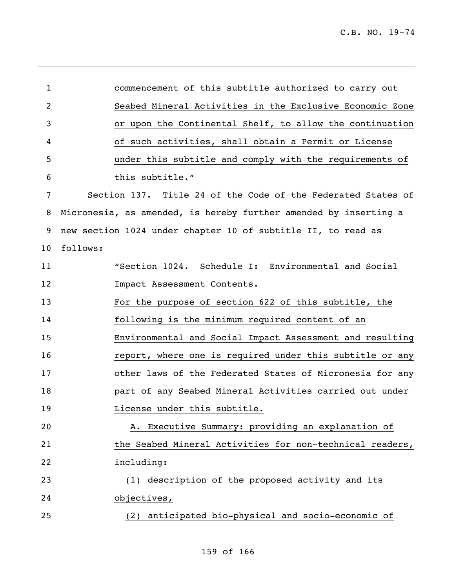| 1  | commencement of this subtitle authorized to carry out            |
|----|------------------------------------------------------------------|
| 2  | Seabed Mineral Activities in the Exclusive Economic Zone         |
| 3  | or upon the Continental Shelf, to allow the continuation         |
| 4  | of such activities, shall obtain a Permit or License             |
| 5  | under this subtitle and comply with the requirements of          |
| 6  | this subtitle."                                                  |
| 7  | Section 137. Title 24 of the Code of the Federated States of     |
| 8  | Micronesia, as amended, is hereby further amended by inserting a |
| 9  | new section 1024 under chapter 10 of subtitle II, to read as     |
| 10 | follows:                                                         |
| 11 | "Section 1024. Schedule I: Environmental and Social              |
| 12 | Impact Assessment Contents.                                      |
| 13 | For the purpose of section 622 of this subtitle, the             |
| 14 | following is the minimum required content of an                  |
| 15 | Environmental and Social Impact Assessment and resulting         |
| 16 | report, where one is required under this subtitle or any         |
| 17 | other laws of the Federated States of Micronesia for any         |
| 18 | part of any Seabed Mineral Activities carried out under          |
| 19 | License under this subtitle.                                     |
| 20 | A. Executive Summary: providing an explanation of                |
| 21 | the Seabed Mineral Activities for non-technical readers,         |
| 22 | including:                                                       |
| 23 | description of the proposed activity and its<br>(1)              |
| 24 | objectives,                                                      |
| 25 | anticipated bio-physical and socio-economic of<br>(2)            |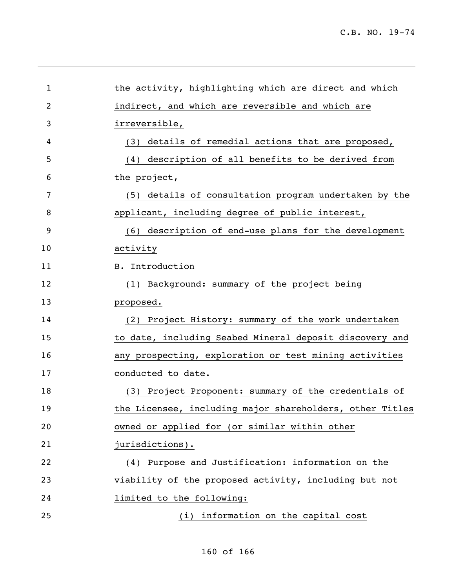| $\mathbf 1$ | the activity, highlighting which are direct and which    |
|-------------|----------------------------------------------------------|
| 2           | indirect, and which are reversible and which are         |
| 3           | irreversible,                                            |
| 4           | details of remedial actions that are proposed,<br>(3)    |
| 5           | (4) description of all benefits to be derived from       |
| 6           | the project,                                             |
| 7           | (5) details of consultation program undertaken by the    |
| 8           | applicant, including degree of public interest,          |
| 9           | (6) description of end-use plans for the development     |
| 10          | activity                                                 |
| 11          | <b>B.</b> Introduction                                   |
| 12          | (1) Background: summary of the project being             |
| 13          | proposed.                                                |
| 14          | (2) Project History: summary of the work undertaken      |
| 15          | to date, including Seabed Mineral deposit discovery and  |
| 16          | any prospecting, exploration or test mining activities   |
| 17          | conducted to date.                                       |
| 18          | (3) Project Proponent: summary of the credentials of     |
| 19          | the Licensee, including major shareholders, other Titles |
| 20          | owned or applied for (or similar within other            |
| 21          | jurisdictions).                                          |
| 22          | (4) Purpose and Justification: information on the        |
| 23          | viability of the proposed activity, including but not    |
| 24          | limited to the following:                                |
| 25          | (i) information on the capital cost                      |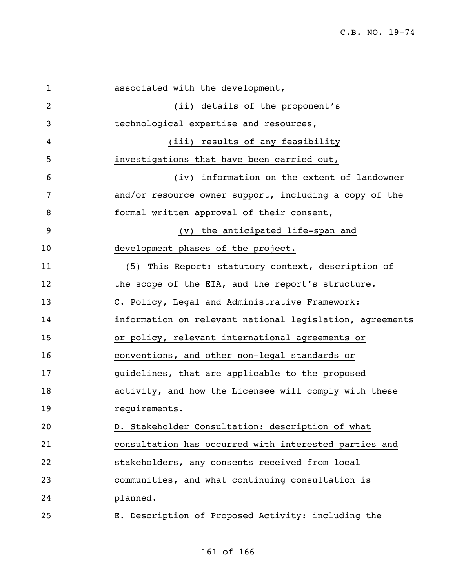| $\mathbf 1$    | associated with the development,                         |
|----------------|----------------------------------------------------------|
| $\overline{2}$ | (ii) details of the proponent's                          |
| 3              | technological expertise and resources,                   |
| 4              | (iii) results of any feasibility                         |
| 5              | investigations that have been carried out,               |
| 6              | (iv) information on the extent of landowner              |
| 7              | and/or resource owner support, including a copy of the   |
| 8              | formal written approval of their consent,                |
| 9              | (v) the anticipated life-span and                        |
| 10             | development phases of the project.                       |
| 11             | (5) This Report: statutory context, description of       |
| 12             | the scope of the EIA, and the report's structure.        |
| 13             | C. Policy, Legal and Administrative Framework:           |
| 14             | information on relevant national legislation, agreements |
| 15             | or policy, relevant international agreements or          |
| 16             | conventions, and other non-legal standards or            |
| 17             | guidelines, that are applicable to the proposed          |
| 18             | activity, and how the Licensee will comply with these    |
| 19             | requirements.                                            |
| 20             | D. Stakeholder Consultation: description of what         |
| 21             | consultation has occurred with interested parties and    |
| 22             | stakeholders, any consents received from local           |
| 23             | communities, and what continuing consultation is         |
| 24             | planned.                                                 |
| 25             | E. Description of Proposed Activity: including the       |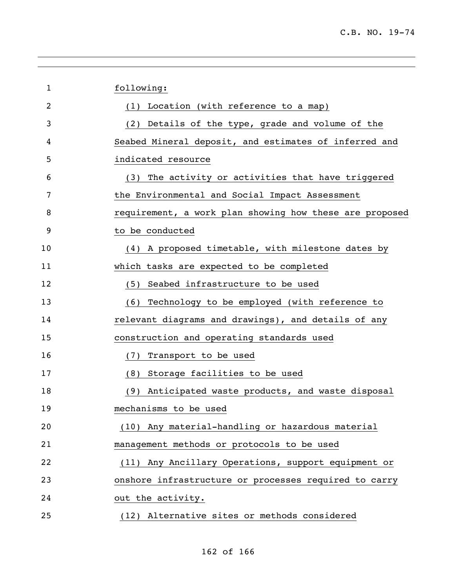| $\mathbf{1}$   | following:                                              |
|----------------|---------------------------------------------------------|
| $\overline{2}$ | (1) Location (with reference to a map)                  |
| 3              | (2) Details of the type, grade and volume of the        |
| 4              | Seabed Mineral deposit, and estimates of inferred and   |
| 5              | indicated resource                                      |
| 6              | (3) The activity or activities that have triggered      |
| 7              | the Environmental and Social Impact Assessment          |
| 8              | requirement, a work plan showing how these are proposed |
| 9              | to be conducted                                         |
| 10             | (4) A proposed timetable, with milestone dates by       |
| 11             | which tasks are expected to be completed                |
| 12             | Seabed infrastructure to be used<br>(5)                 |
| 13             | (6) Technology to be employed (with reference to        |
| 14             | relevant diagrams and drawings), and details of any     |
| 15             | construction and operating standards used               |
| 16             | (7) Transport to be used                                |
| 17             | (8) Storage facilities to be used                       |
| 18             | (9) Anticipated waste products, and waste disposal      |
| 19             | mechanisms to be used                                   |
| 20             | (10) Any material-handling or hazardous material        |
| 21             | management methods or protocols to be used              |
| 22             | (11) Any Ancillary Operations, support equipment or     |
| 23             | onshore infrastructure or processes required to carry   |
| 24             | out the activity.                                       |
| 25             | (12) Alternative sites or methods considered            |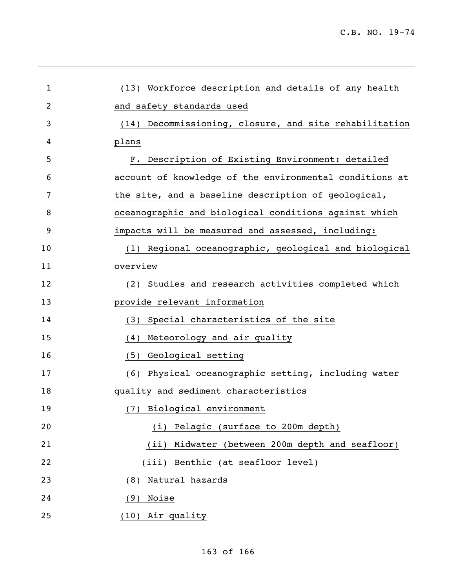| 1              | (13) Workforce description and details of any health    |
|----------------|---------------------------------------------------------|
| $\overline{2}$ | and safety standards used                               |
| 3              | (14) Decommissioning, closure, and site rehabilitation  |
| 4              | plans                                                   |
| 5              | F. Description of Existing Environment: detailed        |
| 6              | account of knowledge of the environmental conditions at |
| 7              | the site, and a baseline description of geological,     |
| 8              | oceanographic and biological conditions against which   |
| 9              | impacts will be measured and assessed, including:       |
| 10             | (1) Regional oceanographic, geological and biological   |
| 11             | overview                                                |
| 12             | Studies and research activities completed which<br>(2)  |
| 13             | provide relevant information                            |
| 14             | Special characteristics of the site<br>(3)              |
| 15             | Meteorology and air quality<br>(4)                      |
| 16             | Geological setting<br>(5)                               |
| 17             | (6) Physical oceanographic setting, including water     |
| 18             | quality and sediment characteristics                    |
| 19             | (7) Biological environment                              |
| 20             | Pelagic (surface to 200m depth)<br>(i)                  |
| 21             | Midwater (between 200m depth and seafloor)<br>(iii)     |
| 22             | Benthic (at seafloor level)<br>(iii)                    |
| 23             | Natural hazards<br>(8)                                  |
| 24             | Noise<br>(9)                                            |
| 25             | Air quality<br>(10)                                     |
|                |                                                         |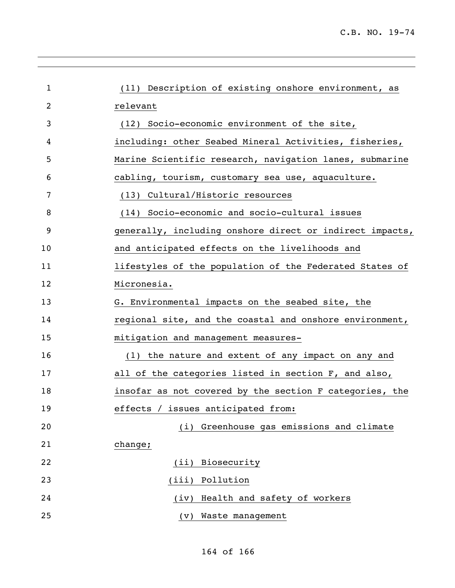| (11) Description of existing onshore environment, as     |
|----------------------------------------------------------|
| relevant                                                 |
| (12) Socio-economic environment of the site,             |
| including: other Seabed Mineral Activities, fisheries,   |
| Marine Scientific research, navigation lanes, submarine  |
| cabling, tourism, customary sea use, aquaculture.        |
| (13) Cultural/Historic resources                         |
| (14) Socio-economic and socio-cultural issues            |
| generally, including onshore direct or indirect impacts, |
| and anticipated effects on the livelihoods and           |
| lifestyles of the population of the Federated States of  |
| Micronesia.                                              |
| G. Environmental impacts on the seabed site, the         |
| regional site, and the coastal and onshore environment,  |
| mitigation and management measures-                      |
| (1) the nature and extent of any impact on any and       |
| all of the categories listed in section F, and also,     |
| insofar as not covered by the section F categories, the  |
| effects / issues anticipated from:                       |
| Greenhouse gas emissions and climate<br>(i)              |
| change;                                                  |
| Biosecurity<br>(iii)                                     |
| Pollution<br>(iii)                                       |
| Health and safety of workers<br>(iv)                     |
| Waste management<br>(v)                                  |
|                                                          |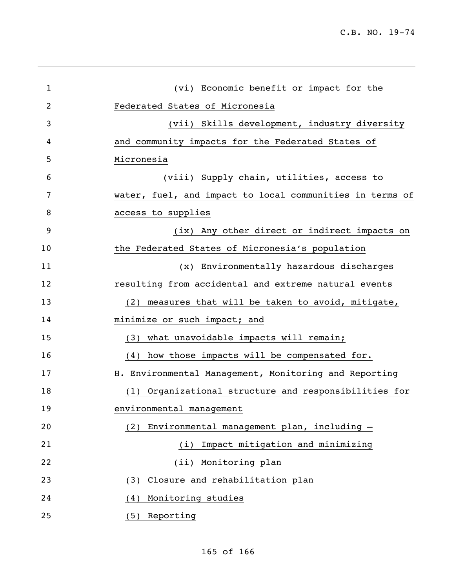| 1  | (vi) Economic benefit or impact for the                  |
|----|----------------------------------------------------------|
| 2  | Federated States of Micronesia                           |
| 3  | (vii) Skills development, industry diversity             |
| 4  | and community impacts for the Federated States of        |
| 5  | Micronesia                                               |
| 6  | (viii) Supply chain, utilities, access to                |
| 7  | water, fuel, and impact to local communities in terms of |
| 8  | access to supplies                                       |
| 9  | (ix) Any other direct or indirect impacts on             |
| 10 | the Federated States of Micronesia's population          |
| 11 | (x) Environmentally hazardous discharges                 |
| 12 | resulting from accidental and extreme natural events     |
| 13 | (2) measures that will be taken to avoid, mitigate,      |
| 14 | minimize or such impact; and                             |
| 15 | (3) what unavoidable impacts will remain;                |
| 16 | (4) how those impacts will be compensated for.           |
| 17 | H. Environmental Management, Monitoring and Reporting    |
| 18 | Organizational structure and responsibilities for<br>(1) |
| 19 | environmental management                                 |
| 20 | Environmental management plan, including -<br>(2)        |
| 21 | Impact mitigation and minimizing<br>(i)                  |
| 22 | (ii) Monitoring plan                                     |
| 23 | Closure and rehabilitation plan<br>(3)                   |
| 24 | Monitoring studies<br>(4)                                |
| 25 | Reporting<br>(5)                                         |
|    |                                                          |